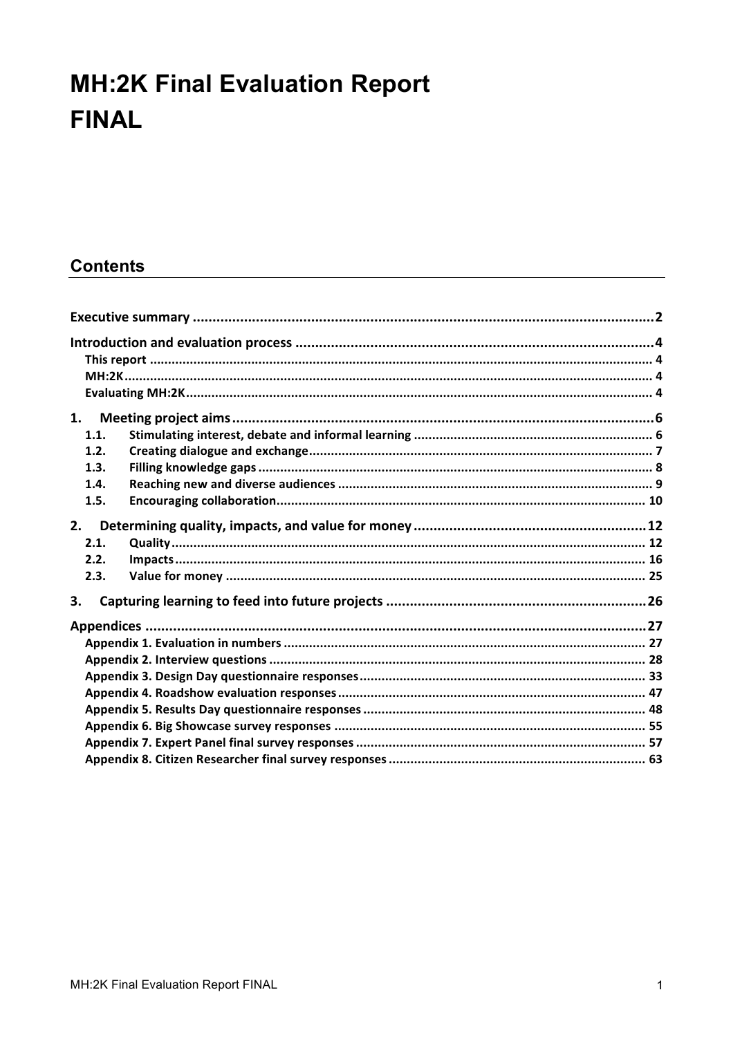# **MH:2K Final Evaluation Report FINAL**

## **Contents**

| 1.1. |  |  |  |  |  |  |
|------|--|--|--|--|--|--|
| 1.2. |  |  |  |  |  |  |
| 1.3. |  |  |  |  |  |  |
| 1.4. |  |  |  |  |  |  |
| 1.5. |  |  |  |  |  |  |
| 2.   |  |  |  |  |  |  |
| 2.1. |  |  |  |  |  |  |
| 2.2. |  |  |  |  |  |  |
| 2.3. |  |  |  |  |  |  |
| 3.   |  |  |  |  |  |  |
|      |  |  |  |  |  |  |
|      |  |  |  |  |  |  |
|      |  |  |  |  |  |  |
|      |  |  |  |  |  |  |
|      |  |  |  |  |  |  |
|      |  |  |  |  |  |  |
|      |  |  |  |  |  |  |
|      |  |  |  |  |  |  |
|      |  |  |  |  |  |  |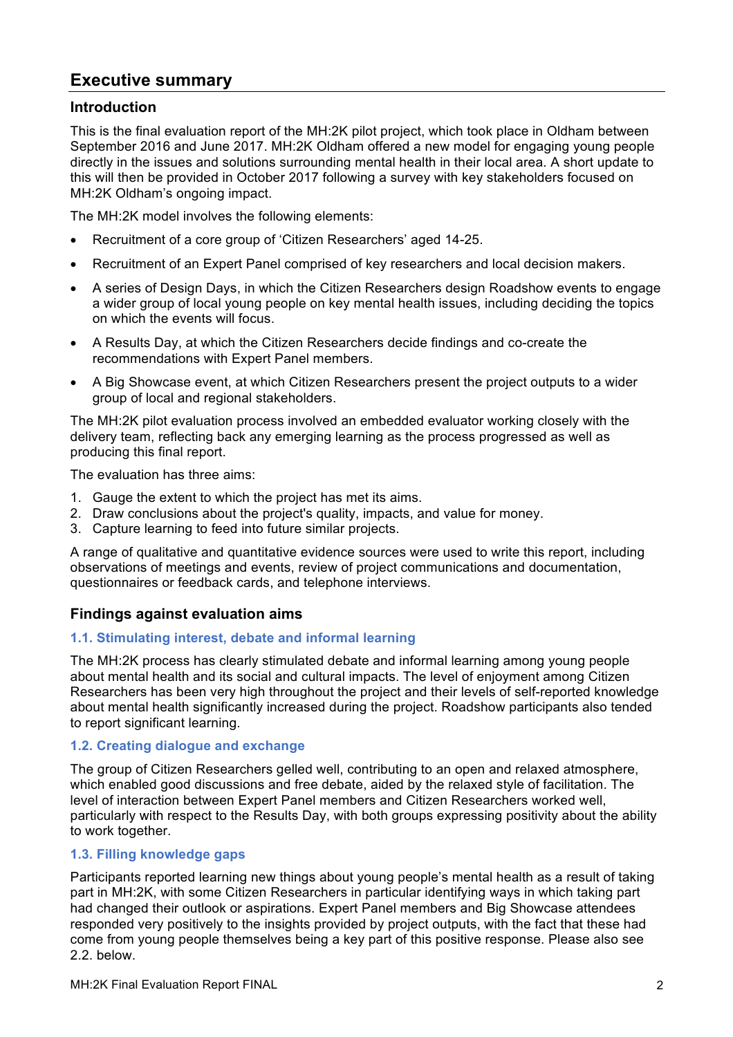## **Executive summary**

## **Introduction**

This is the final evaluation report of the MH:2K pilot project, which took place in Oldham between September 2016 and June 2017. MH:2K Oldham offered a new model for engaging young people directly in the issues and solutions surrounding mental health in their local area. A short update to this will then be provided in October 2017 following a survey with key stakeholders focused on MH:2K Oldham's ongoing impact.

The MH:2K model involves the following elements:

- Recruitment of a core group of 'Citizen Researchers' aged 14-25.
- Recruitment of an Expert Panel comprised of key researchers and local decision makers.
- A series of Design Days, in which the Citizen Researchers design Roadshow events to engage a wider group of local young people on key mental health issues, including deciding the topics on which the events will focus.
- A Results Day, at which the Citizen Researchers decide findings and co-create the recommendations with Expert Panel members.
- A Big Showcase event, at which Citizen Researchers present the project outputs to a wider group of local and regional stakeholders.

The MH:2K pilot evaluation process involved an embedded evaluator working closely with the delivery team, reflecting back any emerging learning as the process progressed as well as producing this final report.

The evaluation has three aims:

- 1. Gauge the extent to which the project has met its aims.
- 2. Draw conclusions about the project's quality, impacts, and value for money.
- 3. Capture learning to feed into future similar projects.

A range of qualitative and quantitative evidence sources were used to write this report, including observations of meetings and events, review of project communications and documentation, questionnaires or feedback cards, and telephone interviews.

## **Findings against evaluation aims**

#### **1.1. Stimulating interest, debate and informal learning**

The MH:2K process has clearly stimulated debate and informal learning among young people about mental health and its social and cultural impacts. The level of enjoyment among Citizen Researchers has been very high throughout the project and their levels of self-reported knowledge about mental health significantly increased during the project. Roadshow participants also tended to report significant learning.

#### **1.2. Creating dialogue and exchange**

The group of Citizen Researchers gelled well, contributing to an open and relaxed atmosphere, which enabled good discussions and free debate, aided by the relaxed style of facilitation. The level of interaction between Expert Panel members and Citizen Researchers worked well, particularly with respect to the Results Day, with both groups expressing positivity about the ability to work together.

## **1.3. Filling knowledge gaps**

Participants reported learning new things about young people's mental health as a result of taking part in MH:2K, with some Citizen Researchers in particular identifying ways in which taking part had changed their outlook or aspirations. Expert Panel members and Big Showcase attendees responded very positively to the insights provided by project outputs, with the fact that these had come from young people themselves being a key part of this positive response. Please also see 2.2. below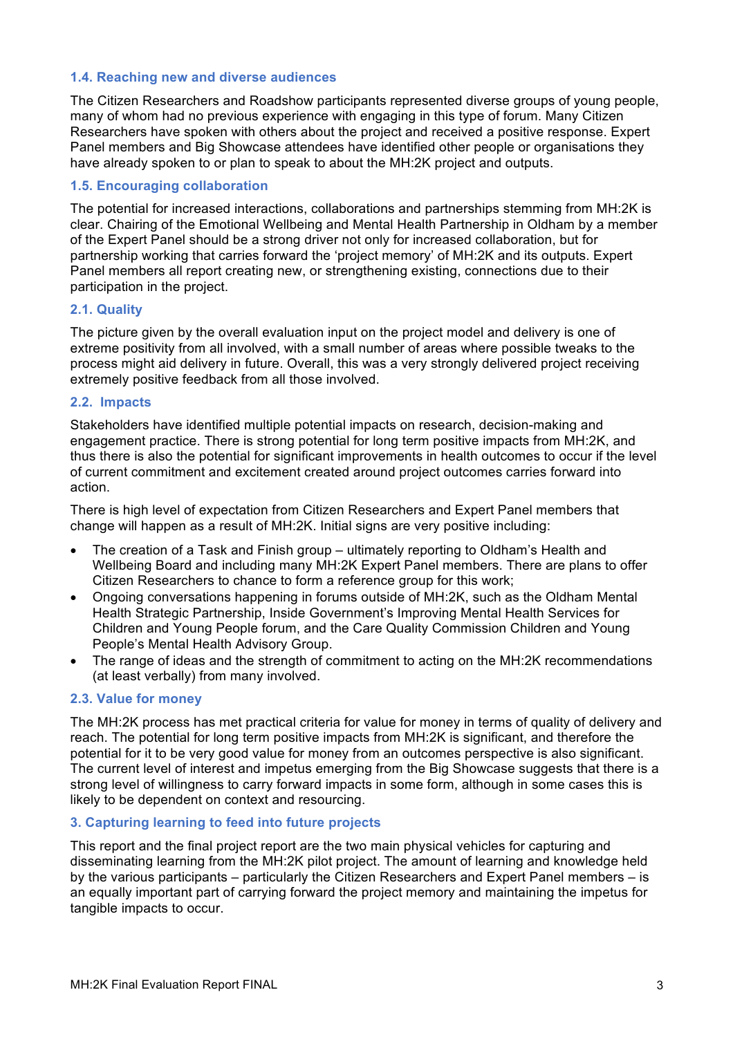#### **1.4. Reaching new and diverse audiences**

The Citizen Researchers and Roadshow participants represented diverse groups of young people, many of whom had no previous experience with engaging in this type of forum. Many Citizen Researchers have spoken with others about the project and received a positive response. Expert Panel members and Big Showcase attendees have identified other people or organisations they have already spoken to or plan to speak to about the MH:2K project and outputs.

#### **1.5. Encouraging collaboration**

The potential for increased interactions, collaborations and partnerships stemming from MH:2K is clear. Chairing of the Emotional Wellbeing and Mental Health Partnership in Oldham by a member of the Expert Panel should be a strong driver not only for increased collaboration, but for partnership working that carries forward the 'project memory' of MH:2K and its outputs. Expert Panel members all report creating new, or strengthening existing, connections due to their participation in the project.

#### **2.1. Quality**

The picture given by the overall evaluation input on the project model and delivery is one of extreme positivity from all involved, with a small number of areas where possible tweaks to the process might aid delivery in future. Overall, this was a very strongly delivered project receiving extremely positive feedback from all those involved.

#### **2.2. Impacts**

Stakeholders have identified multiple potential impacts on research, decision-making and engagement practice. There is strong potential for long term positive impacts from MH:2K, and thus there is also the potential for significant improvements in health outcomes to occur if the level of current commitment and excitement created around project outcomes carries forward into action.

There is high level of expectation from Citizen Researchers and Expert Panel members that change will happen as a result of MH:2K. Initial signs are very positive including:

- The creation of a Task and Finish group ultimately reporting to Oldham's Health and Wellbeing Board and including many MH:2K Expert Panel members. There are plans to offer Citizen Researchers to chance to form a reference group for this work;
- Ongoing conversations happening in forums outside of MH:2K, such as the Oldham Mental Health Strategic Partnership, Inside Government's Improving Mental Health Services for Children and Young People forum, and the Care Quality Commission Children and Young People's Mental Health Advisory Group.
- The range of ideas and the strength of commitment to acting on the MH:2K recommendations (at least verbally) from many involved.

#### **2.3. Value for money**

The MH:2K process has met practical criteria for value for money in terms of quality of delivery and reach. The potential for long term positive impacts from MH:2K is significant, and therefore the potential for it to be very good value for money from an outcomes perspective is also significant. The current level of interest and impetus emerging from the Big Showcase suggests that there is a strong level of willingness to carry forward impacts in some form, although in some cases this is likely to be dependent on context and resourcing.

#### **3. Capturing learning to feed into future projects**

This report and the final project report are the two main physical vehicles for capturing and disseminating learning from the MH:2K pilot project. The amount of learning and knowledge held by the various participants – particularly the Citizen Researchers and Expert Panel members – is an equally important part of carrying forward the project memory and maintaining the impetus for tangible impacts to occur.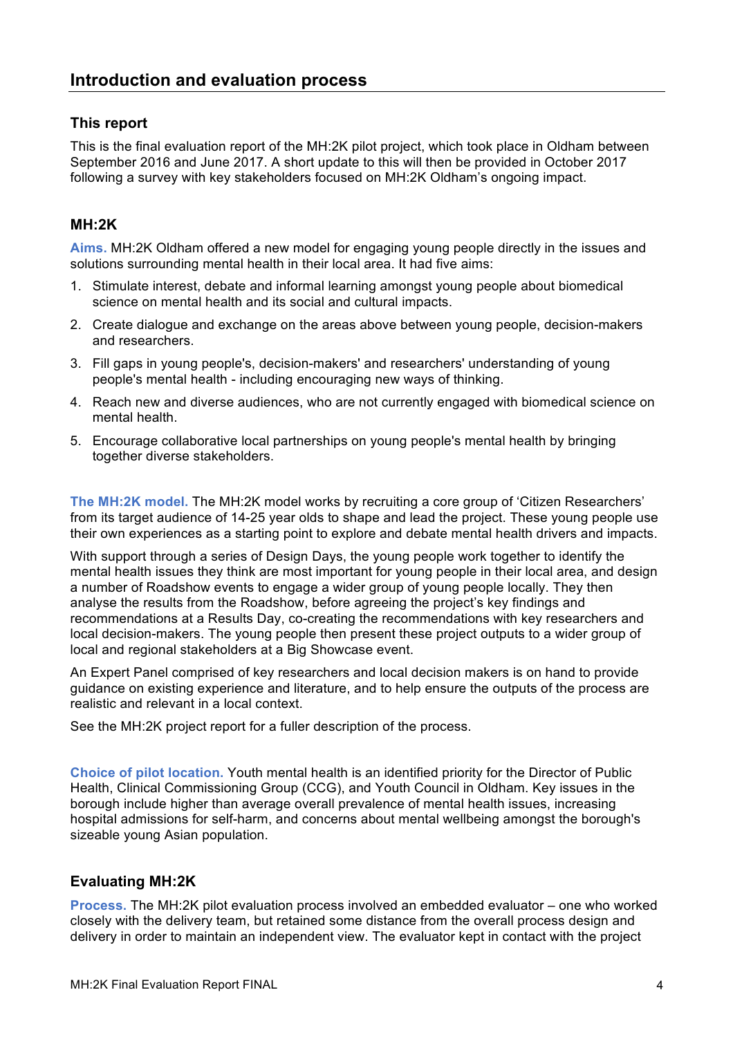## **This report**

This is the final evaluation report of the MH:2K pilot project, which took place in Oldham between September 2016 and June 2017. A short update to this will then be provided in October 2017 following a survey with key stakeholders focused on MH:2K Oldham's ongoing impact.

## **MH:2K**

**Aims.** MH:2K Oldham offered a new model for engaging young people directly in the issues and solutions surrounding mental health in their local area. It had five aims:

- 1. Stimulate interest, debate and informal learning amongst young people about biomedical science on mental health and its social and cultural impacts.
- 2. Create dialogue and exchange on the areas above between young people, decision-makers and researchers.
- 3. Fill gaps in young people's, decision-makers' and researchers' understanding of young people's mental health - including encouraging new ways of thinking.
- 4. Reach new and diverse audiences, who are not currently engaged with biomedical science on mental health.
- 5. Encourage collaborative local partnerships on young people's mental health by bringing together diverse stakeholders.

**The MH:2K model.** The MH:2K model works by recruiting a core group of 'Citizen Researchers' from its target audience of 14-25 year olds to shape and lead the project. These young people use their own experiences as a starting point to explore and debate mental health drivers and impacts.

With support through a series of Design Days, the young people work together to identify the mental health issues they think are most important for young people in their local area, and design a number of Roadshow events to engage a wider group of young people locally. They then analyse the results from the Roadshow, before agreeing the project's key findings and recommendations at a Results Day, co-creating the recommendations with key researchers and local decision-makers. The young people then present these project outputs to a wider group of local and regional stakeholders at a Big Showcase event.

An Expert Panel comprised of key researchers and local decision makers is on hand to provide guidance on existing experience and literature, and to help ensure the outputs of the process are realistic and relevant in a local context.

See the MH:2K project report for a fuller description of the process.

**Choice of pilot location.** Youth mental health is an identified priority for the Director of Public Health, Clinical Commissioning Group (CCG), and Youth Council in Oldham. Key issues in the borough include higher than average overall prevalence of mental health issues, increasing hospital admissions for self-harm, and concerns about mental wellbeing amongst the borough's sizeable young Asian population.

## **Evaluating MH:2K**

**Process.** The MH:2K pilot evaluation process involved an embedded evaluator – one who worked closely with the delivery team, but retained some distance from the overall process design and delivery in order to maintain an independent view. The evaluator kept in contact with the project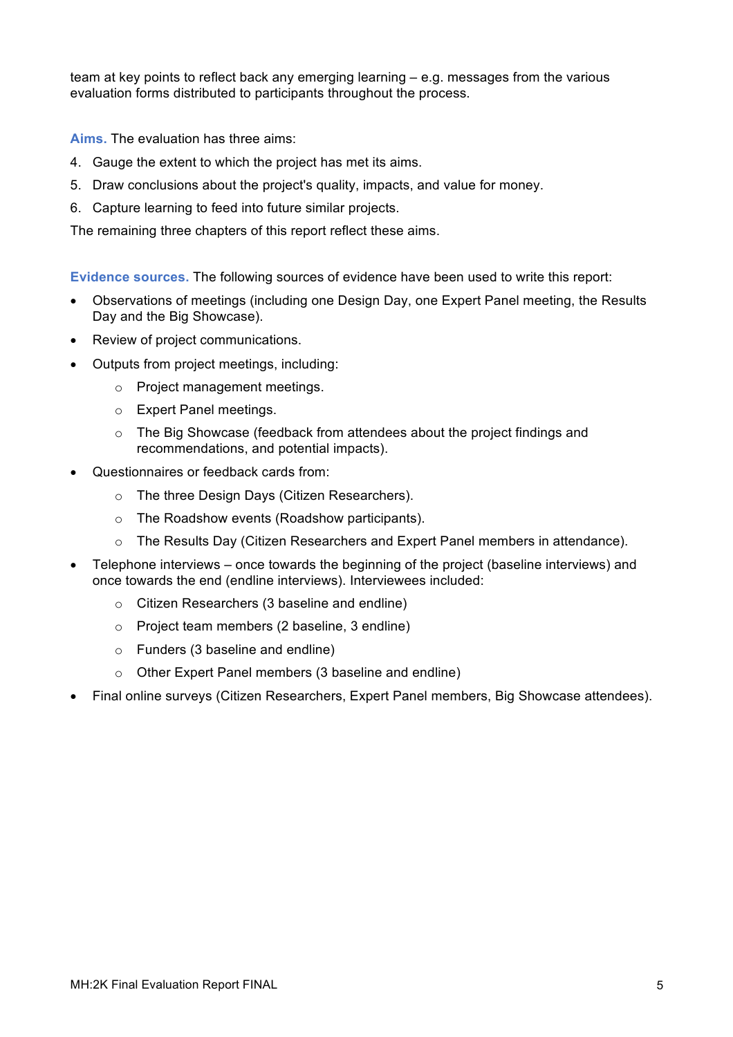team at key points to reflect back any emerging learning – e.g. messages from the various evaluation forms distributed to participants throughout the process.

**Aims.** The evaluation has three aims:

- 4. Gauge the extent to which the project has met its aims.
- 5. Draw conclusions about the project's quality, impacts, and value for money.
- 6. Capture learning to feed into future similar projects.

The remaining three chapters of this report reflect these aims.

**Evidence sources.** The following sources of evidence have been used to write this report:

- Observations of meetings (including one Design Day, one Expert Panel meeting, the Results Day and the Big Showcase).
- Review of project communications.
- Outputs from project meetings, including:
	- o Project management meetings.
	- o Expert Panel meetings.
	- o The Big Showcase (feedback from attendees about the project findings and recommendations, and potential impacts).
- Questionnaires or feedback cards from:
	- o The three Design Days (Citizen Researchers).
	- o The Roadshow events (Roadshow participants).
	- o The Results Day (Citizen Researchers and Expert Panel members in attendance).
- Telephone interviews once towards the beginning of the project (baseline interviews) and once towards the end (endline interviews). Interviewees included:
	- o Citizen Researchers (3 baseline and endline)
	- o Project team members (2 baseline, 3 endline)
	- o Funders (3 baseline and endline)
	- o Other Expert Panel members (3 baseline and endline)
- Final online surveys (Citizen Researchers, Expert Panel members, Big Showcase attendees).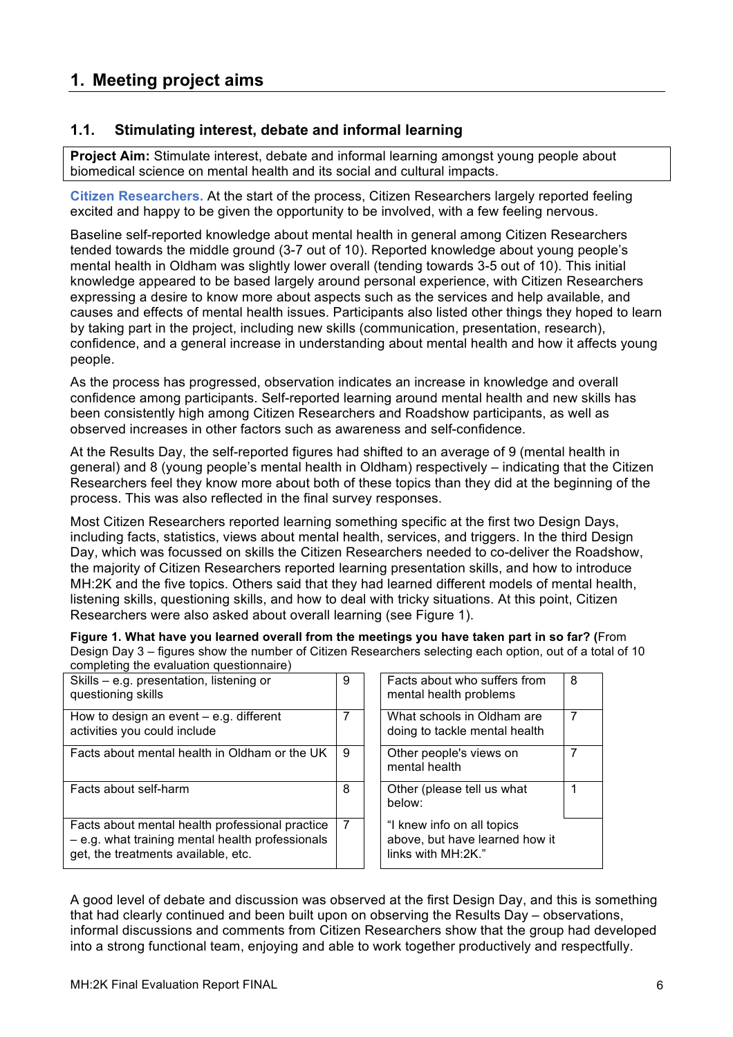## **1. Meeting project aims**

## **1.1. Stimulating interest, debate and informal learning**

**Project Aim:** Stimulate interest, debate and informal learning amongst young people about biomedical science on mental health and its social and cultural impacts.

**Citizen Researchers.** At the start of the process, Citizen Researchers largely reported feeling excited and happy to be given the opportunity to be involved, with a few feeling nervous.

Baseline self-reported knowledge about mental health in general among Citizen Researchers tended towards the middle ground (3-7 out of 10). Reported knowledge about young people's mental health in Oldham was slightly lower overall (tending towards 3-5 out of 10). This initial knowledge appeared to be based largely around personal experience, with Citizen Researchers expressing a desire to know more about aspects such as the services and help available, and causes and effects of mental health issues. Participants also listed other things they hoped to learn by taking part in the project, including new skills (communication, presentation, research), confidence, and a general increase in understanding about mental health and how it affects young people.

As the process has progressed, observation indicates an increase in knowledge and overall confidence among participants. Self-reported learning around mental health and new skills has been consistently high among Citizen Researchers and Roadshow participants, as well as observed increases in other factors such as awareness and self-confidence.

At the Results Day, the self-reported figures had shifted to an average of 9 (mental health in general) and 8 (young people's mental health in Oldham) respectively – indicating that the Citizen Researchers feel they know more about both of these topics than they did at the beginning of the process. This was also reflected in the final survey responses.

Most Citizen Researchers reported learning something specific at the first two Design Days, including facts, statistics, views about mental health, services, and triggers. In the third Design Day, which was focussed on skills the Citizen Researchers needed to co-deliver the Roadshow, the majority of Citizen Researchers reported learning presentation skills, and how to introduce MH:2K and the five topics. Others said that they had learned different models of mental health, listening skills, questioning skills, and how to deal with tricky situations. At this point, Citizen Researchers were also asked about overall learning (see Figure 1).

**Figure 1. What have you learned overall from the meetings you have taken part in so far? (**From Design Day 3 – figures show the number of Citizen Researchers selecting each option, out of a total of 10 completing the evaluation questionnaire)

| Skills - e.g. presentation, listening or<br>questioning skills                                                                               | 9 | Facts about who suffers from<br>mental health problems                             | 8 |
|----------------------------------------------------------------------------------------------------------------------------------------------|---|------------------------------------------------------------------------------------|---|
| How to design an event $-$ e.g. different<br>activities you could include                                                                    | 7 | What schools in Oldham are<br>doing to tackle mental health                        |   |
| Facts about mental health in Oldham or the UK                                                                                                | 9 | Other people's views on<br>mental health                                           | 7 |
| Facts about self-harm                                                                                                                        | 8 | Other (please tell us what<br>below:                                               |   |
| Facts about mental health professional practice<br>$-$ e.g. what training mental health professionals<br>get, the treatments available, etc. | 7 | "I knew info on all topics<br>above, but have learned how it<br>links with MH:2K." |   |

A good level of debate and discussion was observed at the first Design Day, and this is something that had clearly continued and been built upon on observing the Results Day – observations, informal discussions and comments from Citizen Researchers show that the group had developed into a strong functional team, enjoying and able to work together productively and respectfully.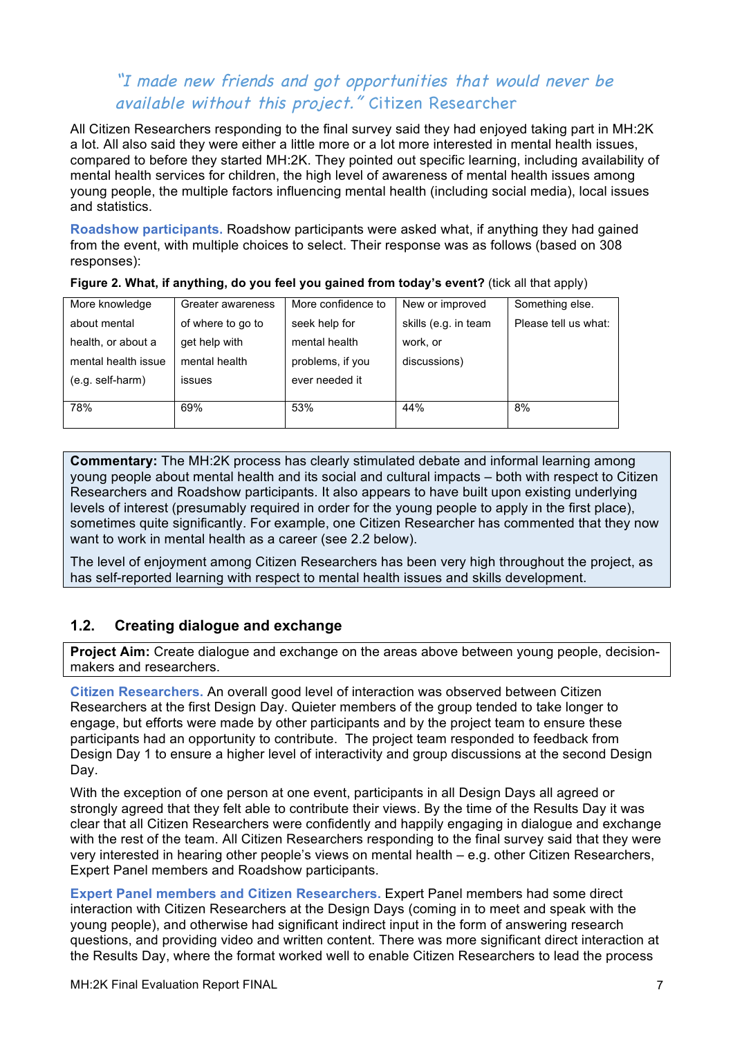## "I made new friends and got opportunities that would never be available without this project." Citizen Researcher

All Citizen Researchers responding to the final survey said they had enjoyed taking part in MH:2K a lot. All also said they were either a little more or a lot more interested in mental health issues, compared to before they started MH:2K. They pointed out specific learning, including availability of mental health services for children, the high level of awareness of mental health issues among young people, the multiple factors influencing mental health (including social media), local issues and statistics.

**Roadshow participants.** Roadshow participants were asked what, if anything they had gained from the event, with multiple choices to select. Their response was as follows (based on 308 responses):

| More knowledge      | Greater awareness | More confidence to | New or improved      | Something else.      |
|---------------------|-------------------|--------------------|----------------------|----------------------|
| about mental        | of where to go to | seek help for      | skills (e.g. in team | Please tell us what: |
| health, or about a  | get help with     | mental health      | work, or             |                      |
| mental health issue | mental health     | problems, if you   | discussions)         |                      |
| (e.g. self-harm)    | issues            | ever needed it     |                      |                      |
|                     |                   |                    |                      |                      |
| 78%                 | 69%               | 53%                | 44%                  | 8%                   |
|                     |                   |                    |                      |                      |

**Figure 2. What, if anything, do you feel you gained from today's event?** (tick all that apply)

**Commentary:** The MH:2K process has clearly stimulated debate and informal learning among young people about mental health and its social and cultural impacts – both with respect to Citizen Researchers and Roadshow participants. It also appears to have built upon existing underlying levels of interest (presumably required in order for the young people to apply in the first place), sometimes quite significantly. For example, one Citizen Researcher has commented that they now want to work in mental health as a career (see 2.2 below).

The level of enjoyment among Citizen Researchers has been very high throughout the project, as has self-reported learning with respect to mental health issues and skills development.

## **1.2. Creating dialogue and exchange**

**Project Aim:** Create dialogue and exchange on the areas above between young people, decisionmakers and researchers.

**Citizen Researchers.** An overall good level of interaction was observed between Citizen Researchers at the first Design Day. Quieter members of the group tended to take longer to engage, but efforts were made by other participants and by the project team to ensure these participants had an opportunity to contribute. The project team responded to feedback from Design Day 1 to ensure a higher level of interactivity and group discussions at the second Design Day.

With the exception of one person at one event, participants in all Design Days all agreed or strongly agreed that they felt able to contribute their views. By the time of the Results Day it was clear that all Citizen Researchers were confidently and happily engaging in dialogue and exchange with the rest of the team. All Citizen Researchers responding to the final survey said that they were very interested in hearing other people's views on mental health – e.g. other Citizen Researchers, Expert Panel members and Roadshow participants.

**Expert Panel members and Citizen Researchers.** Expert Panel members had some direct interaction with Citizen Researchers at the Design Days (coming in to meet and speak with the young people), and otherwise had significant indirect input in the form of answering research questions, and providing video and written content. There was more significant direct interaction at the Results Day, where the format worked well to enable Citizen Researchers to lead the process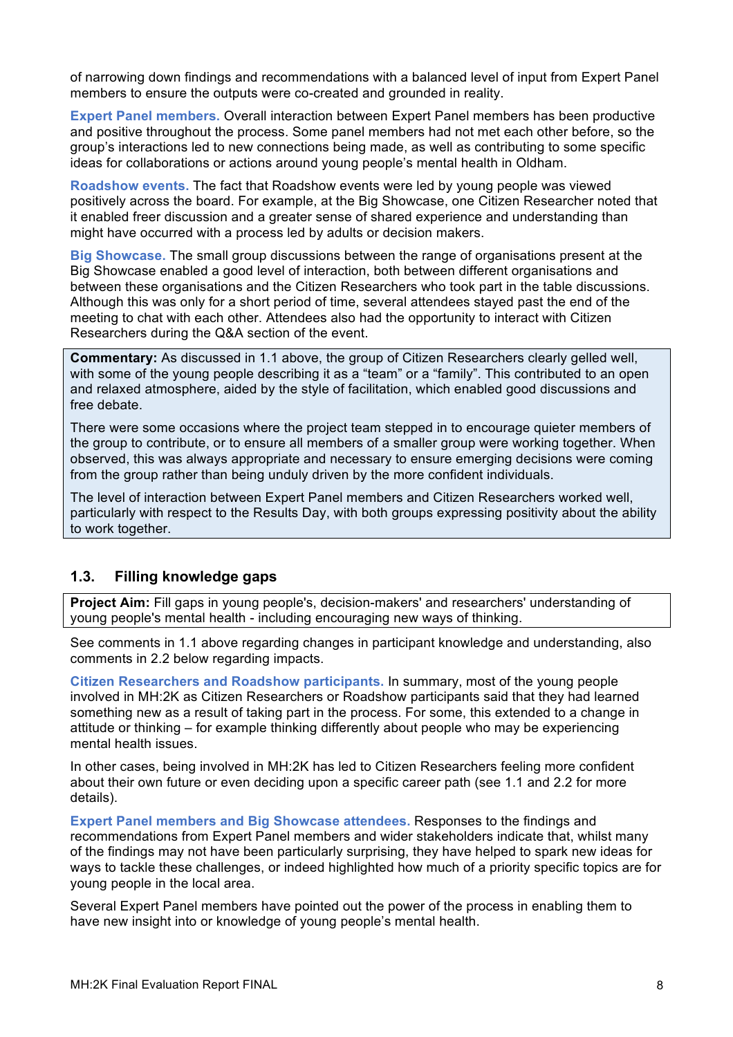of narrowing down findings and recommendations with a balanced level of input from Expert Panel members to ensure the outputs were co-created and grounded in reality.

**Expert Panel members.** Overall interaction between Expert Panel members has been productive and positive throughout the process. Some panel members had not met each other before, so the group's interactions led to new connections being made, as well as contributing to some specific ideas for collaborations or actions around young people's mental health in Oldham.

**Roadshow events.** The fact that Roadshow events were led by young people was viewed positively across the board. For example, at the Big Showcase, one Citizen Researcher noted that it enabled freer discussion and a greater sense of shared experience and understanding than might have occurred with a process led by adults or decision makers.

**Big Showcase.** The small group discussions between the range of organisations present at the Big Showcase enabled a good level of interaction, both between different organisations and between these organisations and the Citizen Researchers who took part in the table discussions. Although this was only for a short period of time, several attendees stayed past the end of the meeting to chat with each other. Attendees also had the opportunity to interact with Citizen Researchers during the Q&A section of the event.

**Commentary:** As discussed in 1.1 above, the group of Citizen Researchers clearly gelled well, with some of the young people describing it as a "team" or a "family". This contributed to an open and relaxed atmosphere, aided by the style of facilitation, which enabled good discussions and free debate.

There were some occasions where the project team stepped in to encourage quieter members of the group to contribute, or to ensure all members of a smaller group were working together. When observed, this was always appropriate and necessary to ensure emerging decisions were coming from the group rather than being unduly driven by the more confident individuals.

The level of interaction between Expert Panel members and Citizen Researchers worked well, particularly with respect to the Results Day, with both groups expressing positivity about the ability to work together.

## **1.3. Filling knowledge gaps**

**Project Aim:** Fill gaps in young people's, decision-makers' and researchers' understanding of young people's mental health - including encouraging new ways of thinking.

See comments in 1.1 above regarding changes in participant knowledge and understanding, also comments in 2.2 below regarding impacts.

**Citizen Researchers and Roadshow participants.** In summary, most of the young people involved in MH:2K as Citizen Researchers or Roadshow participants said that they had learned something new as a result of taking part in the process. For some, this extended to a change in attitude or thinking – for example thinking differently about people who may be experiencing mental health issues.

In other cases, being involved in MH:2K has led to Citizen Researchers feeling more confident about their own future or even deciding upon a specific career path (see 1.1 and 2.2 for more details).

**Expert Panel members and Big Showcase attendees.** Responses to the findings and recommendations from Expert Panel members and wider stakeholders indicate that, whilst many of the findings may not have been particularly surprising, they have helped to spark new ideas for ways to tackle these challenges, or indeed highlighted how much of a priority specific topics are for young people in the local area.

Several Expert Panel members have pointed out the power of the process in enabling them to have new insight into or knowledge of young people's mental health.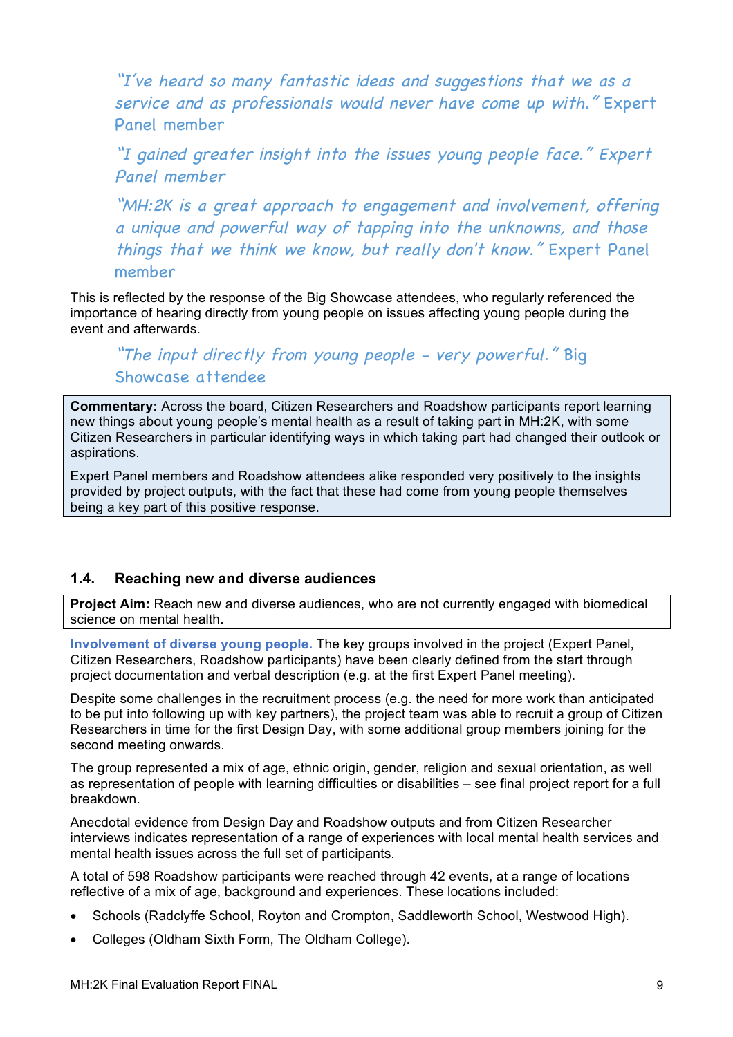"I've heard so many fantastic ideas and suggestions that we as a service and as professionals would never have come up with." Expert Panel member

"I gained greater insight into the issues young people face." Expert Panel member

"MH:2K is a great approach to engagement and involvement, offering a unique and powerful way of tapping into the unknowns, and those things that we think we know, but really don't know." Expert Panel member

This is reflected by the response of the Big Showcase attendees, who regularly referenced the importance of hearing directly from young people on issues affecting young people during the event and afterwards.

## "The input directly from young people - very powerful." Big Showcase attendee

**Commentary:** Across the board, Citizen Researchers and Roadshow participants report learning new things about young people's mental health as a result of taking part in MH:2K, with some Citizen Researchers in particular identifying ways in which taking part had changed their outlook or aspirations.

Expert Panel members and Roadshow attendees alike responded very positively to the insights provided by project outputs, with the fact that these had come from young people themselves being a key part of this positive response.

## **1.4. Reaching new and diverse audiences**

**Project Aim:** Reach new and diverse audiences, who are not currently engaged with biomedical science on mental health.

**Involvement of diverse young people.** The key groups involved in the project (Expert Panel, Citizen Researchers, Roadshow participants) have been clearly defined from the start through project documentation and verbal description (e.g. at the first Expert Panel meeting).

Despite some challenges in the recruitment process (e.g. the need for more work than anticipated to be put into following up with key partners), the project team was able to recruit a group of Citizen Researchers in time for the first Design Day, with some additional group members joining for the second meeting onwards.

The group represented a mix of age, ethnic origin, gender, religion and sexual orientation, as well as representation of people with learning difficulties or disabilities – see final project report for a full breakdown.

Anecdotal evidence from Design Day and Roadshow outputs and from Citizen Researcher interviews indicates representation of a range of experiences with local mental health services and mental health issues across the full set of participants.

A total of 598 Roadshow participants were reached through 42 events, at a range of locations reflective of a mix of age, background and experiences. These locations included:

- Schools (Radclyffe School, Royton and Crompton, Saddleworth School, Westwood High).
- Colleges (Oldham Sixth Form, The Oldham College).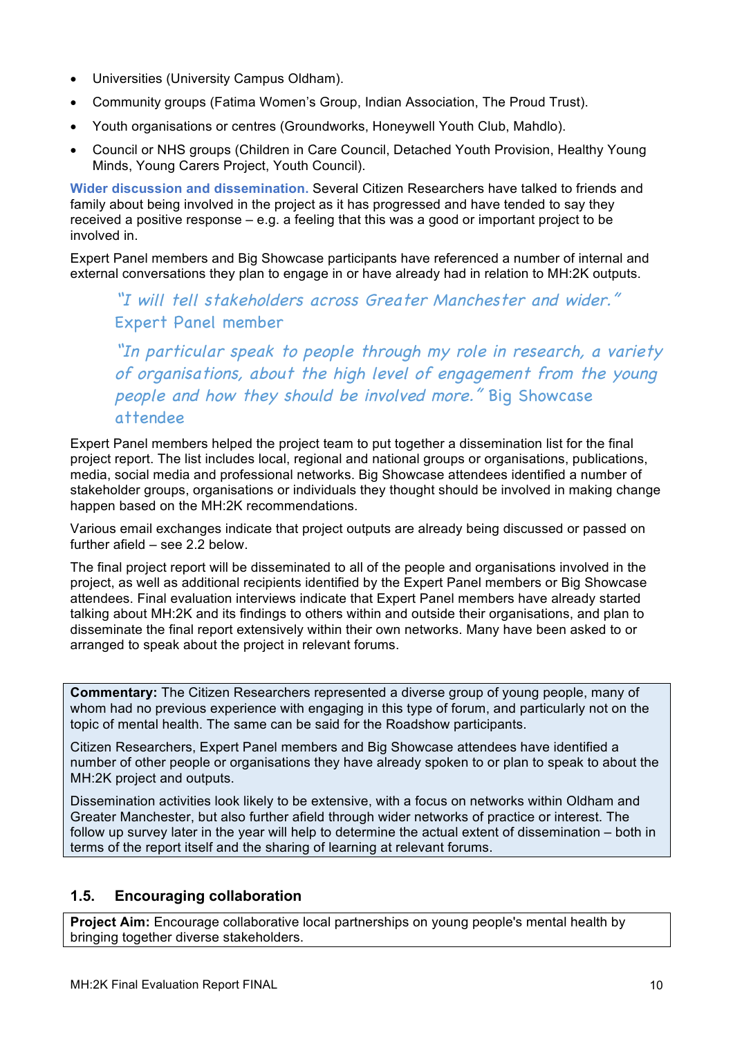- Universities (University Campus Oldham).
- Community groups (Fatima Women's Group, Indian Association, The Proud Trust).
- Youth organisations or centres (Groundworks, Honeywell Youth Club, Mahdlo).
- Council or NHS groups (Children in Care Council, Detached Youth Provision, Healthy Young Minds, Young Carers Project, Youth Council).

**Wider discussion and dissemination.** Several Citizen Researchers have talked to friends and family about being involved in the project as it has progressed and have tended to say they received a positive response – e.g. a feeling that this was a good or important project to be involved in.

Expert Panel members and Big Showcase participants have referenced a number of internal and external conversations they plan to engage in or have already had in relation to MH:2K outputs.

## "I will tell stakeholders across Greater Manchester and wider." Expert Panel member

"In particular speak to people through my role in research, a variety of organisations, about the high level of engagement from the young people and how they should be involved more." Big Showcase attendee

Expert Panel members helped the project team to put together a dissemination list for the final project report. The list includes local, regional and national groups or organisations, publications, media, social media and professional networks. Big Showcase attendees identified a number of stakeholder groups, organisations or individuals they thought should be involved in making change happen based on the MH:2K recommendations.

Various email exchanges indicate that project outputs are already being discussed or passed on further afield – see 2.2 below.

The final project report will be disseminated to all of the people and organisations involved in the project, as well as additional recipients identified by the Expert Panel members or Big Showcase attendees. Final evaluation interviews indicate that Expert Panel members have already started talking about MH:2K and its findings to others within and outside their organisations, and plan to disseminate the final report extensively within their own networks. Many have been asked to or arranged to speak about the project in relevant forums.

**Commentary:** The Citizen Researchers represented a diverse group of young people, many of whom had no previous experience with engaging in this type of forum, and particularly not on the topic of mental health. The same can be said for the Roadshow participants.

Citizen Researchers, Expert Panel members and Big Showcase attendees have identified a number of other people or organisations they have already spoken to or plan to speak to about the MH:2K project and outputs.

Dissemination activities look likely to be extensive, with a focus on networks within Oldham and Greater Manchester, but also further afield through wider networks of practice or interest. The follow up survey later in the year will help to determine the actual extent of dissemination – both in terms of the report itself and the sharing of learning at relevant forums.

## **1.5. Encouraging collaboration**

**Project Aim:** Encourage collaborative local partnerships on young people's mental health by bringing together diverse stakeholders.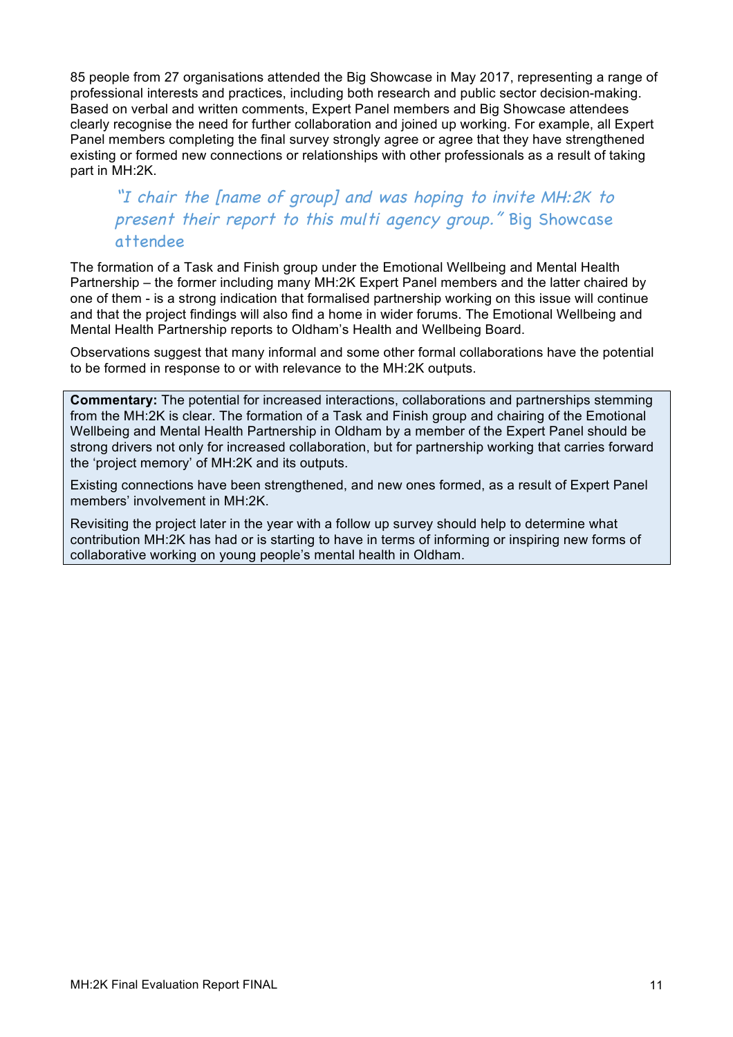85 people from 27 organisations attended the Big Showcase in May 2017, representing a range of professional interests and practices, including both research and public sector decision-making. Based on verbal and written comments, Expert Panel members and Big Showcase attendees clearly recognise the need for further collaboration and joined up working. For example, all Expert Panel members completing the final survey strongly agree or agree that they have strengthened existing or formed new connections or relationships with other professionals as a result of taking part in MH:2K.

## "I chair the [name of group] and was hoping to invite MH:2K to present their report to this multi agency group." Big Showcase attendee

The formation of a Task and Finish group under the Emotional Wellbeing and Mental Health Partnership – the former including many MH:2K Expert Panel members and the latter chaired by one of them - is a strong indication that formalised partnership working on this issue will continue and that the project findings will also find a home in wider forums. The Emotional Wellbeing and Mental Health Partnership reports to Oldham's Health and Wellbeing Board.

Observations suggest that many informal and some other formal collaborations have the potential to be formed in response to or with relevance to the MH:2K outputs.

**Commentary:** The potential for increased interactions, collaborations and partnerships stemming from the MH:2K is clear. The formation of a Task and Finish group and chairing of the Emotional Wellbeing and Mental Health Partnership in Oldham by a member of the Expert Panel should be strong drivers not only for increased collaboration, but for partnership working that carries forward the 'project memory' of MH:2K and its outputs.

Existing connections have been strengthened, and new ones formed, as a result of Expert Panel members' involvement in MH:2K.

Revisiting the project later in the year with a follow up survey should help to determine what contribution MH:2K has had or is starting to have in terms of informing or inspiring new forms of collaborative working on young people's mental health in Oldham.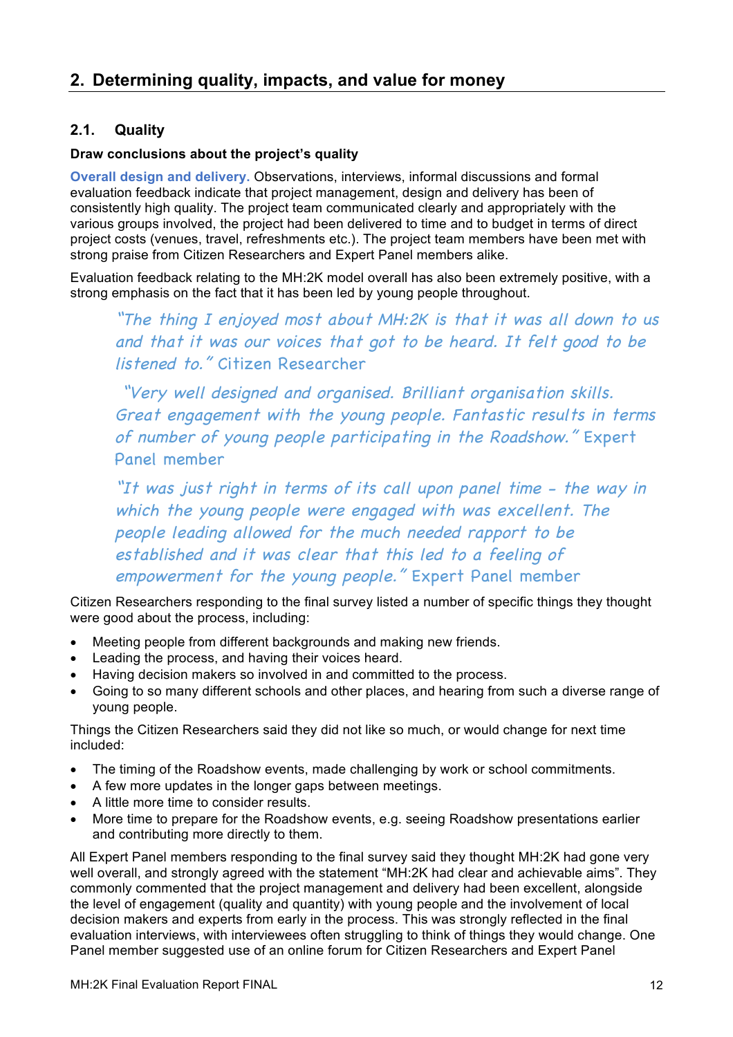## **2. Determining quality, impacts, and value for money**

## **2.1. Quality**

#### **Draw conclusions about the project's quality**

**Overall design and delivery.** Observations, interviews, informal discussions and formal evaluation feedback indicate that project management, design and delivery has been of consistently high quality. The project team communicated clearly and appropriately with the various groups involved, the project had been delivered to time and to budget in terms of direct project costs (venues, travel, refreshments etc.). The project team members have been met with strong praise from Citizen Researchers and Expert Panel members alike.

Evaluation feedback relating to the MH:2K model overall has also been extremely positive, with a strong emphasis on the fact that it has been led by young people throughout.

"The thing I enjoyed most about MH:2K is that it was all down to us and that it was our voices that got to be heard. It felt good to be listened to." Citizen Researcher

"Very well designed and organised. Brilliant organisation skills. Great engagement with the young people. Fantastic results in terms of number of young people participating in the Roadshow." Expert Panel member

"It was just right in terms of its call upon panel time - the way in which the young people were engaged with was excellent. The people leading allowed for the much needed rapport to be established and it was clear that this led to a feeling of empowerment for the young people." Expert Panel member

Citizen Researchers responding to the final survey listed a number of specific things they thought were good about the process, including:

- Meeting people from different backgrounds and making new friends.
- Leading the process, and having their voices heard.
- Having decision makers so involved in and committed to the process.
- Going to so many different schools and other places, and hearing from such a diverse range of young people.

Things the Citizen Researchers said they did not like so much, or would change for next time included:

- The timing of the Roadshow events, made challenging by work or school commitments.
- A few more updates in the longer gaps between meetings.
- A little more time to consider results.
- More time to prepare for the Roadshow events, e.g. seeing Roadshow presentations earlier and contributing more directly to them.

All Expert Panel members responding to the final survey said they thought MH:2K had gone very well overall, and strongly agreed with the statement "MH:2K had clear and achievable aims". They commonly commented that the project management and delivery had been excellent, alongside the level of engagement (quality and quantity) with young people and the involvement of local decision makers and experts from early in the process. This was strongly reflected in the final evaluation interviews, with interviewees often struggling to think of things they would change. One Panel member suggested use of an online forum for Citizen Researchers and Expert Panel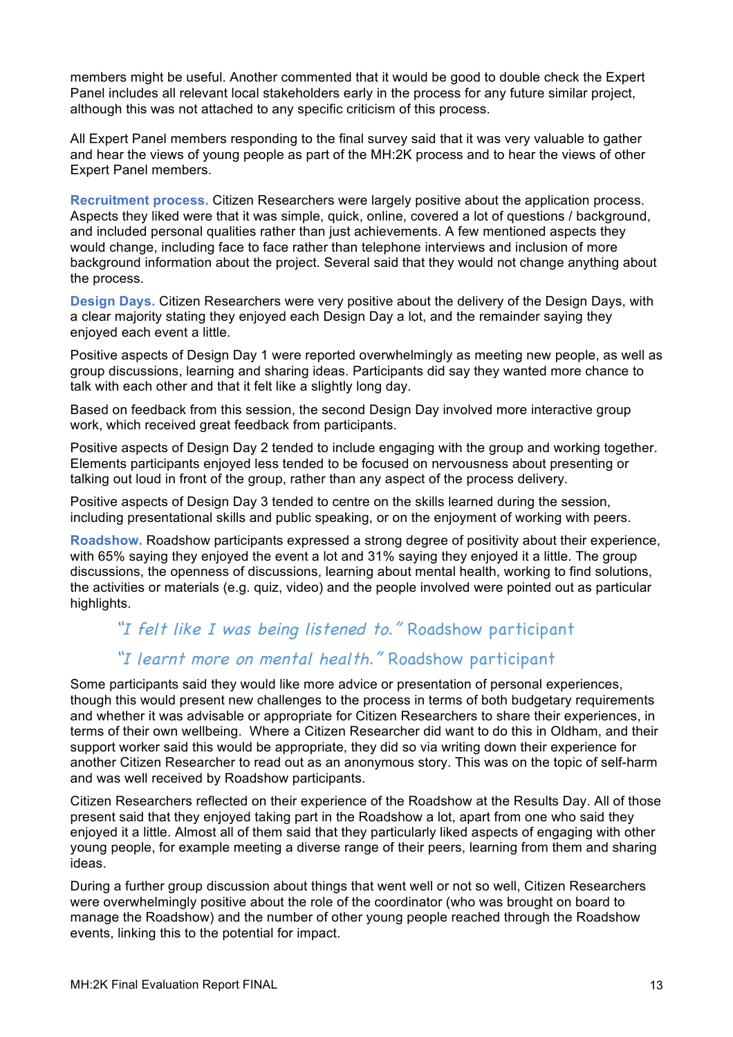members might be useful. Another commented that it would be good to double check the Expert Panel includes all relevant local stakeholders early in the process for any future similar project, although this was not attached to any specific criticism of this process.

All Expert Panel members responding to the final survey said that it was very valuable to gather and hear the views of young people as part of the MH:2K process and to hear the views of other Expert Panel members.

**Recruitment process.** Citizen Researchers were largely positive about the application process. Aspects they liked were that it was simple, quick, online, covered a lot of questions / background, and included personal qualities rather than just achievements. A few mentioned aspects they would change, including face to face rather than telephone interviews and inclusion of more background information about the project. Several said that they would not change anything about the process.

**Design Days.** Citizen Researchers were very positive about the delivery of the Design Days, with a clear majority stating they enjoyed each Design Day a lot, and the remainder saying they enjoyed each event a little.

Positive aspects of Design Day 1 were reported overwhelmingly as meeting new people, as well as group discussions, learning and sharing ideas. Participants did say they wanted more chance to talk with each other and that it felt like a slightly long day.

Based on feedback from this session, the second Design Day involved more interactive group work, which received great feedback from participants.

Positive aspects of Design Day 2 tended to include engaging with the group and working together. Elements participants enjoyed less tended to be focused on nervousness about presenting or talking out loud in front of the group, rather than any aspect of the process delivery.

Positive aspects of Design Day 3 tended to centre on the skills learned during the session, including presentational skills and public speaking, or on the enjoyment of working with peers.

**Roadshow.** Roadshow participants expressed a strong degree of positivity about their experience, with 65% saying they enjoyed the event a lot and 31% saying they enjoyed it a little. The group discussions, the openness of discussions, learning about mental health, working to find solutions, the activities or materials (e.g. quiz, video) and the people involved were pointed out as particular highlights.

## "I felt like I was being listened to." Roadshow participant

## "I learnt more on mental health." Roadshow participant

Some participants said they would like more advice or presentation of personal experiences, though this would present new challenges to the process in terms of both budgetary requirements and whether it was advisable or appropriate for Citizen Researchers to share their experiences, in terms of their own wellbeing. Where a Citizen Researcher did want to do this in Oldham, and their support worker said this would be appropriate, they did so via writing down their experience for another Citizen Researcher to read out as an anonymous story. This was on the topic of self-harm and was well received by Roadshow participants.

Citizen Researchers reflected on their experience of the Roadshow at the Results Day. All of those present said that they enjoyed taking part in the Roadshow a lot, apart from one who said they enjoyed it a little. Almost all of them said that they particularly liked aspects of engaging with other young people, for example meeting a diverse range of their peers, learning from them and sharing ideas.

During a further group discussion about things that went well or not so well, Citizen Researchers were overwhelmingly positive about the role of the coordinator (who was brought on board to manage the Roadshow) and the number of other young people reached through the Roadshow events, linking this to the potential for impact.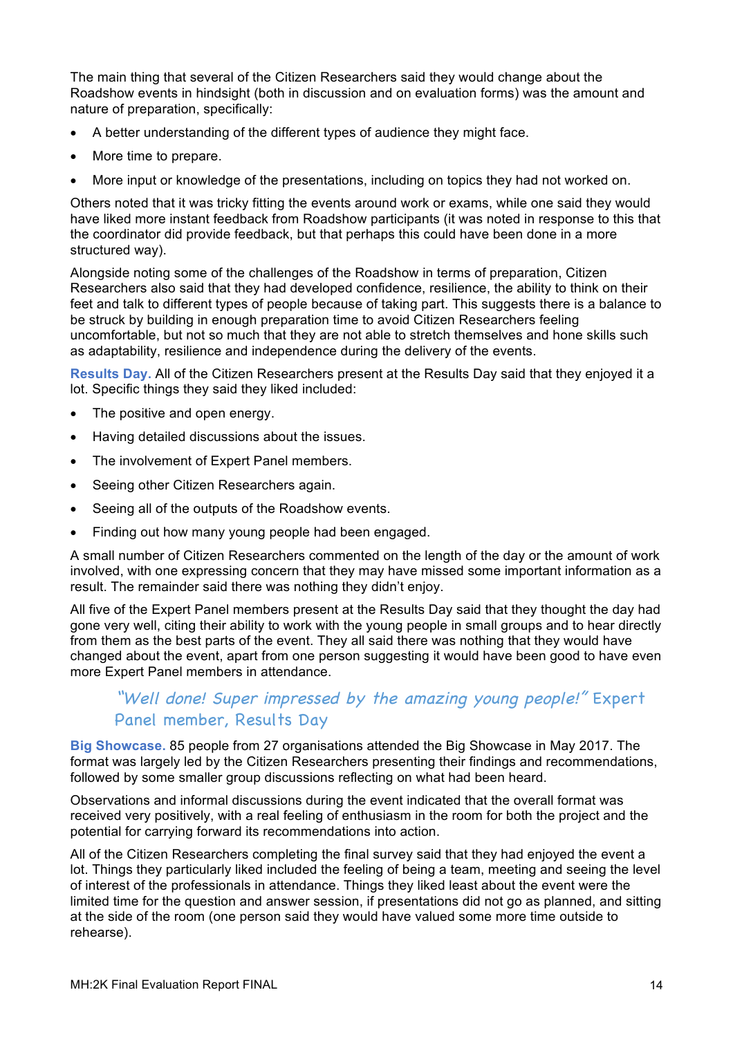The main thing that several of the Citizen Researchers said they would change about the Roadshow events in hindsight (both in discussion and on evaluation forms) was the amount and nature of preparation, specifically:

- A better understanding of the different types of audience they might face.
- More time to prepare.
- More input or knowledge of the presentations, including on topics they had not worked on.

Others noted that it was tricky fitting the events around work or exams, while one said they would have liked more instant feedback from Roadshow participants (it was noted in response to this that the coordinator did provide feedback, but that perhaps this could have been done in a more structured way).

Alongside noting some of the challenges of the Roadshow in terms of preparation, Citizen Researchers also said that they had developed confidence, resilience, the ability to think on their feet and talk to different types of people because of taking part. This suggests there is a balance to be struck by building in enough preparation time to avoid Citizen Researchers feeling uncomfortable, but not so much that they are not able to stretch themselves and hone skills such as adaptability, resilience and independence during the delivery of the events.

**Results Day.** All of the Citizen Researchers present at the Results Day said that they enjoyed it a lot. Specific things they said they liked included:

- The positive and open energy.
- Having detailed discussions about the issues.
- The involvement of Expert Panel members.
- Seeing other Citizen Researchers again.
- Seeing all of the outputs of the Roadshow events.
- Finding out how many young people had been engaged.

A small number of Citizen Researchers commented on the length of the day or the amount of work involved, with one expressing concern that they may have missed some important information as a result. The remainder said there was nothing they didn't enjoy.

All five of the Expert Panel members present at the Results Day said that they thought the day had gone very well, citing their ability to work with the young people in small groups and to hear directly from them as the best parts of the event. They all said there was nothing that they would have changed about the event, apart from one person suggesting it would have been good to have even more Expert Panel members in attendance.

## "Well done! Super impressed by the amazing young people!" Expert Panel member, Results Day

**Big Showcase.** 85 people from 27 organisations attended the Big Showcase in May 2017. The format was largely led by the Citizen Researchers presenting their findings and recommendations, followed by some smaller group discussions reflecting on what had been heard.

Observations and informal discussions during the event indicated that the overall format was received very positively, with a real feeling of enthusiasm in the room for both the project and the potential for carrying forward its recommendations into action.

All of the Citizen Researchers completing the final survey said that they had enjoyed the event a lot. Things they particularly liked included the feeling of being a team, meeting and seeing the level of interest of the professionals in attendance. Things they liked least about the event were the limited time for the question and answer session, if presentations did not go as planned, and sitting at the side of the room (one person said they would have valued some more time outside to rehearse).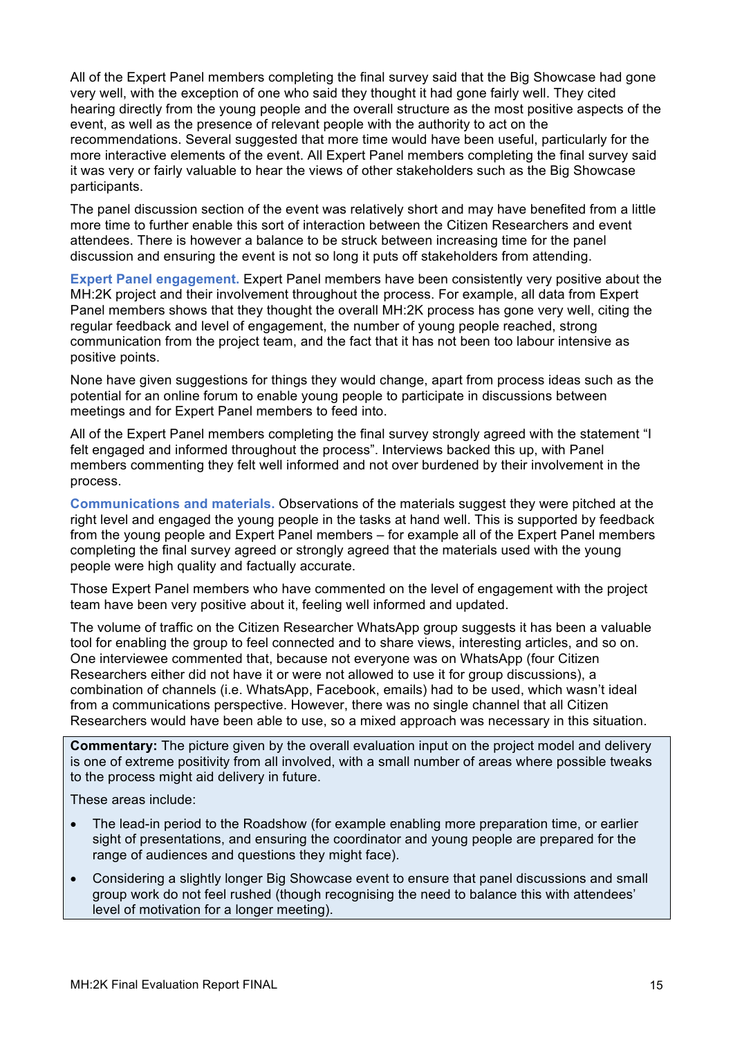All of the Expert Panel members completing the final survey said that the Big Showcase had gone very well, with the exception of one who said they thought it had gone fairly well. They cited hearing directly from the young people and the overall structure as the most positive aspects of the event, as well as the presence of relevant people with the authority to act on the recommendations. Several suggested that more time would have been useful, particularly for the more interactive elements of the event. All Expert Panel members completing the final survey said it was very or fairly valuable to hear the views of other stakeholders such as the Big Showcase participants.

The panel discussion section of the event was relatively short and may have benefited from a little more time to further enable this sort of interaction between the Citizen Researchers and event attendees. There is however a balance to be struck between increasing time for the panel discussion and ensuring the event is not so long it puts off stakeholders from attending.

**Expert Panel engagement.** Expert Panel members have been consistently very positive about the MH:2K project and their involvement throughout the process. For example, all data from Expert Panel members shows that they thought the overall MH:2K process has gone very well, citing the regular feedback and level of engagement, the number of young people reached, strong communication from the project team, and the fact that it has not been too labour intensive as positive points.

None have given suggestions for things they would change, apart from process ideas such as the potential for an online forum to enable young people to participate in discussions between meetings and for Expert Panel members to feed into.

All of the Expert Panel members completing the final survey strongly agreed with the statement "I felt engaged and informed throughout the process". Interviews backed this up, with Panel members commenting they felt well informed and not over burdened by their involvement in the process.

**Communications and materials.** Observations of the materials suggest they were pitched at the right level and engaged the young people in the tasks at hand well. This is supported by feedback from the young people and Expert Panel members – for example all of the Expert Panel members completing the final survey agreed or strongly agreed that the materials used with the young people were high quality and factually accurate.

Those Expert Panel members who have commented on the level of engagement with the project team have been very positive about it, feeling well informed and updated.

The volume of traffic on the Citizen Researcher WhatsApp group suggests it has been a valuable tool for enabling the group to feel connected and to share views, interesting articles, and so on. One interviewee commented that, because not everyone was on WhatsApp (four Citizen Researchers either did not have it or were not allowed to use it for group discussions), a combination of channels (i.e. WhatsApp, Facebook, emails) had to be used, which wasn't ideal from a communications perspective. However, there was no single channel that all Citizen Researchers would have been able to use, so a mixed approach was necessary in this situation.

**Commentary:** The picture given by the overall evaluation input on the project model and delivery is one of extreme positivity from all involved, with a small number of areas where possible tweaks to the process might aid delivery in future.

These areas include:

- The lead-in period to the Roadshow (for example enabling more preparation time, or earlier sight of presentations, and ensuring the coordinator and young people are prepared for the range of audiences and questions they might face).
- Considering a slightly longer Big Showcase event to ensure that panel discussions and small group work do not feel rushed (though recognising the need to balance this with attendees' level of motivation for a longer meeting).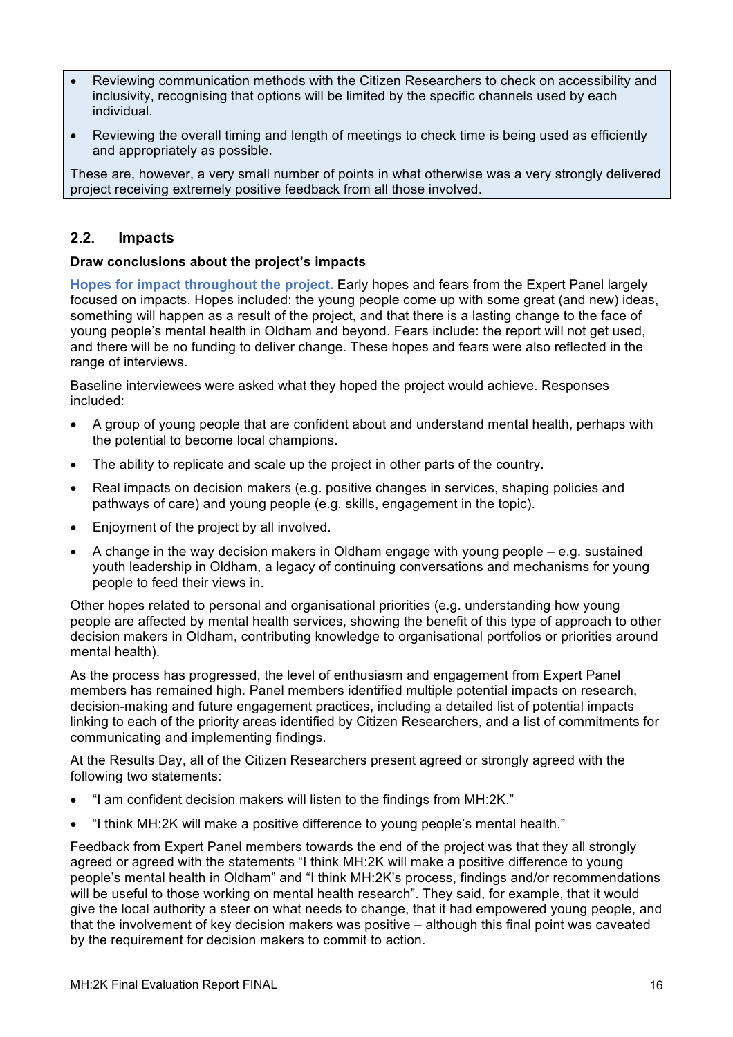- Reviewing communication methods with the Citizen Researchers to check on accessibility and inclusivity, recognising that options will be limited by the specific channels used by each individual.
- Reviewing the overall timing and length of meetings to check time is being used as efficiently and appropriately as possible.

These are, however, a very small number of points in what otherwise was a very strongly delivered project receiving extremely positive feedback from all those involved.

## **2.2. Impacts**

#### **Draw conclusions about the project's impacts**

**Hopes for impact throughout the project.** Early hopes and fears from the Expert Panel largely focused on impacts. Hopes included: the young people come up with some great (and new) ideas, something will happen as a result of the project, and that there is a lasting change to the face of young people's mental health in Oldham and beyond. Fears include: the report will not get used, and there will be no funding to deliver change. These hopes and fears were also reflected in the range of interviews.

Baseline interviewees were asked what they hoped the project would achieve. Responses included:

- A group of young people that are confident about and understand mental health, perhaps with the potential to become local champions.
- The ability to replicate and scale up the project in other parts of the country.
- Real impacts on decision makers (e.g. positive changes in services, shaping policies and pathways of care) and young people (e.g. skills, engagement in the topic).
- Enjoyment of the project by all involved.
- A change in the way decision makers in Oldham engage with young people e.g. sustained youth leadership in Oldham, a legacy of continuing conversations and mechanisms for young people to feed their views in.

Other hopes related to personal and organisational priorities (e.g. understanding how young people are affected by mental health services, showing the benefit of this type of approach to other decision makers in Oldham, contributing knowledge to organisational portfolios or priorities around mental health).

As the process has progressed, the level of enthusiasm and engagement from Expert Panel members has remained high. Panel members identified multiple potential impacts on research, decision-making and future engagement practices, including a detailed list of potential impacts linking to each of the priority areas identified by Citizen Researchers, and a list of commitments for communicating and implementing findings.

At the Results Day, all of the Citizen Researchers present agreed or strongly agreed with the following two statements:

- "I am confident decision makers will listen to the findings from MH:2K."
- "I think MH:2K will make a positive difference to young people's mental health."

Feedback from Expert Panel members towards the end of the project was that they all strongly agreed or agreed with the statements "I think MH:2K will make a positive difference to young people's mental health in Oldham" and "I think MH:2K's process, findings and/or recommendations will be useful to those working on mental health research". They said, for example, that it would give the local authority a steer on what needs to change, that it had empowered young people, and that the involvement of key decision makers was positive – although this final point was caveated by the requirement for decision makers to commit to action.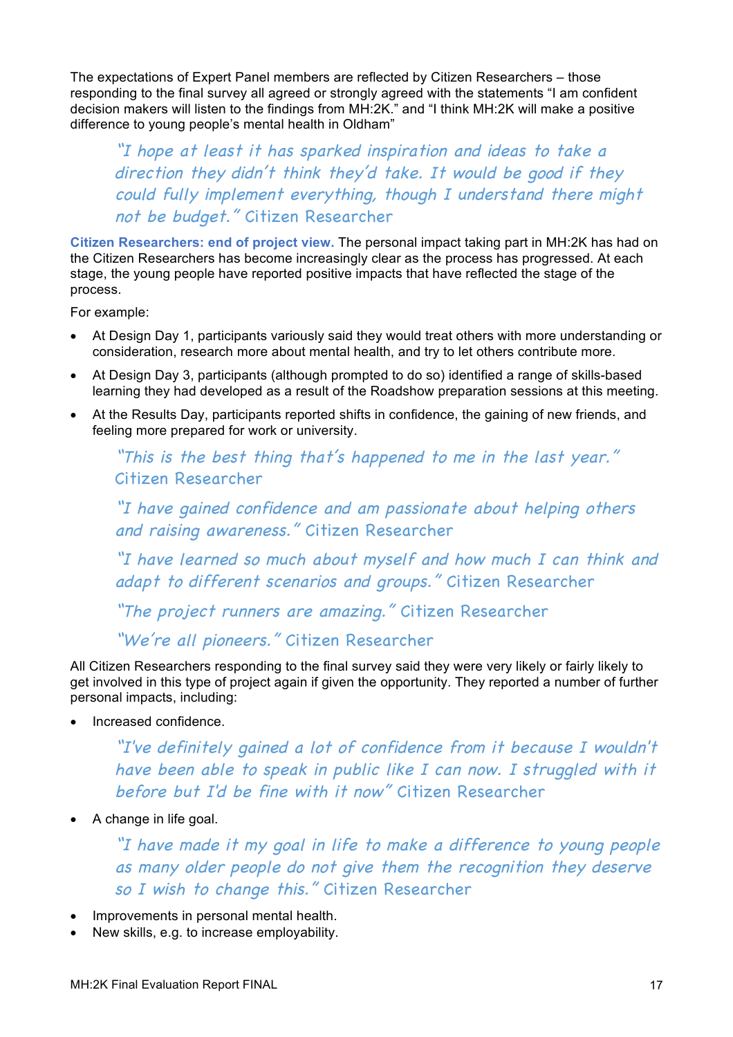The expectations of Expert Panel members are reflected by Citizen Researchers – those responding to the final survey all agreed or strongly agreed with the statements "I am confident decision makers will listen to the findings from MH:2K." and "I think MH:2K will make a positive difference to young people's mental health in Oldham"

"I hope at least it has sparked inspiration and ideas to take a direction they didn't think they'd take. It would be good if they could fully implement everything, though I understand there might not be budget." Citizen Researcher

**Citizen Researchers: end of project view.** The personal impact taking part in MH:2K has had on the Citizen Researchers has become increasingly clear as the process has progressed. At each stage, the young people have reported positive impacts that have reflected the stage of the process.

For example:

- At Design Day 1, participants variously said they would treat others with more understanding or consideration, research more about mental health, and try to let others contribute more.
- At Design Day 3, participants (although prompted to do so) identified a range of skills-based learning they had developed as a result of the Roadshow preparation sessions at this meeting.
- At the Results Day, participants reported shifts in confidence, the gaining of new friends, and feeling more prepared for work or university.

"This is the best thing that's happened to me in the last year." Citizen Researcher

"I have gained confidence and am passionate about helping others and raising awareness." Citizen Researcher

"I have learned so much about myself and how much I can think and adapt to different scenarios and groups." Citizen Researcher

"The project runners are amazing." Citizen Researcher

"We're all pioneers." Citizen Researcher

All Citizen Researchers responding to the final survey said they were very likely or fairly likely to get involved in this type of project again if given the opportunity. They reported a number of further personal impacts, including:

• Increased confidence.

"I've definitely gained a lot of confidence from it because I wouldn't have been able to speak in public like I can now. I struggled with it before but I'd be fine with it now" Citizen Researcher

• A change in life goal.

"I have made it my goal in life to make a difference to young people as many older people do not give them the recognition they deserve so I wish to change this." Citizen Researcher

- Improvements in personal mental health.
- New skills, e.g. to increase employability.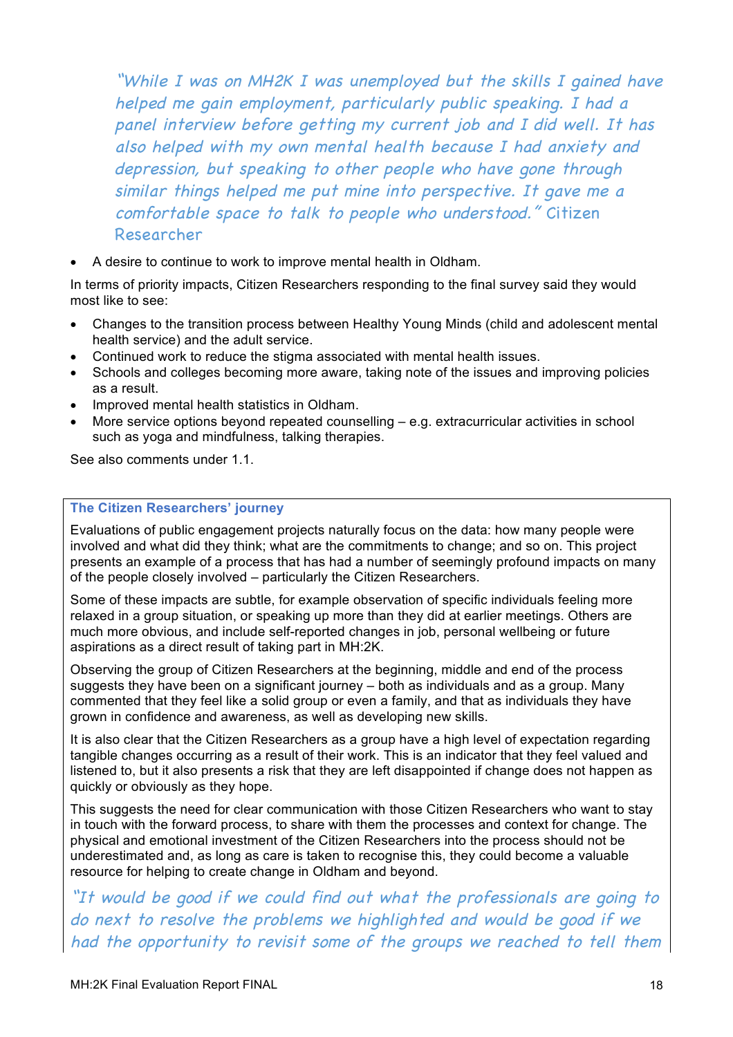"While I was on MH2K I was unemployed but the skills I gained have helped me gain employment, particularly public speaking. I had a panel interview before getting my current job and I did well. It has also helped with my own mental health because I had anxiety and depression, but speaking to other people who have gone through similar things helped me put mine into perspective. It gave me a comfortable space to talk to people who understood." Citizen Researcher

• A desire to continue to work to improve mental health in Oldham.

In terms of priority impacts, Citizen Researchers responding to the final survey said they would most like to see:

- Changes to the transition process between Healthy Young Minds (child and adolescent mental health service) and the adult service.
- Continued work to reduce the stigma associated with mental health issues.
- Schools and colleges becoming more aware, taking note of the issues and improving policies as a result.
- Improved mental health statistics in Oldham.
- More service options beyond repeated counselling e.g. extracurricular activities in school such as yoga and mindfulness, talking therapies.

See also comments under 1.1.

#### **The Citizen Researchers' journey**

Evaluations of public engagement projects naturally focus on the data: how many people were involved and what did they think; what are the commitments to change; and so on. This project presents an example of a process that has had a number of seemingly profound impacts on many of the people closely involved – particularly the Citizen Researchers.

Some of these impacts are subtle, for example observation of specific individuals feeling more relaxed in a group situation, or speaking up more than they did at earlier meetings. Others are much more obvious, and include self-reported changes in job, personal wellbeing or future aspirations as a direct result of taking part in MH:2K.

Observing the group of Citizen Researchers at the beginning, middle and end of the process suggests they have been on a significant journey – both as individuals and as a group. Many commented that they feel like a solid group or even a family, and that as individuals they have grown in confidence and awareness, as well as developing new skills.

It is also clear that the Citizen Researchers as a group have a high level of expectation regarding tangible changes occurring as a result of their work. This is an indicator that they feel valued and listened to, but it also presents a risk that they are left disappointed if change does not happen as quickly or obviously as they hope.

This suggests the need for clear communication with those Citizen Researchers who want to stay in touch with the forward process, to share with them the processes and context for change. The physical and emotional investment of the Citizen Researchers into the process should not be underestimated and, as long as care is taken to recognise this, they could become a valuable resource for helping to create change in Oldham and beyond.

"It would be good if we could find out what the professionals are going to do next to resolve the problems we highlighted and would be good if we had the opportunity to revisit some of the groups we reached to tell them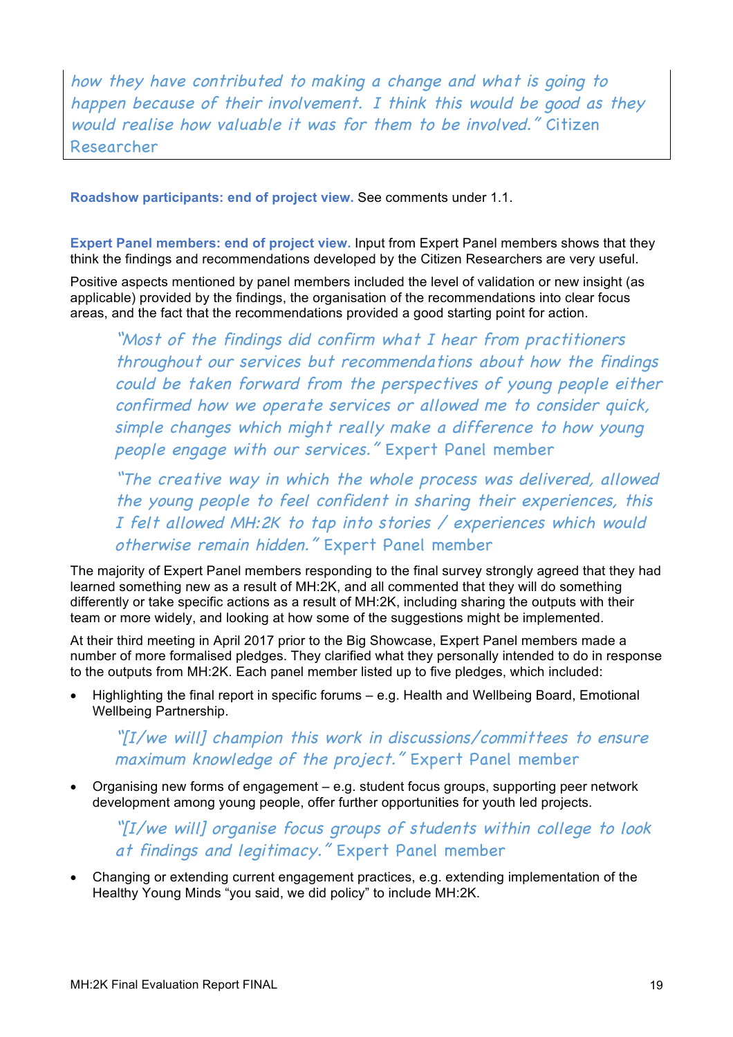how they have contributed to making a change and what is going to happen because of their involvement. I think this would be good as they would realise how valuable it was for them to be involved." Citizen Researcher

**Roadshow participants: end of project view.** See comments under 1.1.

**Expert Panel members: end of project view.** Input from Expert Panel members shows that they think the findings and recommendations developed by the Citizen Researchers are very useful.

Positive aspects mentioned by panel members included the level of validation or new insight (as applicable) provided by the findings, the organisation of the recommendations into clear focus areas, and the fact that the recommendations provided a good starting point for action.

"Most of the findings did confirm what I hear from practitioners throughout our services but recommendations about how the findings could be taken forward from the perspectives of young people either confirmed how we operate services or allowed me to consider quick, simple changes which might really make a difference to how young people engage with our services." Expert Panel member

"The creative way in which the whole process was delivered, allowed the young people to feel confident in sharing their experiences, this I felt allowed MH:2K to tap into stories / experiences which would otherwise remain hidden." Expert Panel member

The majority of Expert Panel members responding to the final survey strongly agreed that they had learned something new as a result of MH:2K, and all commented that they will do something differently or take specific actions as a result of MH:2K, including sharing the outputs with their team or more widely, and looking at how some of the suggestions might be implemented.

At their third meeting in April 2017 prior to the Big Showcase, Expert Panel members made a number of more formalised pledges. They clarified what they personally intended to do in response to the outputs from MH:2K. Each panel member listed up to five pledges, which included:

• Highlighting the final report in specific forums – e.g. Health and Wellbeing Board, Emotional Wellbeing Partnership.

"[I/we will] champion this work in discussions/committees to ensure maximum knowledge of the project." Expert Panel member

• Organising new forms of engagement – e.g. student focus groups, supporting peer network development among young people, offer further opportunities for youth led projects.

"[I/we will] organise focus groups of students within college to look at findings and legitimacy." Expert Panel member

• Changing or extending current engagement practices, e.g. extending implementation of the Healthy Young Minds "you said, we did policy" to include MH:2K.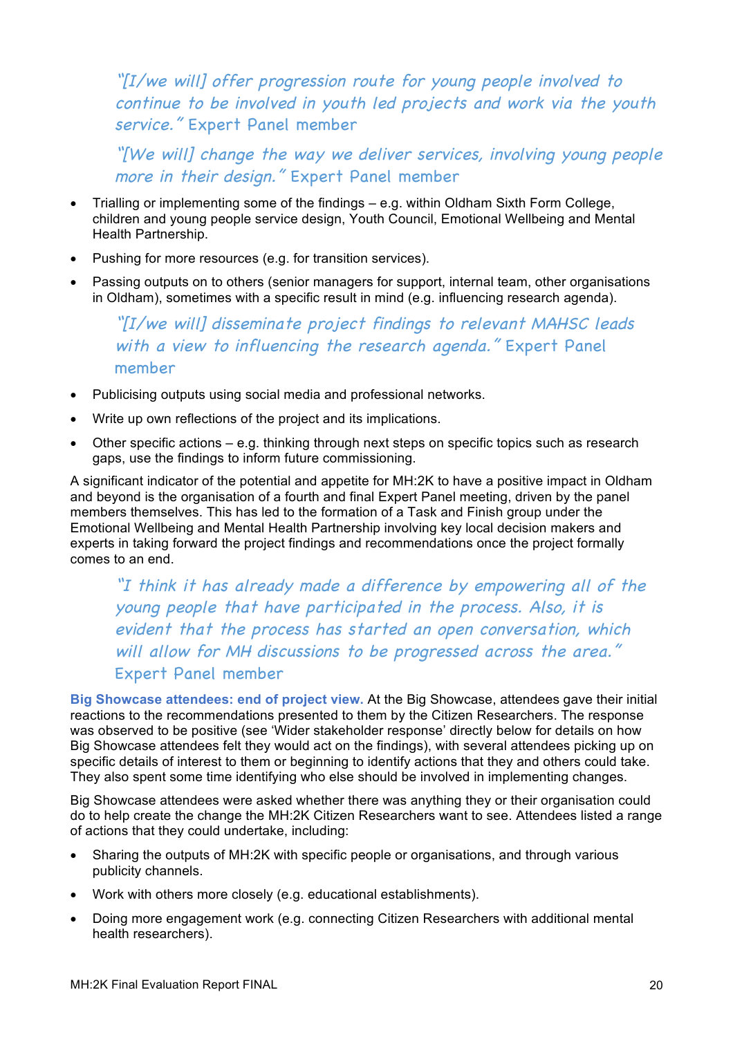"[I/we will] offer progression route for young people involved to continue to be involved in youth led projects and work via the youth service." Expert Panel member

"[We will] change the way we deliver services, involving young people more in their design." Expert Panel member

- Trialling or implementing some of the findings e.g. within Oldham Sixth Form College, children and young people service design, Youth Council, Emotional Wellbeing and Mental Health Partnership.
- Pushing for more resources (e.g. for transition services).
- Passing outputs on to others (senior managers for support, internal team, other organisations in Oldham), sometimes with a specific result in mind (e.g. influencing research agenda).

"[I/we will] disseminate project findings to relevant MAHSC leads with a view to influencing the research agenda." Expert Panel member

- Publicising outputs using social media and professional networks.
- Write up own reflections of the project and its implications.
- Other specific actions e.g. thinking through next steps on specific topics such as research gaps, use the findings to inform future commissioning.

A significant indicator of the potential and appetite for MH:2K to have a positive impact in Oldham and beyond is the organisation of a fourth and final Expert Panel meeting, driven by the panel members themselves. This has led to the formation of a Task and Finish group under the Emotional Wellbeing and Mental Health Partnership involving key local decision makers and experts in taking forward the project findings and recommendations once the project formally comes to an end.

"I think it has already made a difference by empowering all of the young people that have participated in the process. Also, it is evident that the process has started an open conversation, which will allow for MH discussions to be progressed across the area." Expert Panel member

**Big Showcase attendees: end of project view.** At the Big Showcase, attendees gave their initial reactions to the recommendations presented to them by the Citizen Researchers. The response was observed to be positive (see 'Wider stakeholder response' directly below for details on how Big Showcase attendees felt they would act on the findings), with several attendees picking up on specific details of interest to them or beginning to identify actions that they and others could take. They also spent some time identifying who else should be involved in implementing changes.

Big Showcase attendees were asked whether there was anything they or their organisation could do to help create the change the MH:2K Citizen Researchers want to see. Attendees listed a range of actions that they could undertake, including:

- Sharing the outputs of MH:2K with specific people or organisations, and through various publicity channels.
- Work with others more closely (e.g. educational establishments).
- Doing more engagement work (e.g. connecting Citizen Researchers with additional mental health researchers).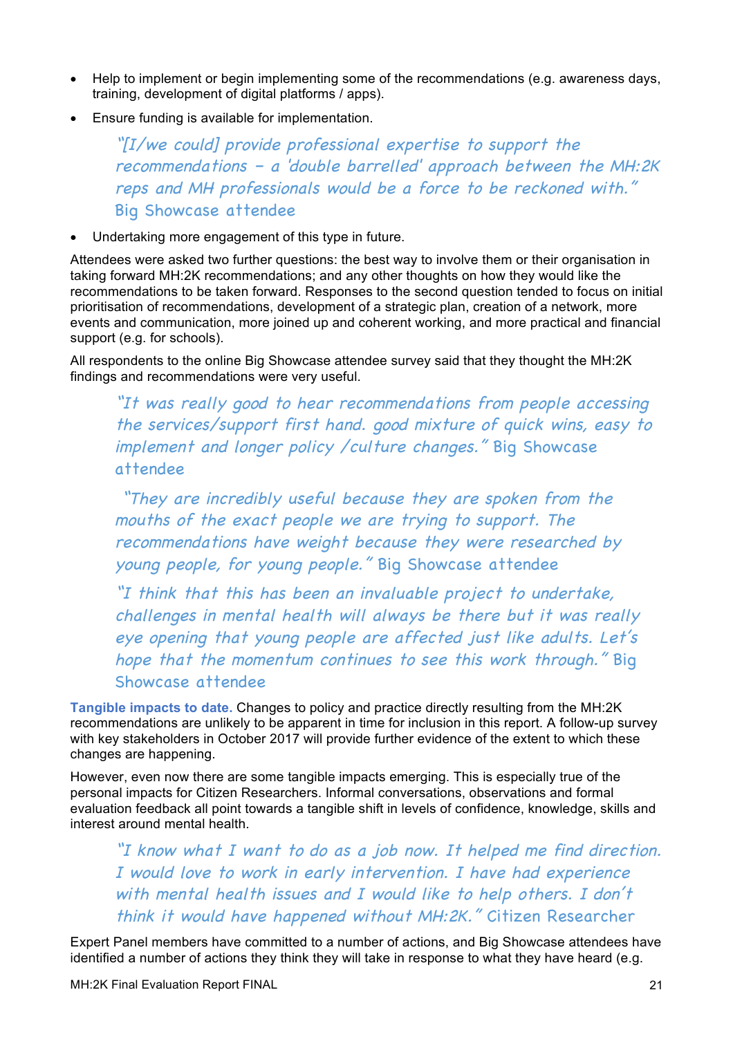- Help to implement or begin implementing some of the recommendations (e.g. awareness days, training, development of digital platforms / apps).
- Ensure funding is available for implementation.

"[I/we could] provide professional expertise to support the recommendations – <sup>a</sup>'double barrelled' approach between the MH:2K reps and MH professionals would be a force to be reckoned with." Big Showcase attendee

Undertaking more engagement of this type in future.

Attendees were asked two further questions: the best way to involve them or their organisation in taking forward MH:2K recommendations; and any other thoughts on how they would like the recommendations to be taken forward. Responses to the second question tended to focus on initial prioritisation of recommendations, development of a strategic plan, creation of a network, more events and communication, more joined up and coherent working, and more practical and financial support (e.g. for schools).

All respondents to the online Big Showcase attendee survey said that they thought the MH:2K findings and recommendations were very useful.

"It was really good to hear recommendations from people accessing the services/support first hand. good mixture of quick wins, easy to implement and longer policy /culture changes." Big Showcase attendee

"They are incredibly useful because they are spoken from the mouths of the exact people we are trying to support. The recommendations have weight because they were researched by young people, for young people." Big Showcase attendee

"I think that this has been an invaluable project to undertake, challenges in mental health will always be there but it was really eye opening that young people are affected just like adults. Let's hope that the momentum continues to see this work through." Big Showcase attendee

**Tangible impacts to date.** Changes to policy and practice directly resulting from the MH:2K recommendations are unlikely to be apparent in time for inclusion in this report. A follow-up survey with key stakeholders in October 2017 will provide further evidence of the extent to which these changes are happening.

However, even now there are some tangible impacts emerging. This is especially true of the personal impacts for Citizen Researchers. Informal conversations, observations and formal evaluation feedback all point towards a tangible shift in levels of confidence, knowledge, skills and interest around mental health.

"I know what I want to do as a job now. It helped me find direction. I would love to work in early intervention. I have had experience with mental health issues and I would like to help others. I don't think it would have happened without MH:2K." Citizen Researcher

Expert Panel members have committed to a number of actions, and Big Showcase attendees have identified a number of actions they think they will take in response to what they have heard (e.g.

MH:2K Final Evaluation Report FINAL 21 20 22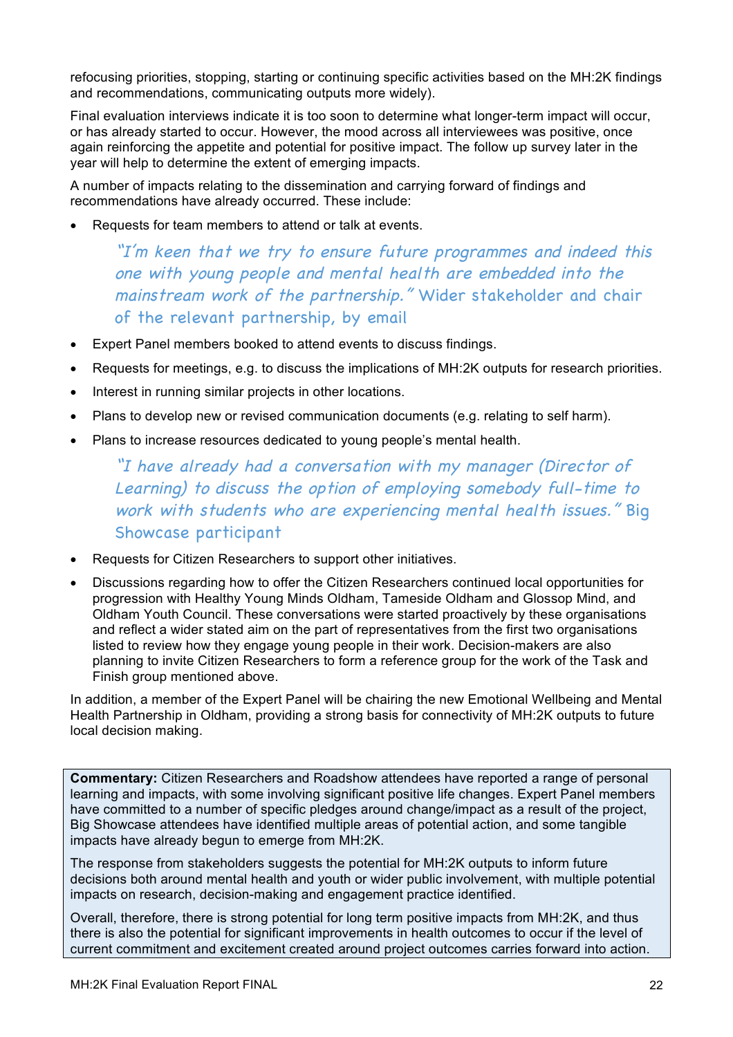refocusing priorities, stopping, starting or continuing specific activities based on the MH:2K findings and recommendations, communicating outputs more widely).

Final evaluation interviews indicate it is too soon to determine what longer-term impact will occur, or has already started to occur. However, the mood across all interviewees was positive, once again reinforcing the appetite and potential for positive impact. The follow up survey later in the year will help to determine the extent of emerging impacts.

A number of impacts relating to the dissemination and carrying forward of findings and recommendations have already occurred. These include:

• Requests for team members to attend or talk at events.

"I'm keen that we try to ensure future programmes and indeed this one with young people and mental health are embedded into the mainstream work of the partnership." Wider stakeholder and chair of the relevant partnership, by email

- Expert Panel members booked to attend events to discuss findings.
- Requests for meetings, e.g. to discuss the implications of MH:2K outputs for research priorities.
- Interest in running similar projects in other locations.
- Plans to develop new or revised communication documents (e.g. relating to self harm).
- Plans to increase resources dedicated to young people's mental health.

"I have already had a conversation with my manager (Director of Learning) to discuss the option of employing somebody full-time to work with students who are experiencing mental health issues." Big Showcase participant

- Requests for Citizen Researchers to support other initiatives.
- Discussions regarding how to offer the Citizen Researchers continued local opportunities for progression with Healthy Young Minds Oldham, Tameside Oldham and Glossop Mind, and Oldham Youth Council. These conversations were started proactively by these organisations and reflect a wider stated aim on the part of representatives from the first two organisations listed to review how they engage young people in their work. Decision-makers are also planning to invite Citizen Researchers to form a reference group for the work of the Task and Finish group mentioned above.

In addition, a member of the Expert Panel will be chairing the new Emotional Wellbeing and Mental Health Partnership in Oldham, providing a strong basis for connectivity of MH:2K outputs to future local decision making.

**Commentary:** Citizen Researchers and Roadshow attendees have reported a range of personal learning and impacts, with some involving significant positive life changes. Expert Panel members have committed to a number of specific pledges around change/impact as a result of the project, Big Showcase attendees have identified multiple areas of potential action, and some tangible impacts have already begun to emerge from MH:2K.

The response from stakeholders suggests the potential for MH:2K outputs to inform future decisions both around mental health and youth or wider public involvement, with multiple potential impacts on research, decision-making and engagement practice identified.

Overall, therefore, there is strong potential for long term positive impacts from MH:2K, and thus there is also the potential for significant improvements in health outcomes to occur if the level of current commitment and excitement created around project outcomes carries forward into action.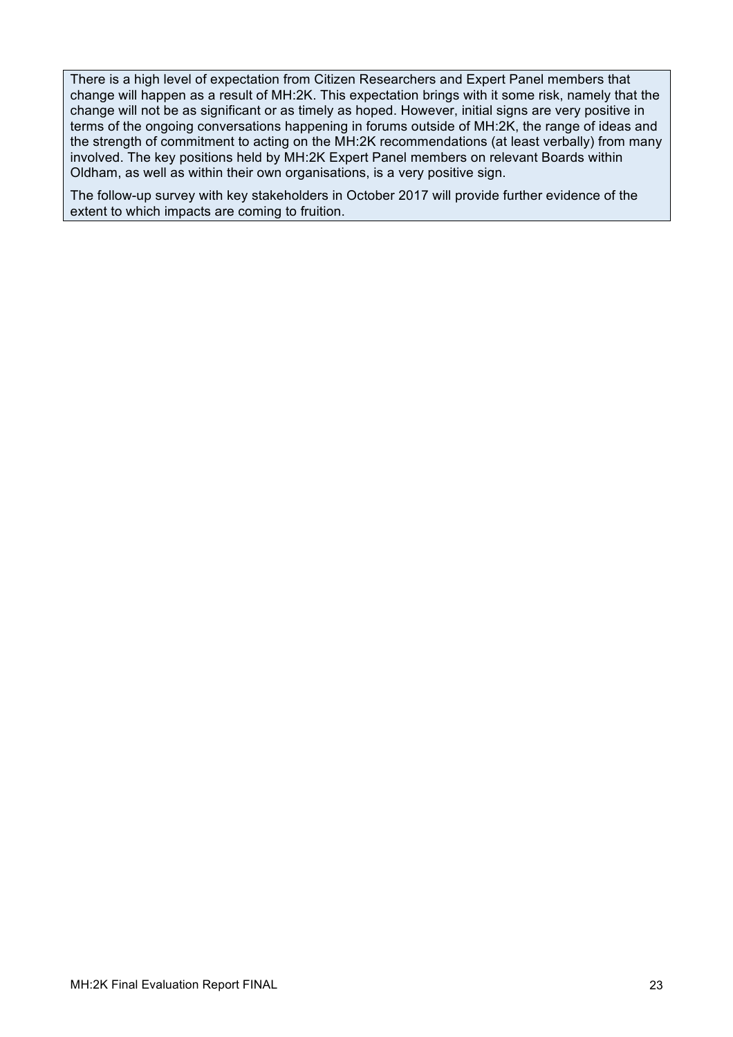There is a high level of expectation from Citizen Researchers and Expert Panel members that change will happen as a result of MH:2K. This expectation brings with it some risk, namely that the change will not be as significant or as timely as hoped. However, initial signs are very positive in terms of the ongoing conversations happening in forums outside of MH:2K, the range of ideas and the strength of commitment to acting on the MH:2K recommendations (at least verbally) from many involved. The key positions held by MH:2K Expert Panel members on relevant Boards within Oldham, as well as within their own organisations, is a very positive sign.

The follow-up survey with key stakeholders in October 2017 will provide further evidence of the extent to which impacts are coming to fruition.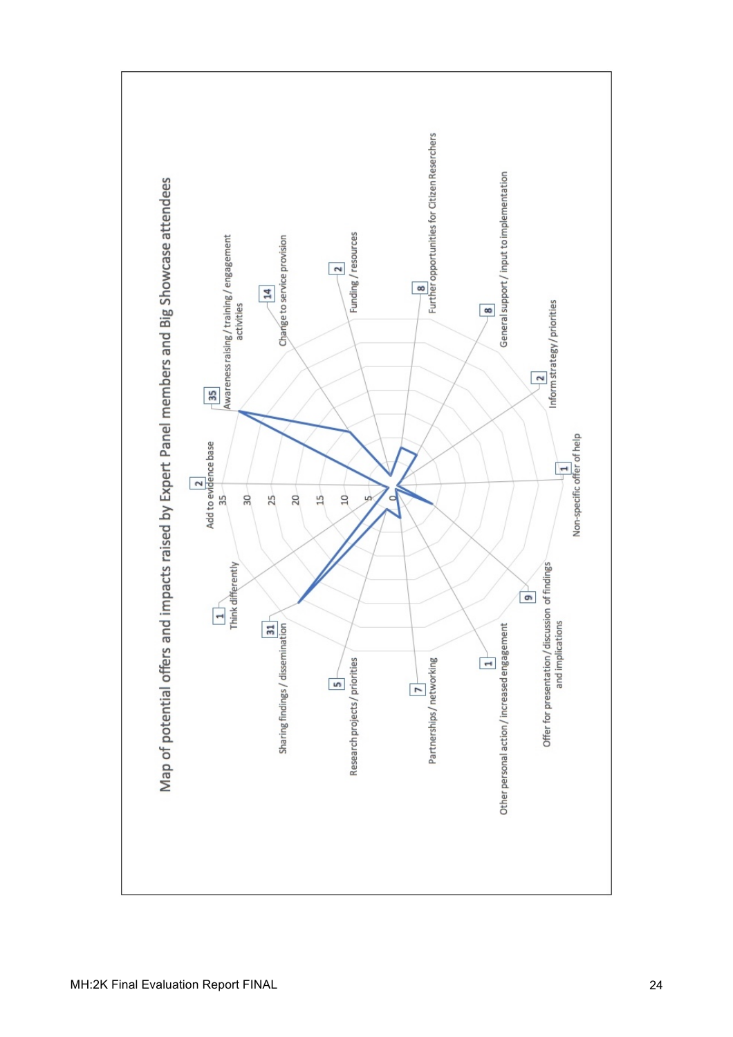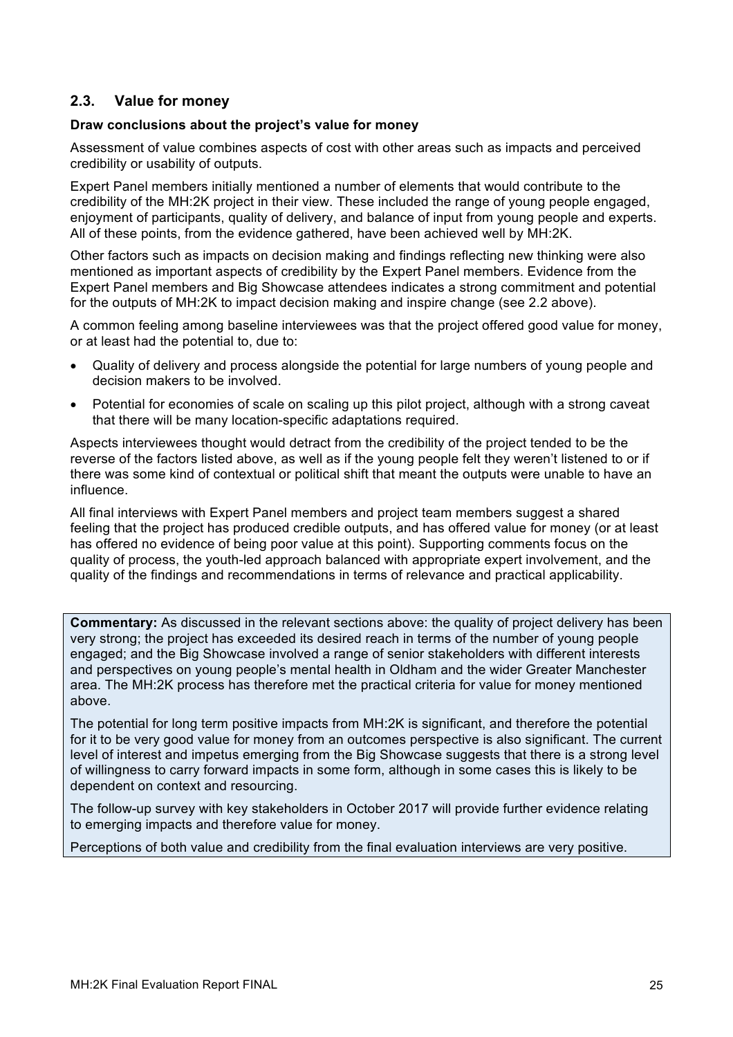## **2.3. Value for money**

#### **Draw conclusions about the project's value for money**

Assessment of value combines aspects of cost with other areas such as impacts and perceived credibility or usability of outputs.

Expert Panel members initially mentioned a number of elements that would contribute to the credibility of the MH:2K project in their view. These included the range of young people engaged, enjoyment of participants, quality of delivery, and balance of input from young people and experts. All of these points, from the evidence gathered, have been achieved well by MH:2K.

Other factors such as impacts on decision making and findings reflecting new thinking were also mentioned as important aspects of credibility by the Expert Panel members. Evidence from the Expert Panel members and Big Showcase attendees indicates a strong commitment and potential for the outputs of MH:2K to impact decision making and inspire change (see 2.2 above).

A common feeling among baseline interviewees was that the project offered good value for money, or at least had the potential to, due to:

- Quality of delivery and process alongside the potential for large numbers of young people and decision makers to be involved.
- Potential for economies of scale on scaling up this pilot project, although with a strong caveat that there will be many location-specific adaptations required.

Aspects interviewees thought would detract from the credibility of the project tended to be the reverse of the factors listed above, as well as if the young people felt they weren't listened to or if there was some kind of contextual or political shift that meant the outputs were unable to have an influence.

All final interviews with Expert Panel members and project team members suggest a shared feeling that the project has produced credible outputs, and has offered value for money (or at least has offered no evidence of being poor value at this point). Supporting comments focus on the quality of process, the youth-led approach balanced with appropriate expert involvement, and the quality of the findings and recommendations in terms of relevance and practical applicability.

**Commentary:** As discussed in the relevant sections above: the quality of project delivery has been very strong; the project has exceeded its desired reach in terms of the number of young people engaged; and the Big Showcase involved a range of senior stakeholders with different interests and perspectives on young people's mental health in Oldham and the wider Greater Manchester area. The MH:2K process has therefore met the practical criteria for value for money mentioned above.

The potential for long term positive impacts from MH:2K is significant, and therefore the potential for it to be very good value for money from an outcomes perspective is also significant. The current level of interest and impetus emerging from the Big Showcase suggests that there is a strong level of willingness to carry forward impacts in some form, although in some cases this is likely to be dependent on context and resourcing.

The follow-up survey with key stakeholders in October 2017 will provide further evidence relating to emerging impacts and therefore value for money.

Perceptions of both value and credibility from the final evaluation interviews are very positive.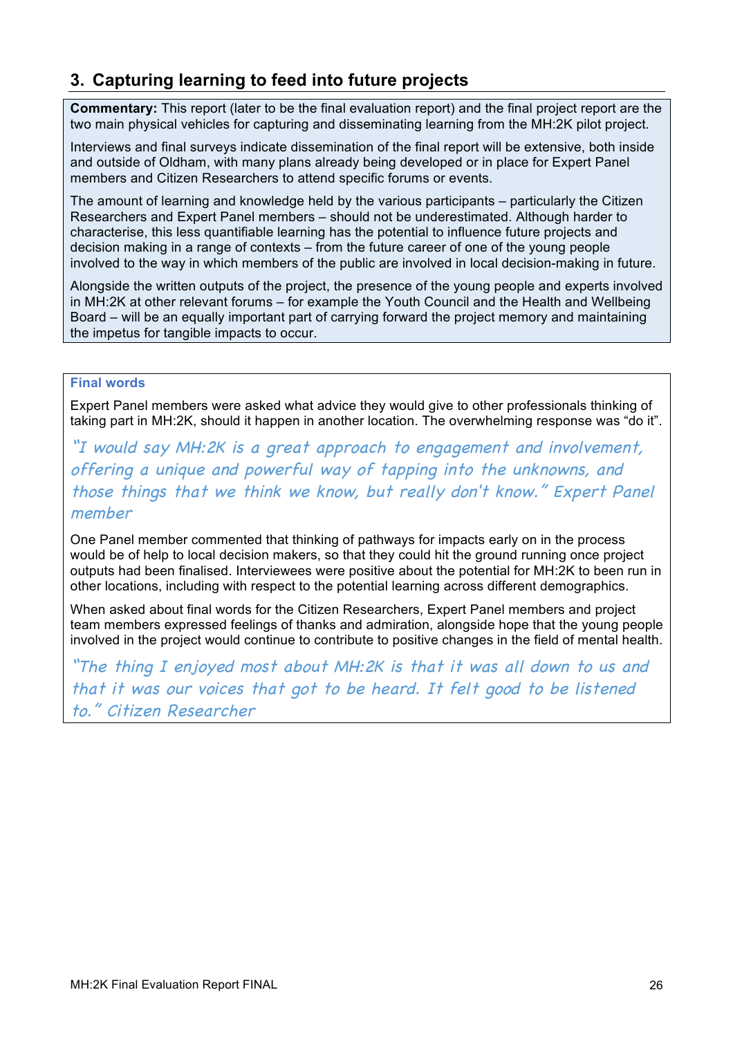## **3. Capturing learning to feed into future projects**

**Commentary:** This report (later to be the final evaluation report) and the final project report are the two main physical vehicles for capturing and disseminating learning from the MH:2K pilot project.

Interviews and final surveys indicate dissemination of the final report will be extensive, both inside and outside of Oldham, with many plans already being developed or in place for Expert Panel members and Citizen Researchers to attend specific forums or events.

The amount of learning and knowledge held by the various participants – particularly the Citizen Researchers and Expert Panel members – should not be underestimated. Although harder to characterise, this less quantifiable learning has the potential to influence future projects and decision making in a range of contexts – from the future career of one of the young people involved to the way in which members of the public are involved in local decision-making in future.

Alongside the written outputs of the project, the presence of the young people and experts involved in MH:2K at other relevant forums – for example the Youth Council and the Health and Wellbeing Board – will be an equally important part of carrying forward the project memory and maintaining the impetus for tangible impacts to occur.

#### **Final words**

Expert Panel members were asked what advice they would give to other professionals thinking of taking part in MH:2K, should it happen in another location. The overwhelming response was "do it".

"I would say MH:2K is a great approach to engagement and involvement, offering a unique and powerful way of tapping into the unknowns, and those things that we think we know, but really don't know." Expert Panel member

One Panel member commented that thinking of pathways for impacts early on in the process would be of help to local decision makers, so that they could hit the ground running once project outputs had been finalised. Interviewees were positive about the potential for MH:2K to been run in other locations, including with respect to the potential learning across different demographics.

When asked about final words for the Citizen Researchers, Expert Panel members and project team members expressed feelings of thanks and admiration, alongside hope that the young people involved in the project would continue to contribute to positive changes in the field of mental health.

"The thing I enjoyed most about MH:2K is that it was all down to us and that it was our voices that got to be heard. It felt good to be listened to." Citizen Researcher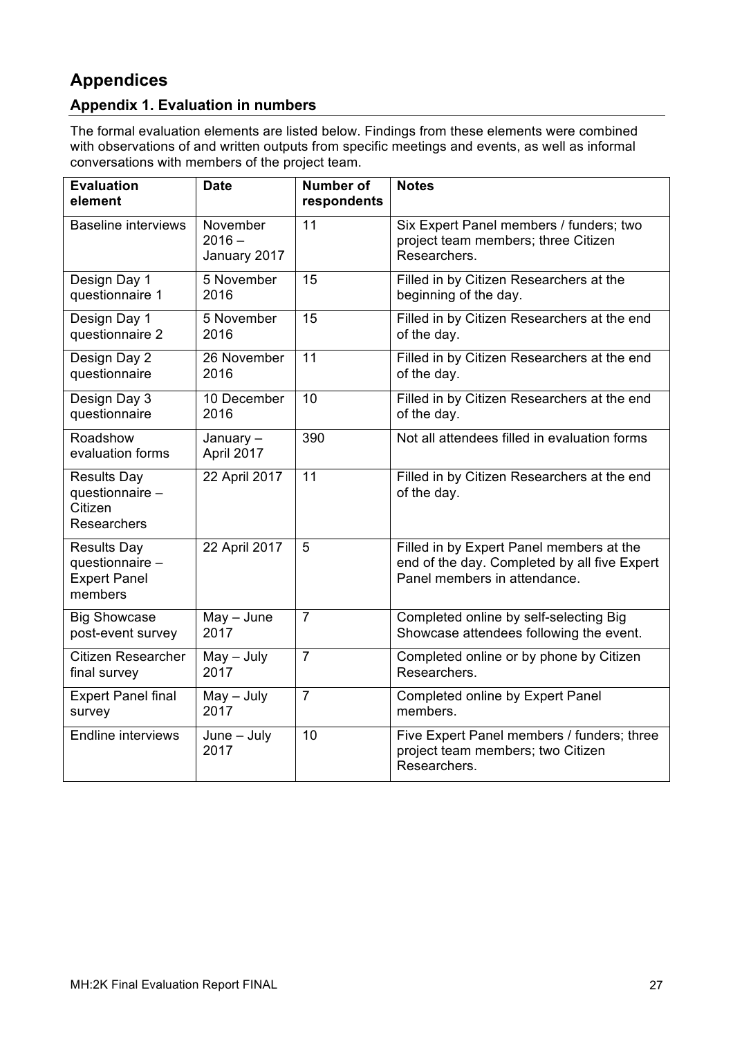## **Appendices**

## **Appendix 1. Evaluation in numbers**

The formal evaluation elements are listed below. Findings from these elements were combined with observations of and written outputs from specific meetings and events, as well as informal conversations with members of the project team.

| <b>Evaluation</b><br>element                                            | <b>Date</b>                          | <b>Number of</b><br>respondents | <b>Notes</b>                                                                                                             |
|-------------------------------------------------------------------------|--------------------------------------|---------------------------------|--------------------------------------------------------------------------------------------------------------------------|
| <b>Baseline interviews</b>                                              | November<br>$2016 -$<br>January 2017 | 11                              | Six Expert Panel members / funders; two<br>project team members; three Citizen<br>Researchers.                           |
| Design Day 1                                                            | 5 November                           | 15                              | Filled in by Citizen Researchers at the                                                                                  |
| questionnaire 1                                                         | 2016                                 |                                 | beginning of the day.                                                                                                    |
| Design Day 1                                                            | 5 November                           | $\overline{15}$                 | Filled in by Citizen Researchers at the end                                                                              |
| questionnaire 2                                                         | 2016                                 |                                 | of the day.                                                                                                              |
| Design Day 2                                                            | 26 November                          | 11                              | Filled in by Citizen Researchers at the end                                                                              |
| questionnaire                                                           | 2016                                 |                                 | of the day.                                                                                                              |
| Design Day 3                                                            | 10 December                          | $\overline{10}$                 | Filled in by Citizen Researchers at the end                                                                              |
| questionnaire                                                           | 2016                                 |                                 | of the day.                                                                                                              |
| Roadshow<br>evaluation forms                                            | January-<br>April 2017               | 390                             | Not all attendees filled in evaluation forms                                                                             |
| <b>Results Day</b><br>questionnaire -<br>Citizen<br>Researchers         | 22 April 2017                        | 11                              | Filled in by Citizen Researchers at the end<br>of the day.                                                               |
| <b>Results Day</b><br>questionnaire -<br><b>Expert Panel</b><br>members | 22 April 2017                        | 5                               | Filled in by Expert Panel members at the<br>end of the day. Completed by all five Expert<br>Panel members in attendance. |
| <b>Big Showcase</b>                                                     | $May - June$                         | $\overline{7}$                  | Completed online by self-selecting Big                                                                                   |
| post-event survey                                                       | 2017                                 |                                 | Showcase attendees following the event.                                                                                  |
| <b>Citizen Researcher</b>                                               | $May - July$                         | $\overline{7}$                  | Completed online or by phone by Citizen                                                                                  |
| final survey                                                            | 2017                                 |                                 | Researchers.                                                                                                             |
| <b>Expert Panel final</b>                                               | $May - July$                         | $\overline{7}$                  | <b>Completed online by Expert Panel</b>                                                                                  |
| survey                                                                  | 2017                                 |                                 | members.                                                                                                                 |
| <b>Endline interviews</b>                                               | $June - July$<br>2017                | 10                              | Five Expert Panel members / funders; three<br>project team members; two Citizen<br>Researchers.                          |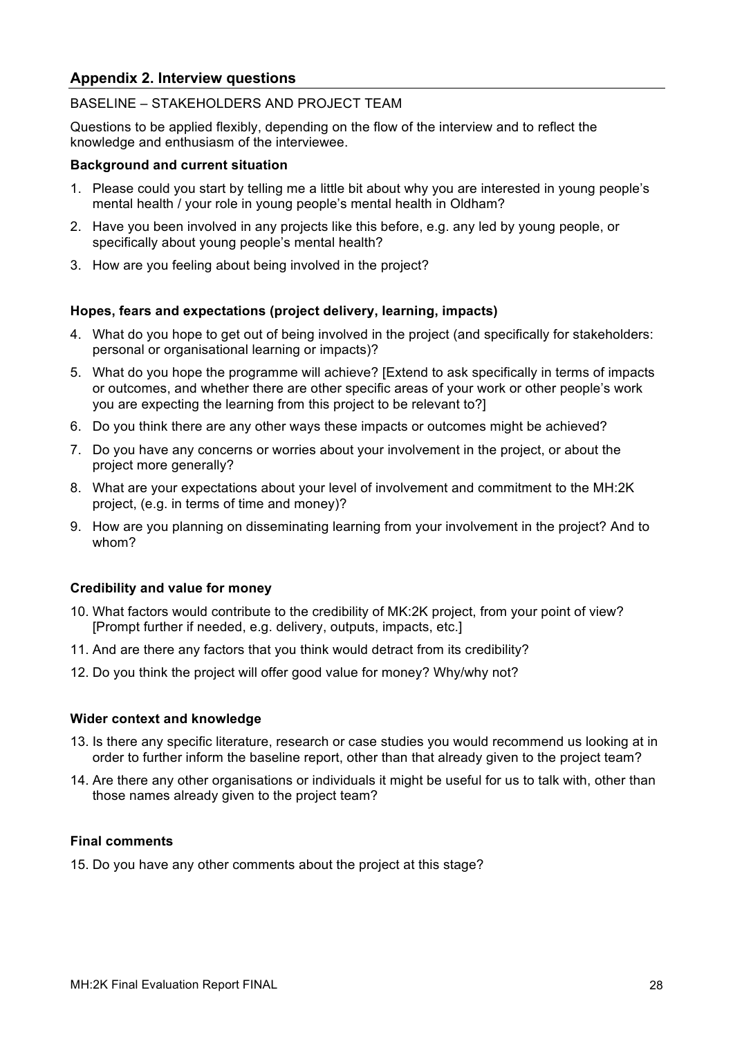## **Appendix 2. Interview questions**

#### BASELINE – STAKEHOLDERS AND PROJECT TEAM

Questions to be applied flexibly, depending on the flow of the interview and to reflect the knowledge and enthusiasm of the interviewee.

#### **Background and current situation**

- 1. Please could you start by telling me a little bit about why you are interested in young people's mental health / your role in young people's mental health in Oldham?
- 2. Have you been involved in any projects like this before, e.g. any led by young people, or specifically about young people's mental health?
- 3. How are you feeling about being involved in the project?

#### **Hopes, fears and expectations (project delivery, learning, impacts)**

- 4. What do you hope to get out of being involved in the project (and specifically for stakeholders: personal or organisational learning or impacts)?
- 5. What do you hope the programme will achieve? [Extend to ask specifically in terms of impacts or outcomes, and whether there are other specific areas of your work or other people's work you are expecting the learning from this project to be relevant to?]
- 6. Do you think there are any other ways these impacts or outcomes might be achieved?
- 7. Do you have any concerns or worries about your involvement in the project, or about the project more generally?
- 8. What are your expectations about your level of involvement and commitment to the MH:2K project, (e.g. in terms of time and money)?
- 9. How are you planning on disseminating learning from your involvement in the project? And to whom?

#### **Credibility and value for money**

- 10. What factors would contribute to the credibility of MK:2K project, from your point of view? [Prompt further if needed, e.g. delivery, outputs, impacts, etc.]
- 11. And are there any factors that you think would detract from its credibility?
- 12. Do you think the project will offer good value for money? Why/why not?

#### **Wider context and knowledge**

- 13. Is there any specific literature, research or case studies you would recommend us looking at in order to further inform the baseline report, other than that already given to the project team?
- 14. Are there any other organisations or individuals it might be useful for us to talk with, other than those names already given to the project team?

#### **Final comments**

15. Do you have any other comments about the project at this stage?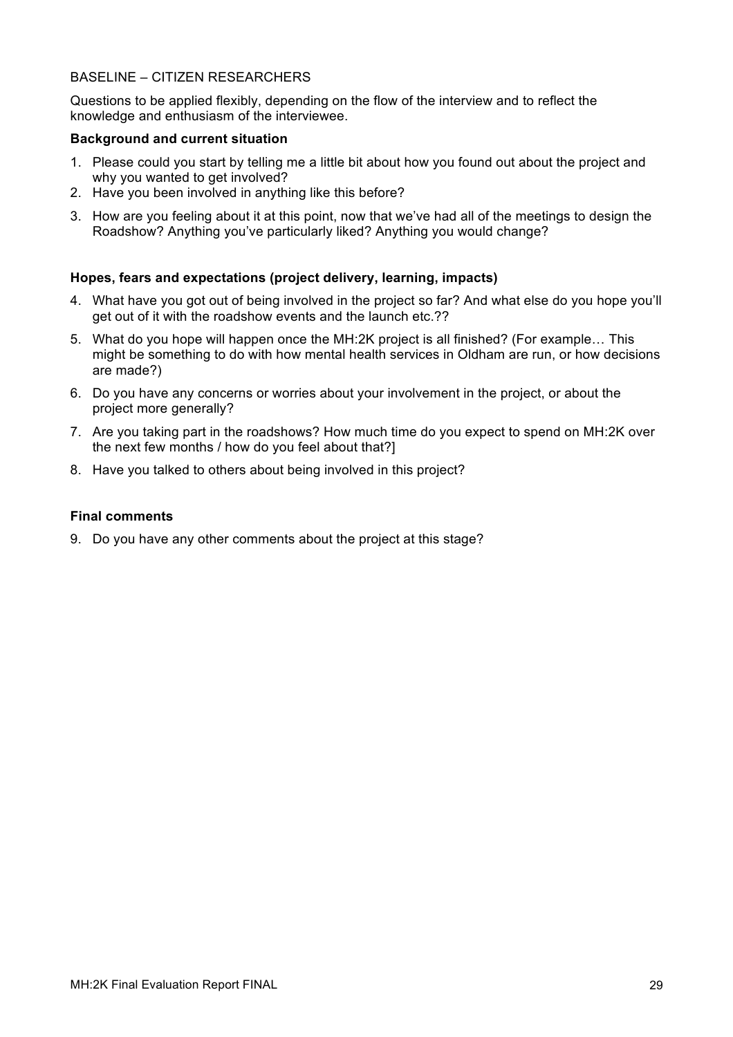#### BASELINE – CITIZEN RESEARCHERS

Questions to be applied flexibly, depending on the flow of the interview and to reflect the knowledge and enthusiasm of the interviewee.

#### **Background and current situation**

- 1. Please could you start by telling me a little bit about how you found out about the project and why you wanted to get involved?
- 2. Have you been involved in anything like this before?
- 3. How are you feeling about it at this point, now that we've had all of the meetings to design the Roadshow? Anything you've particularly liked? Anything you would change?

#### **Hopes, fears and expectations (project delivery, learning, impacts)**

- 4. What have you got out of being involved in the project so far? And what else do you hope you'll get out of it with the roadshow events and the launch etc.??
- 5. What do you hope will happen once the MH:2K project is all finished? (For example… This might be something to do with how mental health services in Oldham are run, or how decisions are made?)
- 6. Do you have any concerns or worries about your involvement in the project, or about the project more generally?
- 7. Are you taking part in the roadshows? How much time do you expect to spend on MH:2K over the next few months / how do you feel about that?]
- 8. Have you talked to others about being involved in this project?

#### **Final comments**

9. Do you have any other comments about the project at this stage?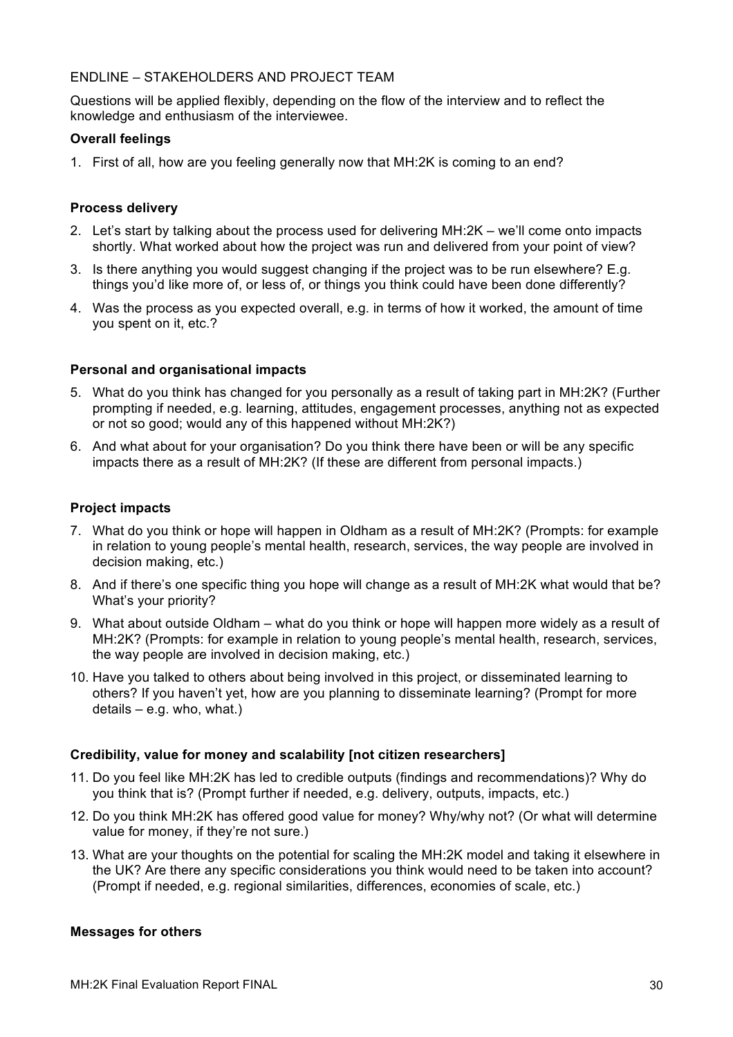#### ENDLINE – STAKEHOLDERS AND PROJECT TEAM

Questions will be applied flexibly, depending on the flow of the interview and to reflect the knowledge and enthusiasm of the interviewee.

#### **Overall feelings**

1. First of all, how are you feeling generally now that MH:2K is coming to an end?

#### **Process delivery**

- 2. Let's start by talking about the process used for delivering MH:2K we'll come onto impacts shortly. What worked about how the project was run and delivered from your point of view?
- 3. Is there anything you would suggest changing if the project was to be run elsewhere? E.g. things you'd like more of, or less of, or things you think could have been done differently?
- 4. Was the process as you expected overall, e.g. in terms of how it worked, the amount of time you spent on it, etc.?

#### **Personal and organisational impacts**

- 5. What do you think has changed for you personally as a result of taking part in MH:2K? (Further prompting if needed, e.g. learning, attitudes, engagement processes, anything not as expected or not so good; would any of this happened without MH:2K?)
- 6. And what about for your organisation? Do you think there have been or will be any specific impacts there as a result of MH:2K? (If these are different from personal impacts.)

#### **Project impacts**

- 7. What do you think or hope will happen in Oldham as a result of MH:2K? (Prompts: for example in relation to young people's mental health, research, services, the way people are involved in decision making, etc.)
- 8. And if there's one specific thing you hope will change as a result of MH:2K what would that be? What's your priority?
- 9. What about outside Oldham what do you think or hope will happen more widely as a result of MH:2K? (Prompts: for example in relation to young people's mental health, research, services, the way people are involved in decision making, etc.)
- 10. Have you talked to others about being involved in this project, or disseminated learning to others? If you haven't yet, how are you planning to disseminate learning? (Prompt for more details – e.g. who, what.)

#### **Credibility, value for money and scalability [not citizen researchers]**

- 11. Do you feel like MH:2K has led to credible outputs (findings and recommendations)? Why do you think that is? (Prompt further if needed, e.g. delivery, outputs, impacts, etc.)
- 12. Do you think MH:2K has offered good value for money? Why/why not? (Or what will determine value for money, if they're not sure.)
- 13. What are your thoughts on the potential for scaling the MH:2K model and taking it elsewhere in the UK? Are there any specific considerations you think would need to be taken into account? (Prompt if needed, e.g. regional similarities, differences, economies of scale, etc.)

#### **Messages for others**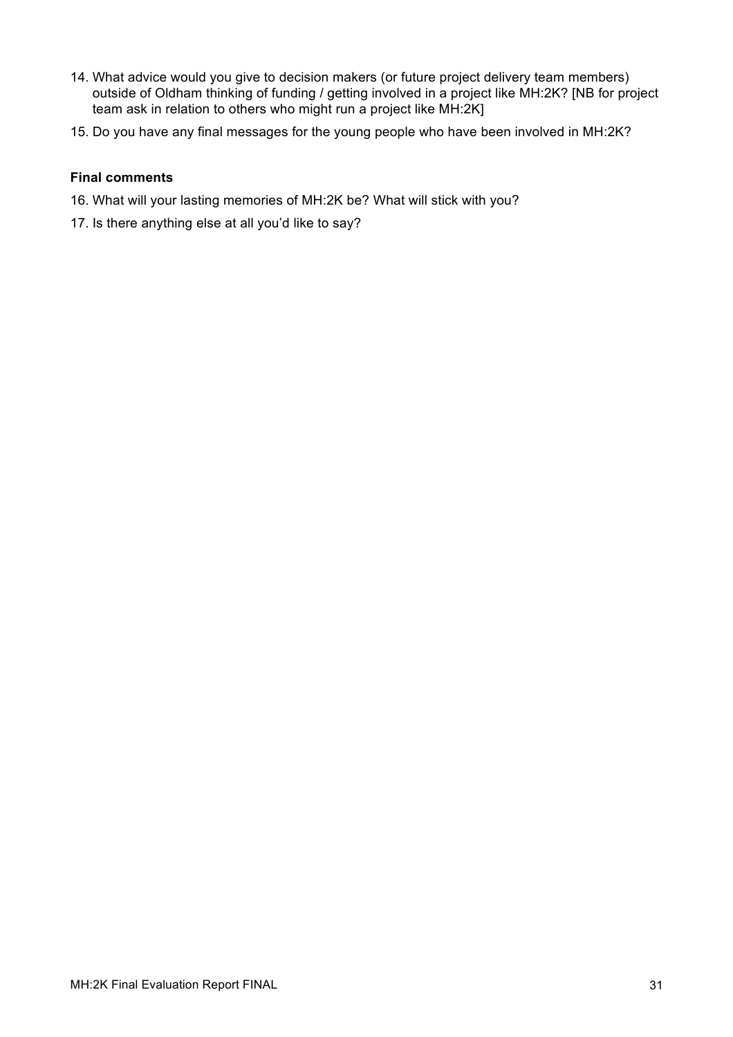- 14. What advice would you give to decision makers (or future project delivery team members) outside of Oldham thinking of funding / getting involved in a project like MH:2K? [NB for project team ask in relation to others who might run a project like MH:2K]
- 15. Do you have any final messages for the young people who have been involved in MH:2K?

#### **Final comments**

- 16. What will your lasting memories of MH:2K be? What will stick with you?
- 17. Is there anything else at all you'd like to say?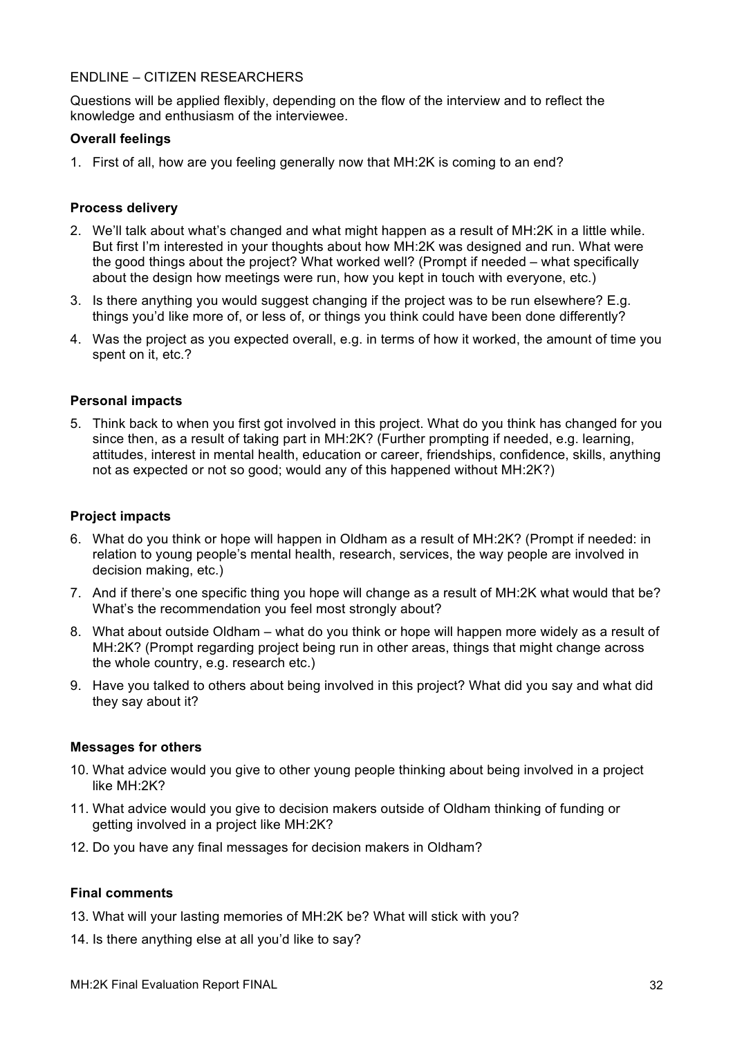#### ENDLINE – CITIZEN RESEARCHERS

Questions will be applied flexibly, depending on the flow of the interview and to reflect the knowledge and enthusiasm of the interviewee.

#### **Overall feelings**

1. First of all, how are you feeling generally now that MH:2K is coming to an end?

#### **Process delivery**

- 2. We'll talk about what's changed and what might happen as a result of MH:2K in a little while. But first I'm interested in your thoughts about how MH:2K was designed and run. What were the good things about the project? What worked well? (Prompt if needed – what specifically about the design how meetings were run, how you kept in touch with everyone, etc.)
- 3. Is there anything you would suggest changing if the project was to be run elsewhere? E.g. things you'd like more of, or less of, or things you think could have been done differently?
- 4. Was the project as you expected overall, e.g. in terms of how it worked, the amount of time you spent on it, etc.?

#### **Personal impacts**

5. Think back to when you first got involved in this project. What do you think has changed for you since then, as a result of taking part in MH:2K? (Further prompting if needed, e.g. learning, attitudes, interest in mental health, education or career, friendships, confidence, skills, anything not as expected or not so good; would any of this happened without MH:2K?)

#### **Project impacts**

- 6. What do you think or hope will happen in Oldham as a result of MH:2K? (Prompt if needed: in relation to young people's mental health, research, services, the way people are involved in decision making, etc.)
- 7. And if there's one specific thing you hope will change as a result of MH:2K what would that be? What's the recommendation you feel most strongly about?
- 8. What about outside Oldham what do you think or hope will happen more widely as a result of MH:2K? (Prompt regarding project being run in other areas, things that might change across the whole country, e.g. research etc.)
- 9. Have you talked to others about being involved in this project? What did you say and what did they say about it?

#### **Messages for others**

- 10. What advice would you give to other young people thinking about being involved in a project like MH:2K?
- 11. What advice would you give to decision makers outside of Oldham thinking of funding or getting involved in a project like MH:2K?
- 12. Do you have any final messages for decision makers in Oldham?

#### **Final comments**

- 13. What will your lasting memories of MH:2K be? What will stick with you?
- 14. Is there anything else at all you'd like to say?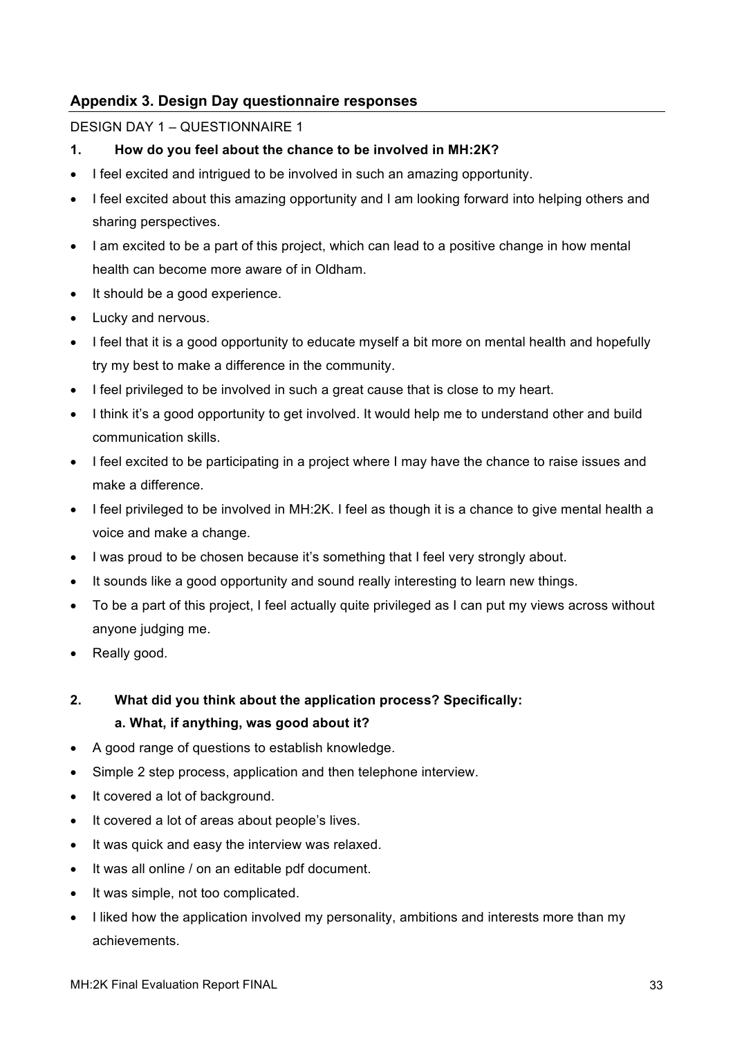## **Appendix 3. Design Day questionnaire responses**

#### DESIGN DAY 1 – QUESTIONNAIRE 1

- **1. How do you feel about the chance to be involved in MH:2K?**
- I feel excited and intrigued to be involved in such an amazing opportunity.
- I feel excited about this amazing opportunity and I am looking forward into helping others and sharing perspectives.
- I am excited to be a part of this project, which can lead to a positive change in how mental health can become more aware of in Oldham.
- It should be a good experience.
- Lucky and nervous.
- I feel that it is a good opportunity to educate myself a bit more on mental health and hopefully try my best to make a difference in the community.
- I feel privileged to be involved in such a great cause that is close to my heart.
- I think it's a good opportunity to get involved. It would help me to understand other and build communication skills.
- I feel excited to be participating in a project where I may have the chance to raise issues and make a difference.
- I feel privileged to be involved in MH:2K. I feel as though it is a chance to give mental health a voice and make a change.
- I was proud to be chosen because it's something that I feel very strongly about.
- It sounds like a good opportunity and sound really interesting to learn new things.
- To be a part of this project, I feel actually quite privileged as I can put my views across without anyone judging me.
- Really good.

## **2. What did you think about the application process? Specifically: a. What, if anything, was good about it?**

- A good range of questions to establish knowledge.
- Simple 2 step process, application and then telephone interview.
- It covered a lot of background.
- It covered a lot of areas about people's lives.
- It was quick and easy the interview was relaxed.
- It was all online / on an editable pdf document.
- It was simple, not too complicated.
- I liked how the application involved my personality, ambitions and interests more than my achievements.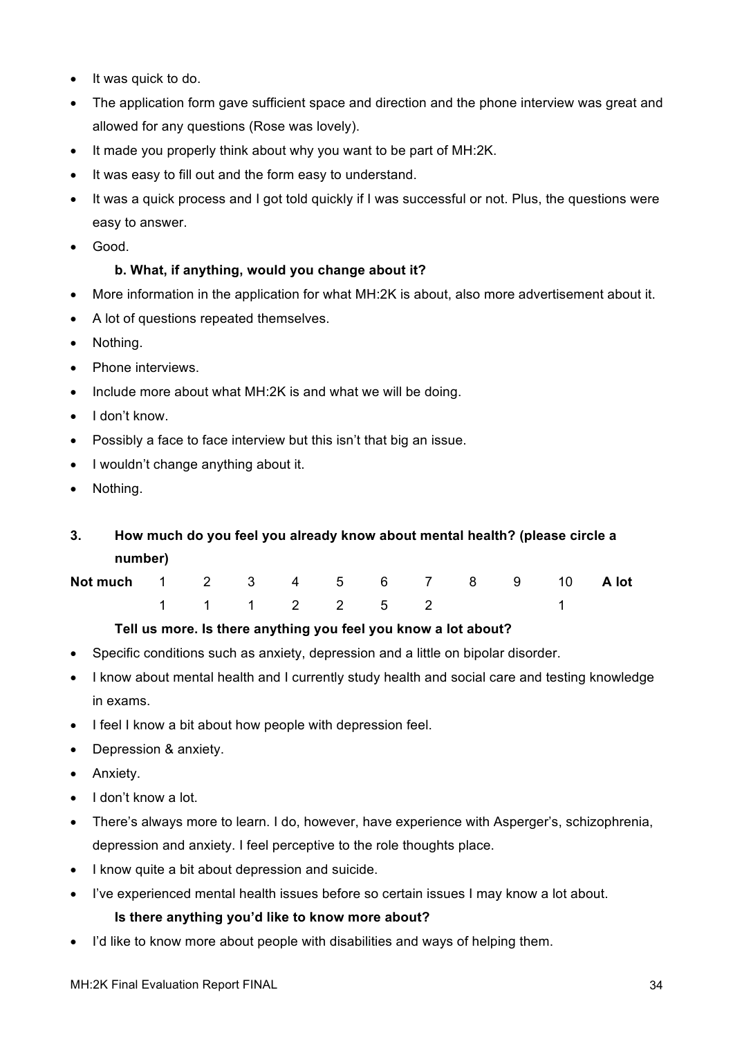- It was quick to do.
- The application form gave sufficient space and direction and the phone interview was great and allowed for any questions (Rose was lovely).
- It made you properly think about why you want to be part of MH:2K.
- It was easy to fill out and the form easy to understand.
- It was a quick process and I got told quickly if I was successful or not. Plus, the questions were easy to answer.
- Good.

## **b. What, if anything, would you change about it?**

- More information in the application for what MH:2K is about, also more advertisement about it.
- A lot of questions repeated themselves.
- Nothing.
- Phone interviews.
- Include more about what MH:2K is and what we will be doing.
- I don't know.
- Possibly a face to face interview but this isn't that big an issue.
- I wouldn't change anything about it.
- Nothing.
- **3. How much do you feel you already know about mental health? (please circle a number)**

| Not much 1 2 3 4 5 6 7 8 9 10 A lot |  |  |               |  |  |                                                                                                                |
|-------------------------------------|--|--|---------------|--|--|----------------------------------------------------------------------------------------------------------------|
|                                     |  |  | 1 1 1 2 2 5 2 |  |  | $\sim$ 1 and 1 and 1 and 1 and 1 and 1 and 1 and 1 and 1 and 1 and 1 and 1 and 1 and 1 and 1 and 1 and 1 and 1 |

## **Tell us more. Is there anything you feel you know a lot about?**

- Specific conditions such as anxiety, depression and a little on bipolar disorder.
- I know about mental health and I currently study health and social care and testing knowledge in exams.
- I feel I know a bit about how people with depression feel.
- Depression & anxiety.
- Anxiety.
- I don't know a lot.
- There's always more to learn. I do, however, have experience with Asperger's, schizophrenia, depression and anxiety. I feel perceptive to the role thoughts place.
- I know quite a bit about depression and suicide.
- I've experienced mental health issues before so certain issues I may know a lot about.

## **Is there anything you'd like to know more about?**

• I'd like to know more about people with disabilities and ways of helping them.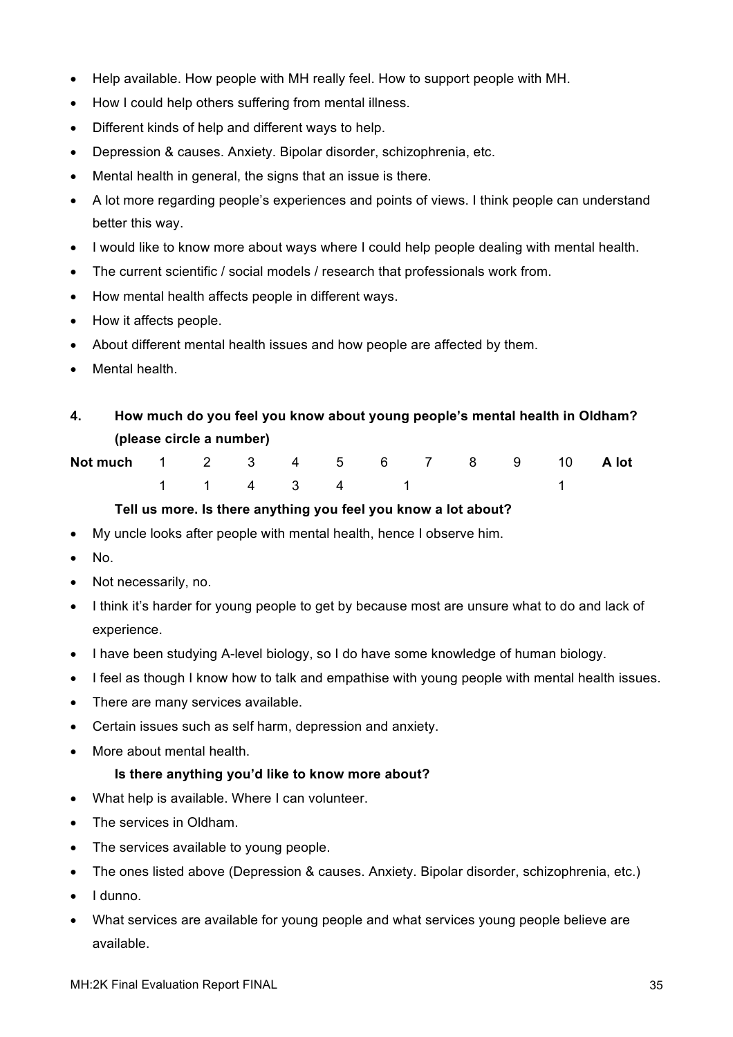- Help available. How people with MH really feel. How to support people with MH.
- How I could help others suffering from mental illness.
- Different kinds of help and different ways to help.
- Depression & causes. Anxiety. Bipolar disorder, schizophrenia, etc.
- Mental health in general, the signs that an issue is there.
- A lot more regarding people's experiences and points of views. I think people can understand better this way.
- I would like to know more about ways where I could help people dealing with mental health.
- The current scientific / social models / research that professionals work from.
- How mental health affects people in different ways.
- How it affects people.
- About different mental health issues and how people are affected by them.
- Mental health.
- **4. How much do you feel you know about young people's mental health in Oldham? (please circle a number)**

| Not much 1 2 3 4 5 6 7 8 9 10 A lot |  |  |  |  |                                             |  |
|-------------------------------------|--|--|--|--|---------------------------------------------|--|
|                                     |  |  |  |  | $1 \quad 1 \quad 4 \quad 3 \quad 4 \quad 1$ |  |

#### **Tell us more. Is there anything you feel you know a lot about?**

- My uncle looks after people with mental health, hence I observe him.
- No.
- Not necessarily, no.
- I think it's harder for young people to get by because most are unsure what to do and lack of experience.
- I have been studying A-level biology, so I do have some knowledge of human biology.
- I feel as though I know how to talk and empathise with young people with mental health issues.
- There are many services available.
- Certain issues such as self harm, depression and anxiety.
- More about mental health.

#### **Is there anything you'd like to know more about?**

- What help is available. Where I can volunteer.
- The services in Oldham.
- The services available to young people.
- The ones listed above (Depression & causes. Anxiety. Bipolar disorder, schizophrenia, etc.)
- I dunno.
- What services are available for young people and what services young people believe are available.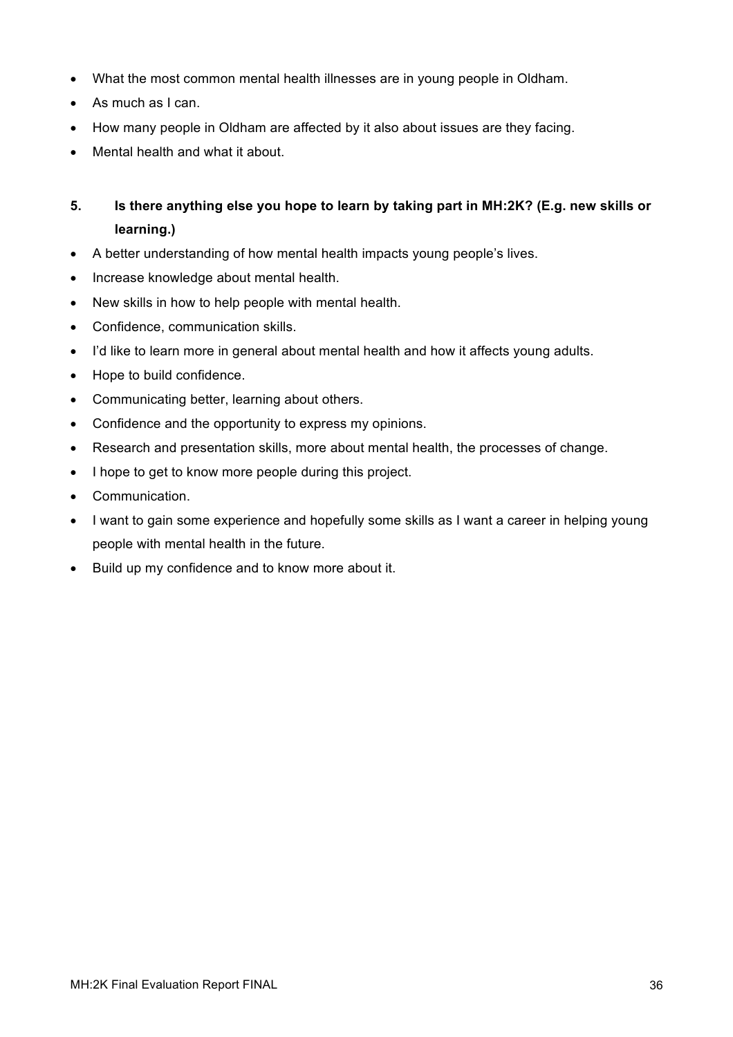- What the most common mental health illnesses are in young people in Oldham.
- As much as I can.
- How many people in Oldham are affected by it also about issues are they facing.
- Mental health and what it about.

## **5. Is there anything else you hope to learn by taking part in MH:2K? (E.g. new skills or learning.)**

- A better understanding of how mental health impacts young people's lives.
- Increase knowledge about mental health.
- New skills in how to help people with mental health.
- Confidence, communication skills.
- I'd like to learn more in general about mental health and how it affects young adults.
- Hope to build confidence.
- Communicating better, learning about others.
- Confidence and the opportunity to express my opinions.
- Research and presentation skills, more about mental health, the processes of change.
- I hope to get to know more people during this project.
- Communication.
- I want to gain some experience and hopefully some skills as I want a career in helping young people with mental health in the future.
- Build up my confidence and to know more about it.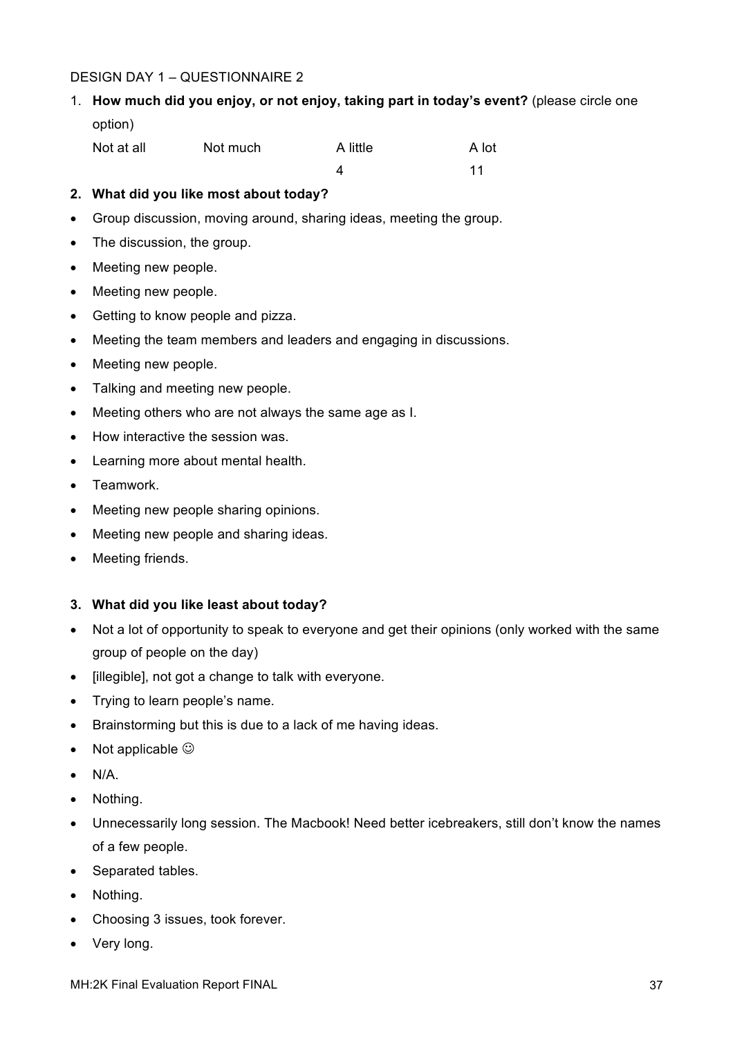## DESIGN DAY 1 – QUESTIONNAIRE 2

1. **How much did you enjoy, or not enjoy, taking part in today's event?** (please circle one option)

| Not at all | Not much | A little | A lot |
|------------|----------|----------|-------|
|            |          |          |       |

4 11

#### **2. What did you like most about today?**

- Group discussion, moving around, sharing ideas, meeting the group.
- The discussion, the group.
- Meeting new people.
- Meeting new people.
- Getting to know people and pizza.
- Meeting the team members and leaders and engaging in discussions.
- Meeting new people.
- Talking and meeting new people.
- Meeting others who are not always the same age as I.
- How interactive the session was.
- Learning more about mental health.
- Teamwork.
- Meeting new people sharing opinions.
- Meeting new people and sharing ideas.
- Meeting friends.

#### **3. What did you like least about today?**

- Not a lot of opportunity to speak to everyone and get their opinions (only worked with the same group of people on the day)
- [illegible], not got a change to talk with everyone.
- Trying to learn people's name.
- Brainstorming but this is due to a lack of me having ideas.
- Not applicable  $\odot$
- $\bullet$  N/A.
- Nothing.
- Unnecessarily long session. The Macbook! Need better icebreakers, still don't know the names of a few people.
- Separated tables.
- Nothing.
- Choosing 3 issues, took forever.
- Very long.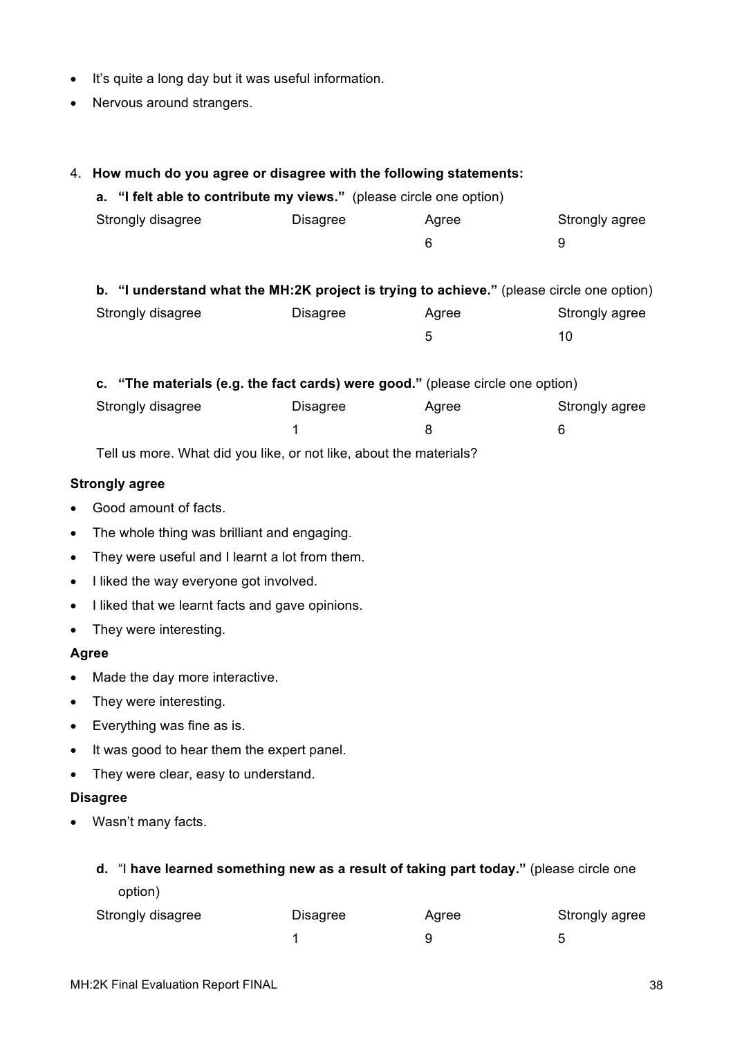- It's quite a long day but it was useful information.
- Nervous around strangers.

## 4. **How much do you agree or disagree with the following statements:**

| a. "I felt able to contribute my views." (please circle one option) |          |       |                |
|---------------------------------------------------------------------|----------|-------|----------------|
| Strongly disagree                                                   | Disagree | Aaree | Strongly agree |
|                                                                     |          |       | u              |
|                                                                     |          |       |                |

| b. "I understand what the MH:2K project is trying to achieve." (please circle one option) |          |       |                |
|-------------------------------------------------------------------------------------------|----------|-------|----------------|
| Strongly disagree                                                                         | Disagree | Aaree | Strongly agree |
|                                                                                           |          | 5     | 10.            |

| c. "The materials (e.g. the fact cards) were good." (please circle one option) |          |       |                |  |  |
|--------------------------------------------------------------------------------|----------|-------|----------------|--|--|
| Strongly disagree                                                              | Disagree | Agree | Strongly agree |  |  |
|                                                                                |          |       |                |  |  |

Tell us more. What did you like, or not like, about the materials?

#### **Strongly agree**

- Good amount of facts.
- The whole thing was brilliant and engaging.
- They were useful and I learnt a lot from them.
- I liked the way everyone got involved.
- I liked that we learnt facts and gave opinions.
- They were interesting.

#### **Agree**

- Made the day more interactive.
- They were interesting.
- Everything was fine as is.
- It was good to hear them the expert panel.
- They were clear, easy to understand.

#### **Disagree**

• Wasn't many facts.

| d. "I have learned something new as a result of taking part today." (please circle one |  |                                                                 |  |  |  |
|----------------------------------------------------------------------------------------|--|-----------------------------------------------------------------|--|--|--|
| option)                                                                                |  |                                                                 |  |  |  |
|                                                                                        |  | $\mathbf{A}$ and $\mathbf{A}$ and $\mathbf{A}$ and $\mathbf{A}$ |  |  |  |

| Strongly disagree | Disagree | Agree | Strongly agree |
|-------------------|----------|-------|----------------|
|                   |          |       |                |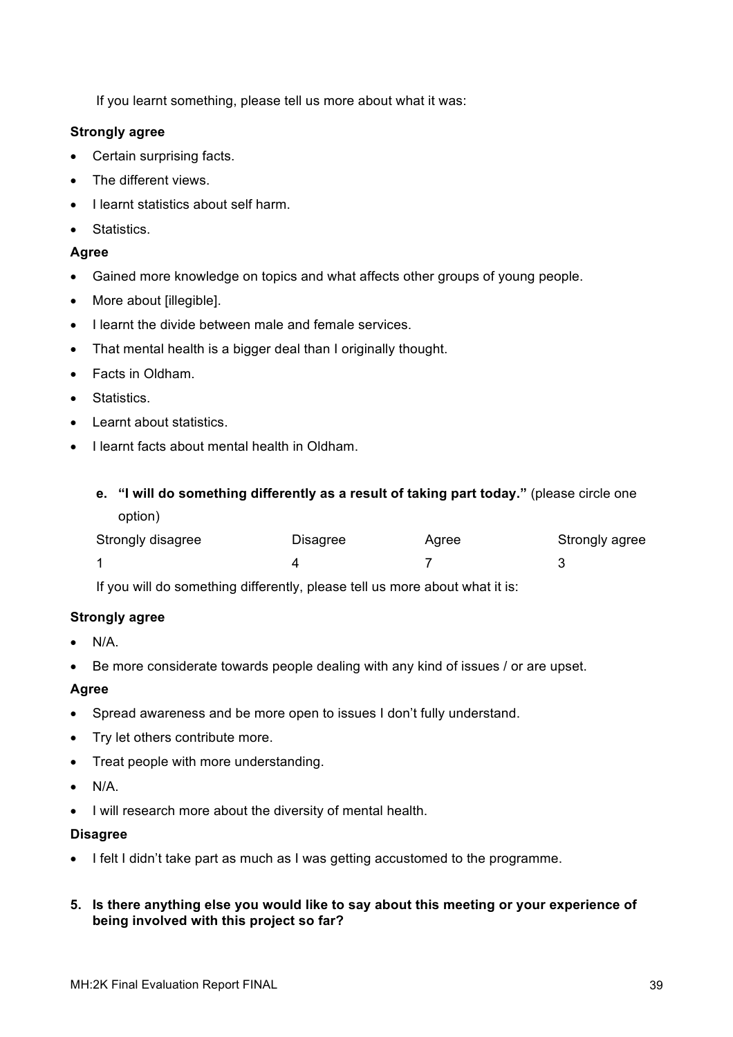If you learnt something, please tell us more about what it was:

#### **Strongly agree**

- Certain surprising facts.
- The different views.
- I learnt statistics about self harm.
- Statistics.

### **Agree**

- Gained more knowledge on topics and what affects other groups of young people.
- More about [illegible].
- I learnt the divide between male and female services.
- That mental health is a bigger deal than I originally thought.
- Facts in Oldham.
- Statistics.
- Learnt about statistics.
- I learnt facts about mental health in Oldham.
	- **e. "I will do something differently as a result of taking part today."** (please circle one option)

| Strongly disagree | <b>Disagree</b> | Agree | Strongly agree |
|-------------------|-----------------|-------|----------------|
|                   |                 |       |                |

If you will do something differently, please tell us more about what it is:

#### **Strongly agree**

- $\bullet$  N/A.
- Be more considerate towards people dealing with any kind of issues / or are upset.

#### **Agree**

- Spread awareness and be more open to issues I don't fully understand.
- Try let others contribute more.
- Treat people with more understanding.
- $\bullet$  N/A.
- I will research more about the diversity of mental health.

#### **Disagree**

- I felt I didn't take part as much as I was getting accustomed to the programme.
- **5. Is there anything else you would like to say about this meeting or your experience of being involved with this project so far?**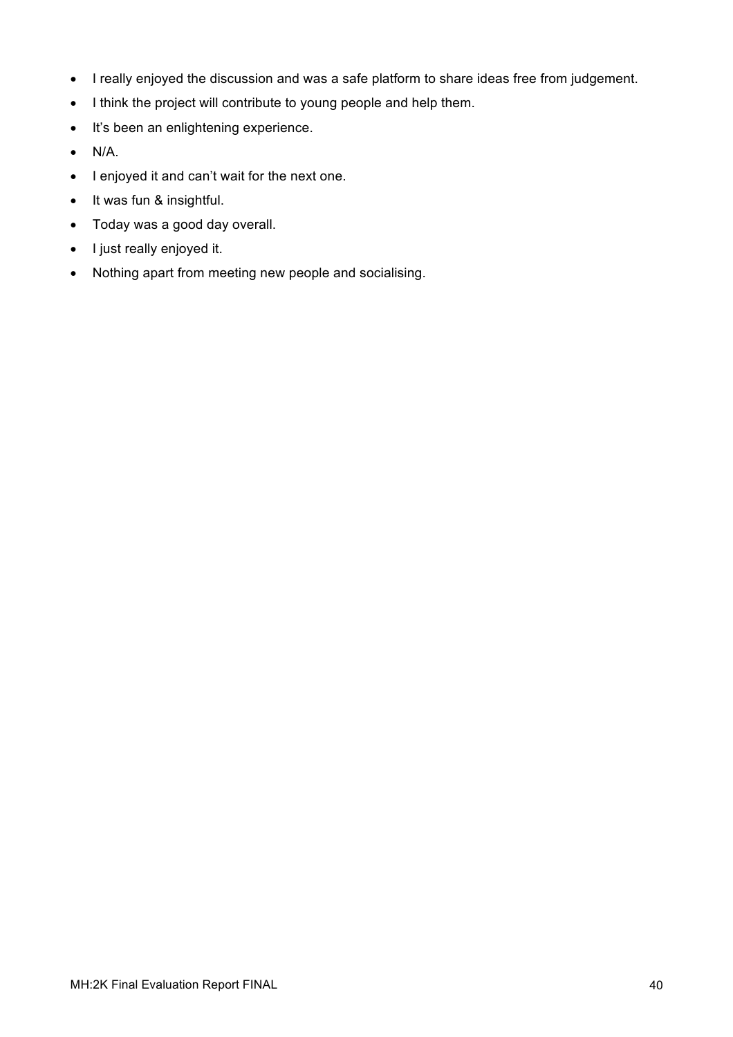- I really enjoyed the discussion and was a safe platform to share ideas free from judgement.
- I think the project will contribute to young people and help them.
- It's been an enlightening experience.
- N/A.
- I enjoyed it and can't wait for the next one.
- It was fun & insightful.
- Today was a good day overall.
- I just really enjoyed it.
- Nothing apart from meeting new people and socialising.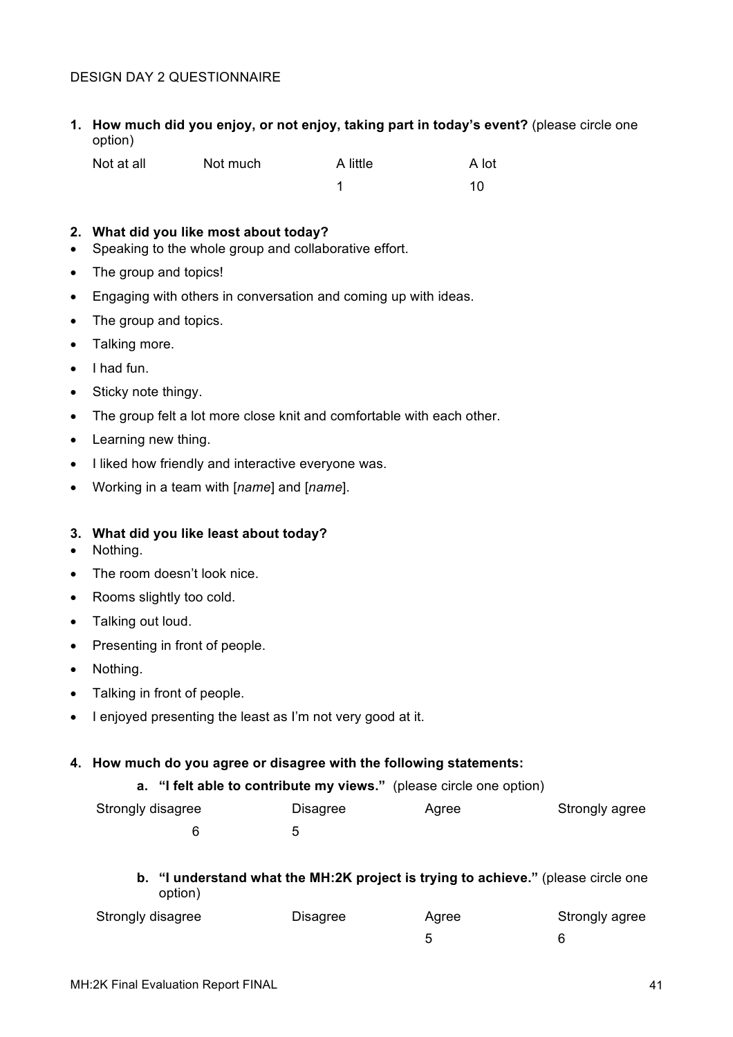#### DESIGN DAY 2 QUESTIONNAIRE

**1. How much did you enjoy, or not enjoy, taking part in today's event?** (please circle one option)

| Not at all | Not much | A little | A lot |
|------------|----------|----------|-------|
|            |          |          | 10    |

#### **2. What did you like most about today?**

- Speaking to the whole group and collaborative effort.
- The group and topics!
- Engaging with others in conversation and coming up with ideas.
- The group and topics.
- Talking more.
- I had fun.
- Sticky note thingy.
- The group felt a lot more close knit and comfortable with each other.
- Learning new thing.
- I liked how friendly and interactive everyone was.
- Working in a team with [*name*] and [*name*].

#### **3. What did you like least about today?**

- Nothing.
- The room doesn't look nice.
- Rooms slightly too cold.
- Talking out loud.
- Presenting in front of people.
- Nothing.
- Talking in front of people.
- I enjoyed presenting the least as I'm not very good at it.

#### **4. How much do you agree or disagree with the following statements:**

|  | a. "I felt able to contribute my views." (please circle one option) |  |  |  |  |  |  |  |
|--|---------------------------------------------------------------------|--|--|--|--|--|--|--|
|--|---------------------------------------------------------------------|--|--|--|--|--|--|--|

| Strongly disagree | Disagree | Agree | Strongly agree |
|-------------------|----------|-------|----------------|
|                   |          |       |                |

### **b. "I understand what the MH:2K project is trying to achieve."** (please circle one option)

| Strongly disagree | Disagree | Agree | Strongly agree |
|-------------------|----------|-------|----------------|
|                   |          |       |                |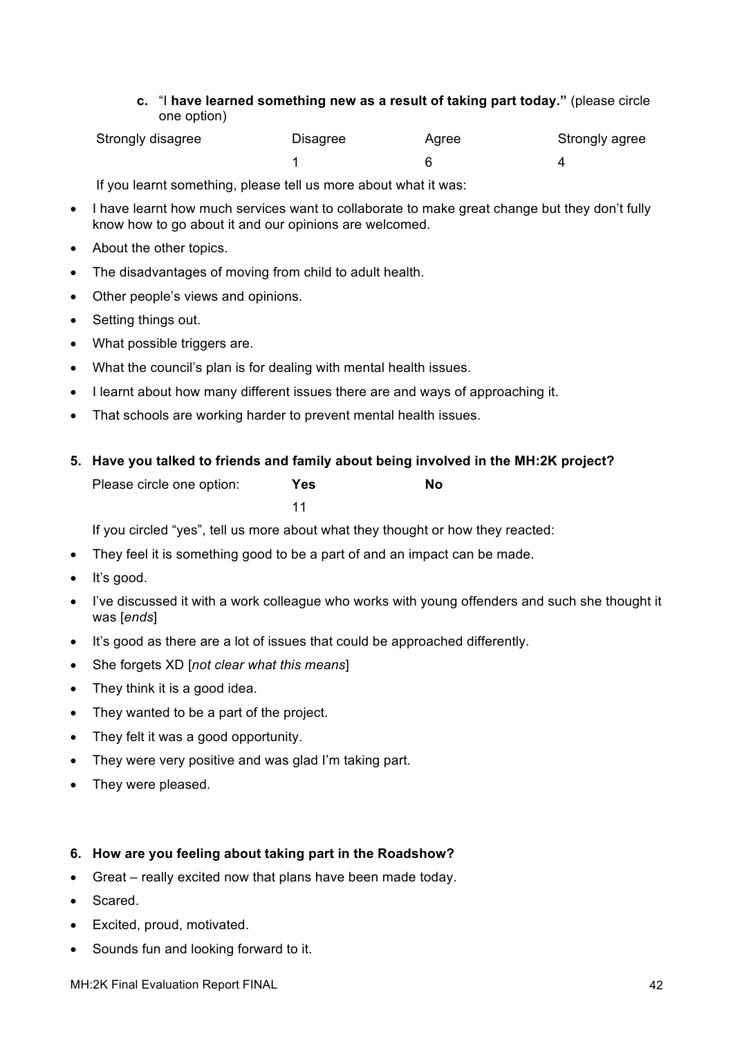**c.** "I **have learned something new as a result of taking part today."** (please circle one option)

| Strongly disagree | Disagree | Agree | Strongly agree |
|-------------------|----------|-------|----------------|
|                   |          |       |                |

If you learnt something, please tell us more about what it was:

- I have learnt how much services want to collaborate to make great change but they don't fully know how to go about it and our opinions are welcomed.
- About the other topics.
- The disadvantages of moving from child to adult health.
- Other people's views and opinions.
- Setting things out.
- What possible triggers are.
- What the council's plan is for dealing with mental health issues.
- I learnt about how many different issues there are and ways of approaching it.
- That schools are working harder to prevent mental health issues.
- **5. Have you talked to friends and family about being involved in the MH:2K project?** Please circle one option: **Yes No** 11

If you circled "yes", tell us more about what they thought or how they reacted:

- They feel it is something good to be a part of and an impact can be made.
- It's good.
- I've discussed it with a work colleague who works with young offenders and such she thought it was [*ends*]
- It's good as there are a lot of issues that could be approached differently.
- She forgets XD [*not clear what this means*]
- They think it is a good idea.
- They wanted to be a part of the project.
- They felt it was a good opportunity.
- They were very positive and was glad I'm taking part.
- They were pleased.

#### **6. How are you feeling about taking part in the Roadshow?**

- Great really excited now that plans have been made today.
- Scared.
- Excited, proud, motivated.
- Sounds fun and looking forward to it.

MH:2K Final Evaluation Report FINAL 42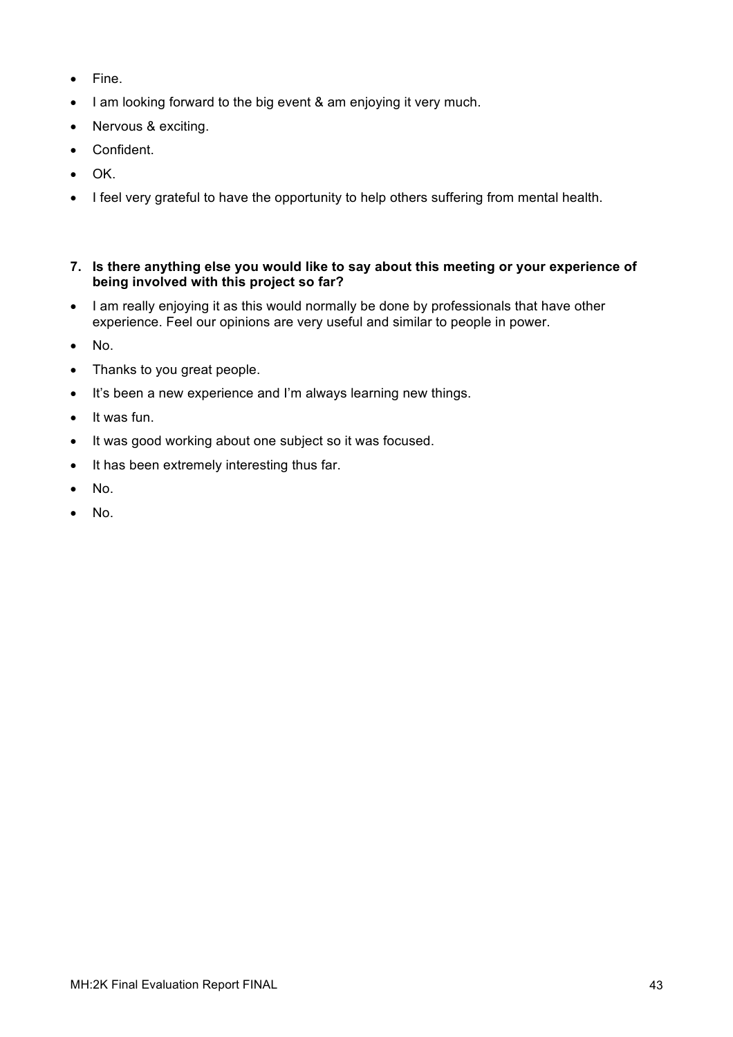- Fine.
- I am looking forward to the big event & am enjoying it very much.
- Nervous & exciting.
- Confident.
- OK.
- I feel very grateful to have the opportunity to help others suffering from mental health.
- **7. Is there anything else you would like to say about this meeting or your experience of being involved with this project so far?**
- I am really enjoying it as this would normally be done by professionals that have other experience. Feel our opinions are very useful and similar to people in power.
- No.
- Thanks to you great people.
- It's been a new experience and I'm always learning new things.
- It was fun.
- It was good working about one subject so it was focused.
- It has been extremely interesting thus far.
- No.
- No.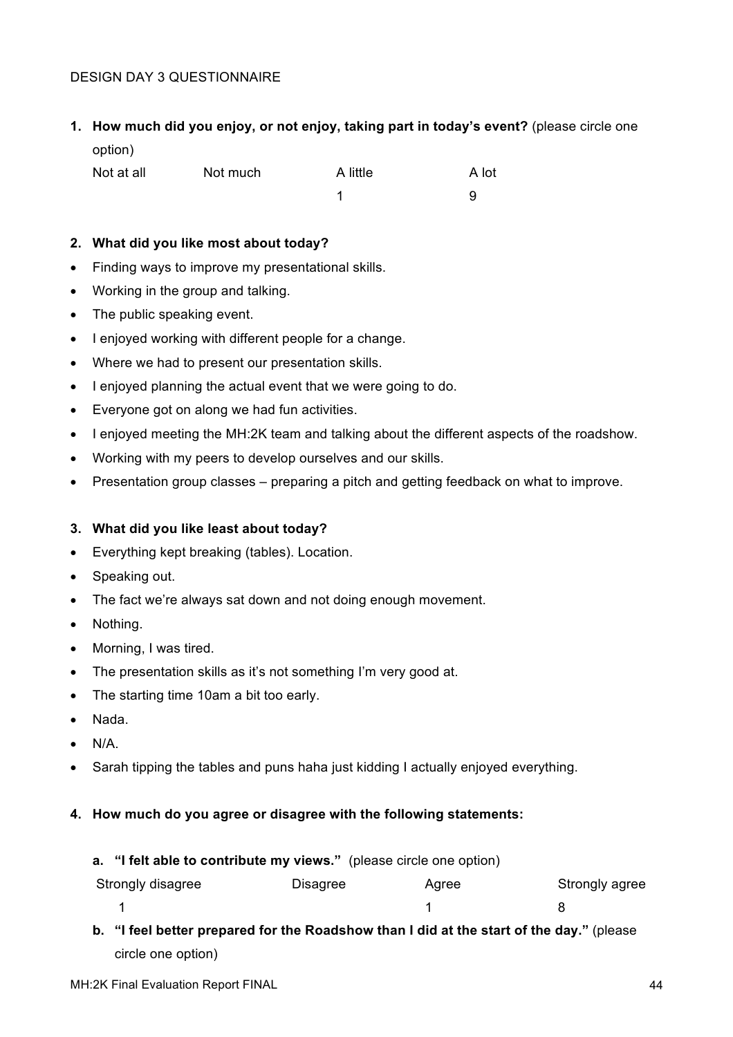### DESIGN DAY 3 QUESTIONNAIRE

**1. How much did you enjoy, or not enjoy, taking part in today's event?** (please circle one

option)

| Not at all | Not much | A little | A lot |
|------------|----------|----------|-------|

| A little | А |
|----------|---|
| ◢        | 9 |

### **2. What did you like most about today?**

- Finding ways to improve my presentational skills.
- Working in the group and talking.
- The public speaking event.
- I enjoyed working with different people for a change.
- Where we had to present our presentation skills.
- I enjoyed planning the actual event that we were going to do.
- Everyone got on along we had fun activities.
- I enjoyed meeting the MH:2K team and talking about the different aspects of the roadshow.
- Working with my peers to develop ourselves and our skills.
- Presentation group classes preparing a pitch and getting feedback on what to improve.

## **3. What did you like least about today?**

- Everything kept breaking (tables). Location.
- Speaking out.
- The fact we're always sat down and not doing enough movement.
- Nothing.
- Morning, I was tired.
- The presentation skills as it's not something I'm very good at.
- The starting time 10am a bit too early.
- Nada.
- $\bullet$  N/A.
- Sarah tipping the tables and puns haha just kidding I actually enjoyed everything.

## **4. How much do you agree or disagree with the following statements:**

#### **a. "I felt able to contribute my views."** (please circle one option)

| Strongly disagree | <b>Disagree</b> | Agree | Strongly agree |
|-------------------|-----------------|-------|----------------|
|                   |                 |       |                |

**b. "I feel better prepared for the Roadshow than I did at the start of the day."** (please circle one option)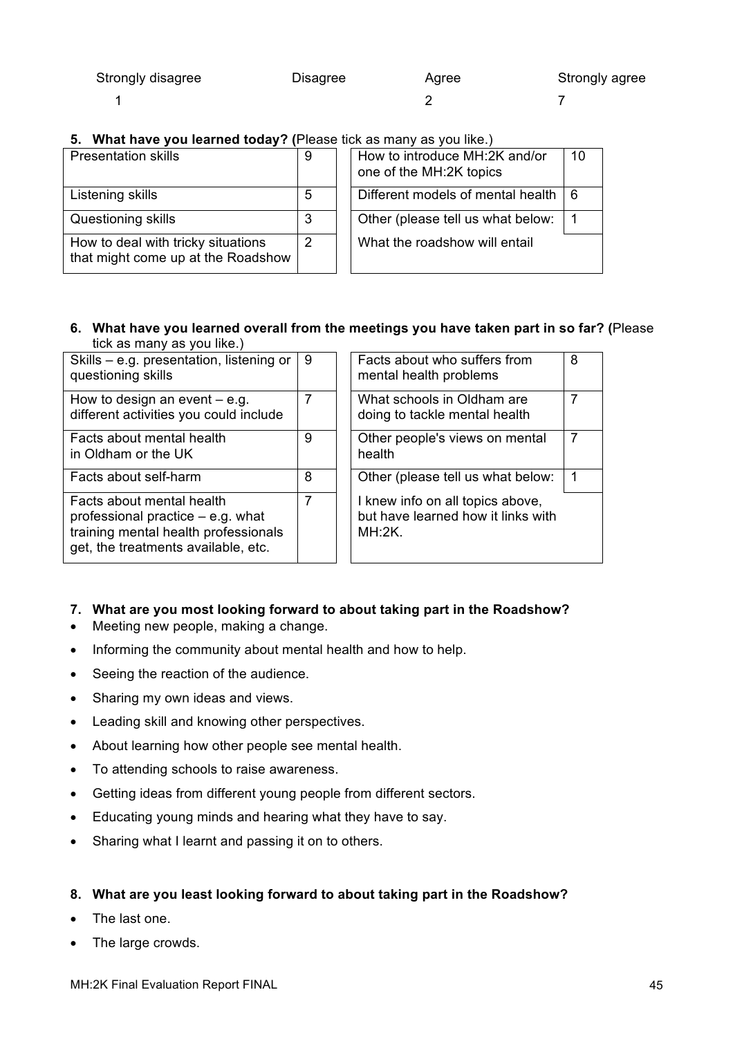| Strongly disagree                                              | <b>Disagree</b> | Agree | Strongly agree |
|----------------------------------------------------------------|-----------------|-------|----------------|
|                                                                |                 |       |                |
| What have you learned today? (Please tick as many as you like) |                 |       |                |

**5.** What have you learned today? (Please ties

| <b>Presentation skills</b>                                               | 9 | How to introduce MH:2K and/or<br>$\overline{1}$<br>one of the MH:2K topics |
|--------------------------------------------------------------------------|---|----------------------------------------------------------------------------|
| Listening skills                                                         | 5 | Different models of mental health<br><u> 16</u>                            |
| Questioning skills                                                       | 3 | l 1<br>Other (please tell us what below:                                   |
| How to deal with tricky situations<br>that might come up at the Roadshow | 2 | What the roadshow will entail                                              |

|   | <b>ICASE TICK AS ITIGHTY AS YOU IINC.</b> |                                                          |    |  |
|---|-------------------------------------------|----------------------------------------------------------|----|--|
| 9 |                                           | How to introduce MH:2K and/or<br>one of the MH:2K topics | 10 |  |
| 5 |                                           | Different models of mental health                        | 6  |  |
| 3 |                                           | Other (please tell us what below:                        |    |  |
| 2 |                                           | What the roadshow will entail                            |    |  |

#### **6. What have you learned overall from the meetings you have taken part in so far? (**Please tick as many as you like.)

| Skills – e.g. presentation, listening or                                                                                                        | 9 | Facts about who suffers from                                                        | 8 |
|-------------------------------------------------------------------------------------------------------------------------------------------------|---|-------------------------------------------------------------------------------------|---|
| questioning skills                                                                                                                              |   | mental health problems                                                              |   |
| How to design an event $-$ e.g.<br>different activities you could include                                                                       | 7 | What schools in Oldham are<br>doing to tackle mental health                         |   |
|                                                                                                                                                 |   |                                                                                     |   |
| Facts about mental health<br>in Oldham or the UK                                                                                                | 9 | Other people's views on mental<br>health                                            |   |
| Facts about self-harm                                                                                                                           | 8 | Other (please tell us what below:                                                   |   |
| Facts about mental health<br>professional practice $-$ e.g. what<br>training mental health professionals<br>get, the treatments available, etc. | 7 | I knew info on all topics above,<br>but have learned how it links with<br>$MH:2K$ . |   |

## **7. What are you most looking forward to about taking part in the Roadshow?**

- Meeting new people, making a change.
- Informing the community about mental health and how to help.
- Seeing the reaction of the audience.
- Sharing my own ideas and views.
- Leading skill and knowing other perspectives.
- About learning how other people see mental health.
- To attending schools to raise awareness.
- Getting ideas from different young people from different sectors.
- Educating young minds and hearing what they have to say.
- Sharing what I learnt and passing it on to others.

## **8. What are you least looking forward to about taking part in the Roadshow?**

- The last one.
- The large crowds.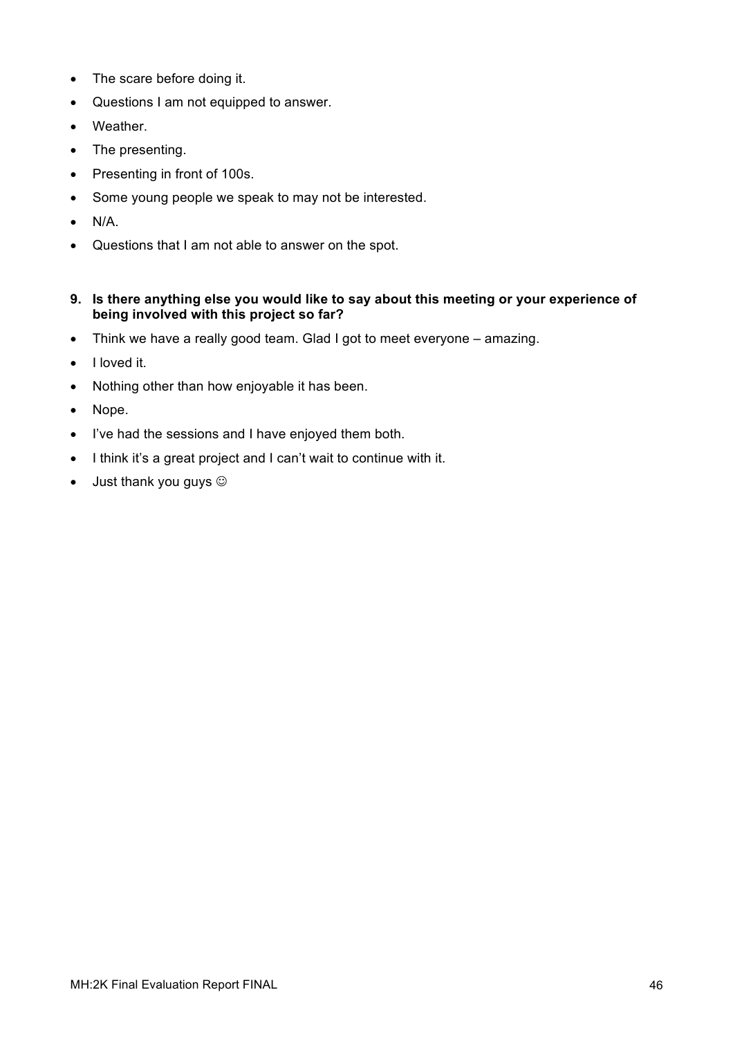- The scare before doing it.
- Questions I am not equipped to answer.
- Weather.
- The presenting.
- Presenting in front of 100s.
- Some young people we speak to may not be interested.
- $\bullet$  N/A.
- Questions that I am not able to answer on the spot.
- **9. Is there anything else you would like to say about this meeting or your experience of being involved with this project so far?**
- Think we have a really good team. Glad I got to meet everyone amazing.
- I loved it.
- Nothing other than how enjoyable it has been.
- Nope.
- I've had the sessions and I have enjoyed them both.
- I think it's a great project and I can't wait to continue with it.
- $\bullet$  Just thank you guys  $\odot$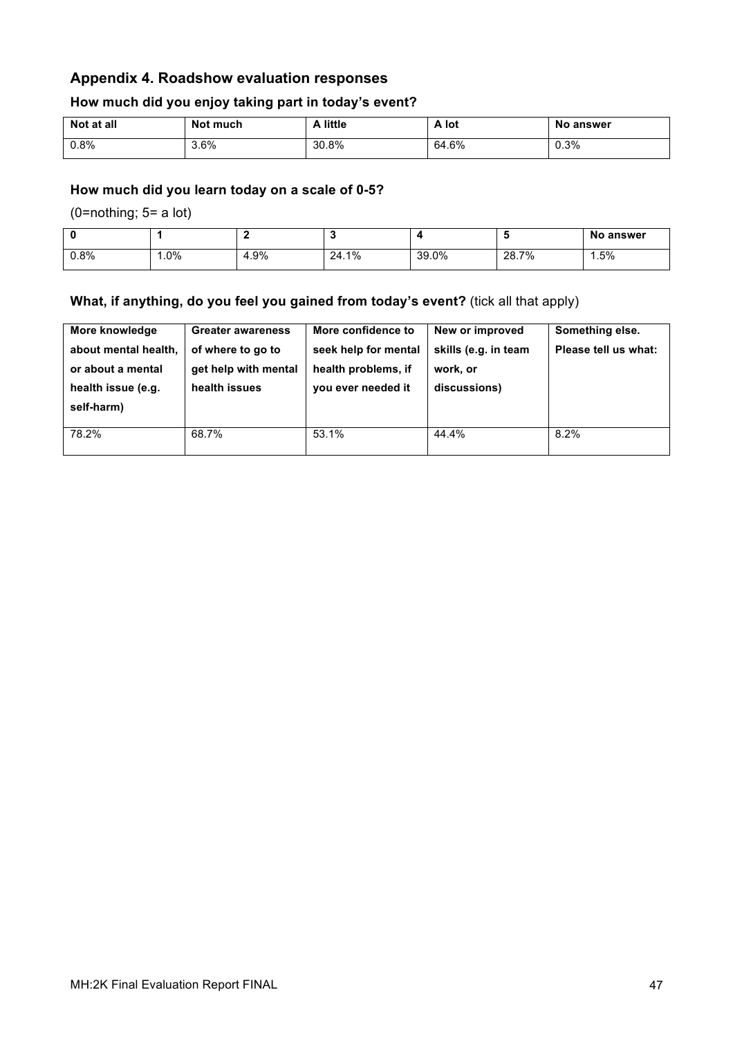## **Appendix 4. Roadshow evaluation responses**

#### **How much did you enjoy taking part in today's event?**

| Not at all | Not much | ∖ little | A lot | <b>No answer</b> |
|------------|----------|----------|-------|------------------|
| 0.8%       | 3.6%     | 30.8%    | 64.6% | 0.3%             |

#### **How much did you learn today on a scale of 0-5?**

(0=nothing; 5= a lot)

|      |        |      |               |       |       | No answer |
|------|--------|------|---------------|-------|-------|-----------|
| 0.8% | $.0\%$ | 4.9% | $1\%$<br>24.1 | 39.0% | 28.7% | 1.5%      |

## **What, if anything, do you feel you gained from today's event?** (tick all that apply)

| More knowledge<br>about mental health,<br>or about a mental<br>health issue (e.g.<br>self-harm) | <b>Greater awareness</b><br>of where to go to<br>get help with mental<br>health issues | More confidence to<br>seek help for mental<br>health problems, if<br>you ever needed it | New or improved<br>skills (e.g. in team<br>work, or<br>discussions) | Something else.<br>Please tell us what: |
|-------------------------------------------------------------------------------------------------|----------------------------------------------------------------------------------------|-----------------------------------------------------------------------------------------|---------------------------------------------------------------------|-----------------------------------------|
| 78.2%                                                                                           | 68.7%                                                                                  | 53.1%                                                                                   | 44.4%                                                               | 8.2%                                    |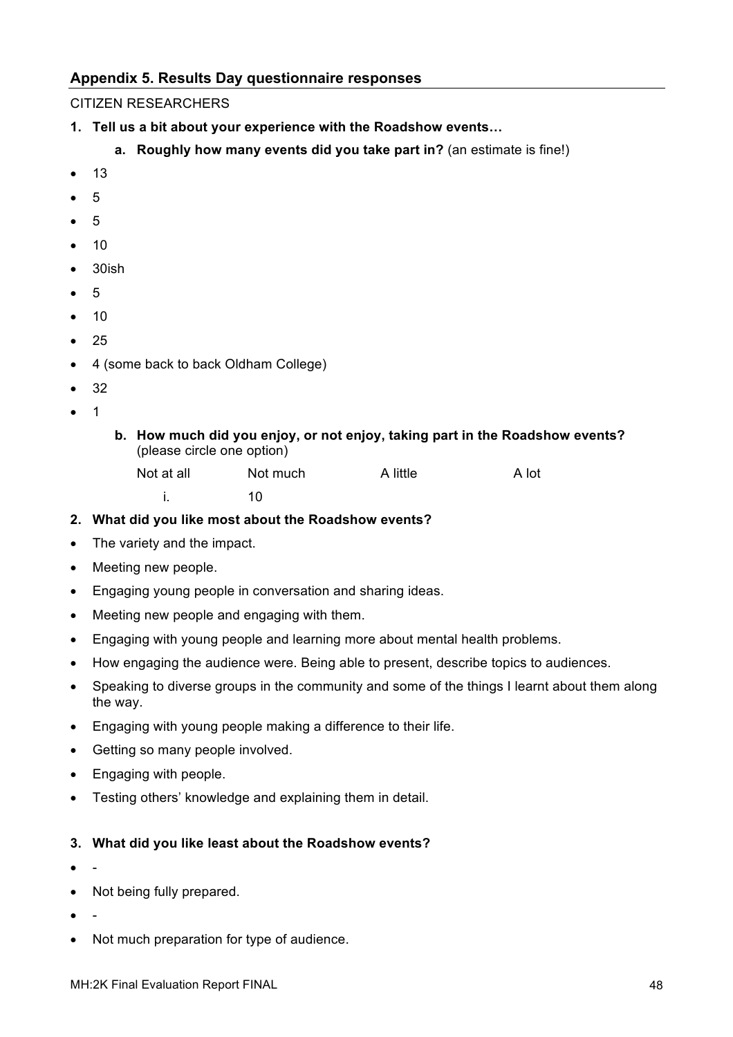## **Appendix 5. Results Day questionnaire responses**

### CITIZEN RESEARCHERS

- **1. Tell us a bit about your experience with the Roadshow events…**
	- **a. Roughly how many events did you take part in?** (an estimate is fine!)
- $13$
- 5
- 5
- $10$
- 30ish
- 5
- 10
- $25$
- 4 (some back to back Oldham College)
- 32
- $\overline{\phantom{a}}$
- **b. How much did you enjoy, or not enjoy, taking part in the Roadshow events?**  (please circle one option)

| Not at all | Not much | A little | A lot |
|------------|----------|----------|-------|
|            |          |          |       |

- **2. What did you like most about the Roadshow events?**
- The variety and the impact.
- Meeting new people.
- Engaging young people in conversation and sharing ideas.
- Meeting new people and engaging with them.
- Engaging with young people and learning more about mental health problems.
- How engaging the audience were. Being able to present, describe topics to audiences.
- Speaking to diverse groups in the community and some of the things I learnt about them along the way.
- Engaging with young people making a difference to their life.
- Getting so many people involved.
- Engaging with people.
- Testing others' knowledge and explaining them in detail.

#### **3. What did you like least about the Roadshow events?**

- -
- Not being fully prepared.
- -
- Not much preparation for type of audience.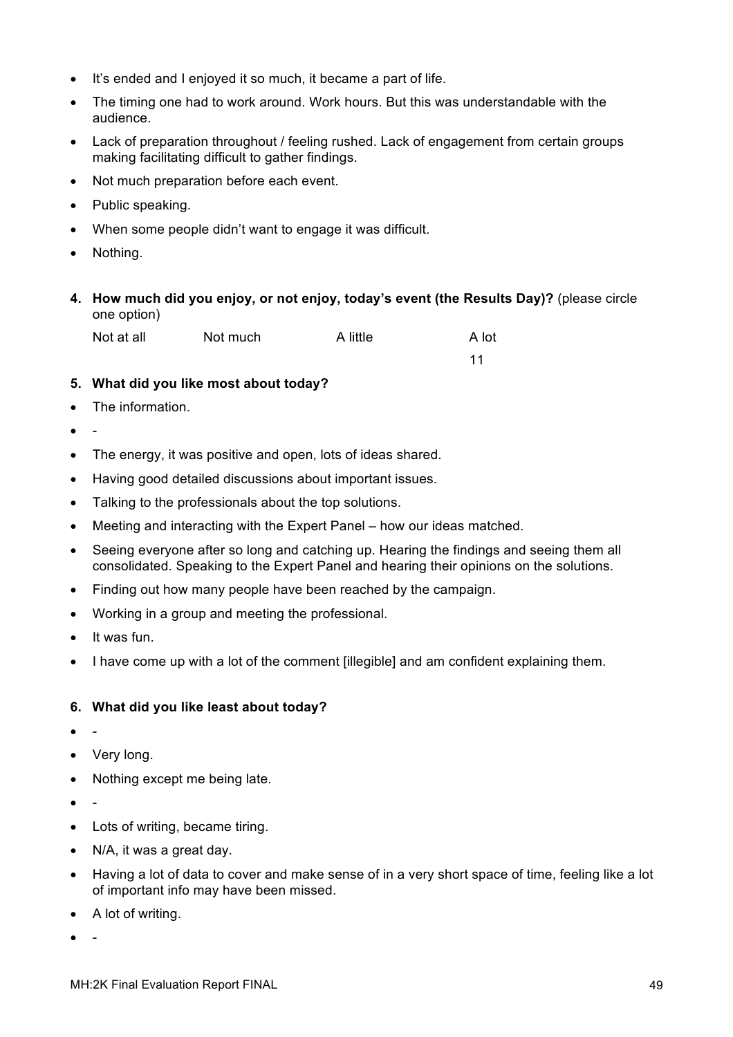- It's ended and I enjoyed it so much, it became a part of life.
- The timing one had to work around. Work hours. But this was understandable with the audience.
- Lack of preparation throughout / feeling rushed. Lack of engagement from certain groups making facilitating difficult to gather findings.
- Not much preparation before each event.
- Public speaking.
- When some people didn't want to engage it was difficult.
- Nothing.
- **4. How much did you enjoy, or not enjoy, today's event (the Results Day)?** (please circle one option)

| Not at all | Not much | A little | A lot |
|------------|----------|----------|-------|
|            |          |          |       |

11

- **5. What did you like most about today?**
- The information.
- -
- The energy, it was positive and open, lots of ideas shared.
- Having good detailed discussions about important issues.
- Talking to the professionals about the top solutions.
- Meeting and interacting with the Expert Panel how our ideas matched.
- Seeing everyone after so long and catching up. Hearing the findings and seeing them all consolidated. Speaking to the Expert Panel and hearing their opinions on the solutions.
- Finding out how many people have been reached by the campaign.
- Working in a group and meeting the professional.
- It was fun.
- I have come up with a lot of the comment [illegible] and am confident explaining them.

#### **6. What did you like least about today?**

- -
- Very long.
- Nothing except me being late.
- -
- Lots of writing, became tiring.
- N/A, it was a great day.
- Having a lot of data to cover and make sense of in a very short space of time, feeling like a lot of important info may have been missed.
- A lot of writing.
- -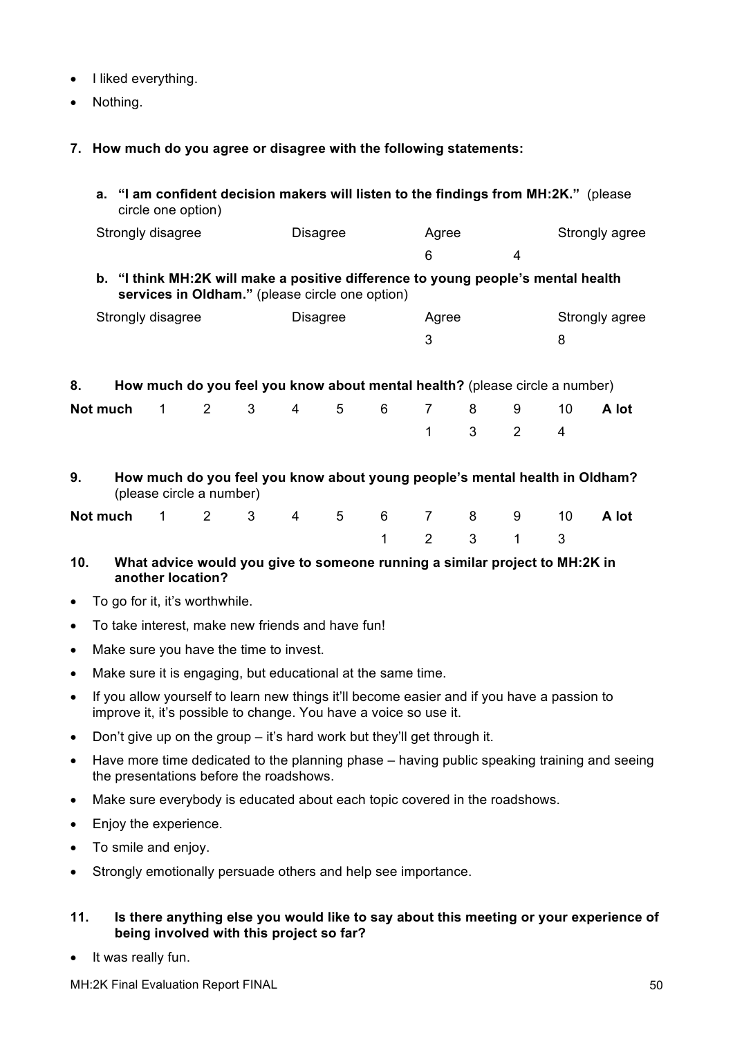- I liked everything.
- Nothing.
- **7. How much do you agree or disagree with the following statements:**

|           |          | circle one option) |                                |                                        |           |                                                                           |              |                |   |                |                                                                                            | a. "I am confident decision makers will listen to the findings from MH:2K." (please         |
|-----------|----------|--------------------|--------------------------------|----------------------------------------|-----------|---------------------------------------------------------------------------|--------------|----------------|---|----------------|--------------------------------------------------------------------------------------------|---------------------------------------------------------------------------------------------|
|           |          | Strongly disagree  |                                |                                        |           | <b>Disagree</b>                                                           |              | Agree          |   |                |                                                                                            | Strongly agree                                                                              |
|           |          |                    |                                |                                        |           |                                                                           |              | 6              |   | $\overline{4}$ |                                                                                            |                                                                                             |
|           |          |                    |                                |                                        |           | services in Oldham." (please circle one option)                           |              |                |   |                | b. "I think MH:2K will make a positive difference to young people's mental health          |                                                                                             |
|           |          | Strongly disagree  |                                |                                        |           | <b>Disagree</b>                                                           |              | Agree          |   |                |                                                                                            | Strongly agree                                                                              |
|           |          |                    |                                |                                        |           |                                                                           |              | 3              |   |                | 8                                                                                          |                                                                                             |
| 8.        |          |                    |                                |                                        |           |                                                                           |              |                |   |                | How much do you feel you know about mental health? (please circle a number)                |                                                                                             |
|           | Not much | 1                  | 2                              | 3                                      | 4         | 5                                                                         | 6            | 7              | 8 | 9              | 10                                                                                         | A lot                                                                                       |
|           |          |                    |                                |                                        |           |                                                                           |              | 1              | 3 | 2              | 4                                                                                          |                                                                                             |
| 9.        |          |                    | (please circle a number)       |                                        |           |                                                                           |              |                |   |                |                                                                                            | How much do you feel you know about young people's mental health in Oldham?                 |
|           | Not much | $\mathbf{1}$       | 2                              | $\mathbf{3}$                           | $4 \quad$ | 5                                                                         | 6            | $\overline{7}$ | 8 | 9              | 10                                                                                         | A lot                                                                                       |
|           |          |                    |                                |                                        |           |                                                                           | $\mathbf{1}$ | $\overline{2}$ | 3 | 1              | 3                                                                                          |                                                                                             |
| 10.       |          |                    | another location?              |                                        |           |                                                                           |              |                |   |                | What advice would you give to someone running a similar project to MH:2K in                |                                                                                             |
| $\bullet$ |          |                    | To go for it, it's worthwhile. |                                        |           |                                                                           |              |                |   |                |                                                                                            |                                                                                             |
| $\bullet$ |          |                    |                                |                                        |           | To take interest, make new friends and have fun!                          |              |                |   |                |                                                                                            |                                                                                             |
| $\bullet$ |          |                    |                                | Make sure you have the time to invest. |           |                                                                           |              |                |   |                |                                                                                            |                                                                                             |
| $\bullet$ |          |                    |                                |                                        |           | Make sure it is engaging, but educational at the same time.               |              |                |   |                |                                                                                            |                                                                                             |
| $\bullet$ |          |                    |                                |                                        |           | improve it, it's possible to change. You have a voice so use it.          |              |                |   |                | If you allow yourself to learn new things it'll become easier and if you have a passion to |                                                                                             |
| $\bullet$ |          |                    |                                |                                        |           | Don't give up on the group $-$ it's hard work but they'll get through it. |              |                |   |                |                                                                                            |                                                                                             |
| $\bullet$ |          |                    |                                |                                        |           |                                                                           |              |                |   |                |                                                                                            | Have more time dedicated to the planning phase – having public speaking training and seeing |

- the presentations before the roadshows.
- Make sure everybody is educated about each topic covered in the roadshows.
- Enjoy the experience.
- To smile and enjoy.
- Strongly emotionally persuade others and help see importance.

#### **11. Is there anything else you would like to say about this meeting or your experience of being involved with this project so far?**

• It was really fun.

MH:2K Final Evaluation Report FINAL 50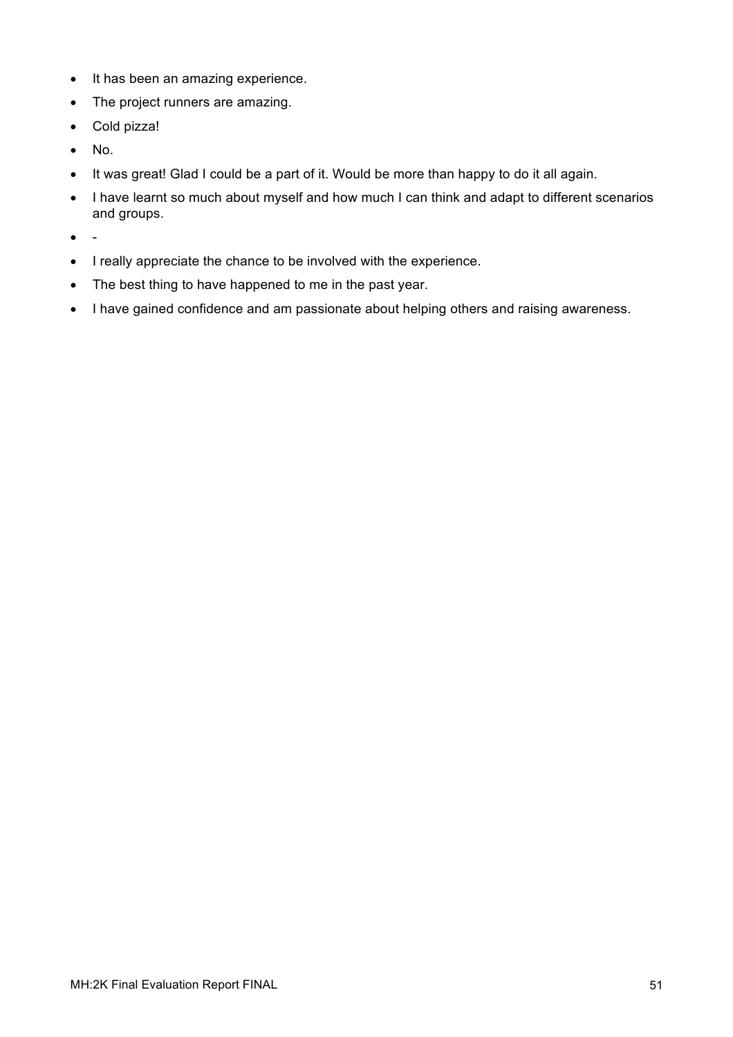- It has been an amazing experience.
- The project runners are amazing.
- Cold pizza!
- No.
- It was great! Glad I could be a part of it. Would be more than happy to do it all again.
- I have learnt so much about myself and how much I can think and adapt to different scenarios and groups.
- -
- I really appreciate the chance to be involved with the experience.
- The best thing to have happened to me in the past year.
- I have gained confidence and am passionate about helping others and raising awareness.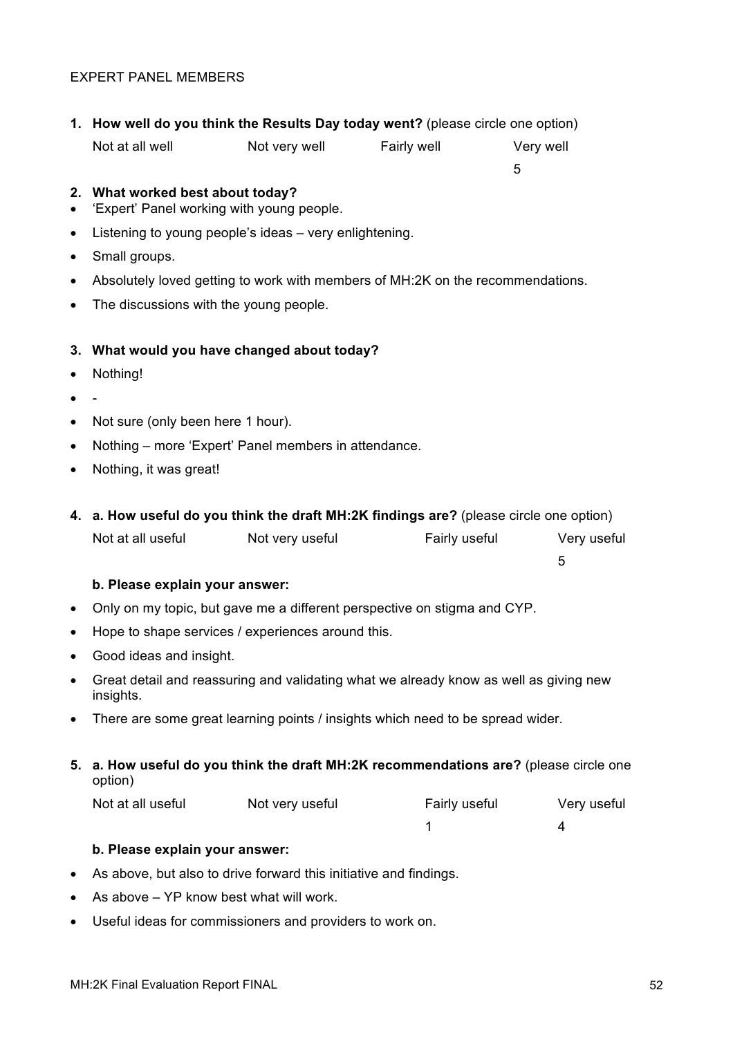#### EXPERT PANEL MEMBERS

|           | 1. How well do you think the Results Day today went? (please circle one option) |                                                                                |               |                                                                                        |  |
|-----------|---------------------------------------------------------------------------------|--------------------------------------------------------------------------------|---------------|----------------------------------------------------------------------------------------|--|
|           | Not at all well                                                                 | Not very well                                                                  | Fairly well   | Very well                                                                              |  |
|           |                                                                                 |                                                                                |               | 5                                                                                      |  |
|           | 2. What worked best about today?                                                | 'Expert' Panel working with young people.                                      |               |                                                                                        |  |
| $\bullet$ |                                                                                 | Listening to young people's ideas - very enlightening.                         |               |                                                                                        |  |
| $\bullet$ | Small groups.                                                                   |                                                                                |               |                                                                                        |  |
| ٠         |                                                                                 | Absolutely loved getting to work with members of MH:2K on the recommendations. |               |                                                                                        |  |
| $\bullet$ | The discussions with the young people.                                          |                                                                                |               |                                                                                        |  |
|           |                                                                                 |                                                                                |               |                                                                                        |  |
|           |                                                                                 | 3. What would you have changed about today?                                    |               |                                                                                        |  |
| $\bullet$ | Nothing!                                                                        |                                                                                |               |                                                                                        |  |
| $\bullet$ |                                                                                 |                                                                                |               |                                                                                        |  |
| $\bullet$ | Not sure (only been here 1 hour).                                               |                                                                                |               |                                                                                        |  |
| $\bullet$ |                                                                                 | Nothing – more 'Expert' Panel members in attendance.                           |               |                                                                                        |  |
| $\bullet$ | Nothing, it was great!                                                          |                                                                                |               |                                                                                        |  |
|           |                                                                                 |                                                                                |               |                                                                                        |  |
|           |                                                                                 |                                                                                |               | 4. a. How useful do you think the draft MH:2K findings are? (please circle one option) |  |
|           | Not at all useful                                                               | Not very useful                                                                | Fairly useful | Very useful                                                                            |  |
|           |                                                                                 |                                                                                |               | 5                                                                                      |  |
|           | b. Please explain your answer:                                                  |                                                                                |               |                                                                                        |  |
| $\bullet$ |                                                                                 | Only on my topic, but gave me a different perspective on stigma and CYP.       |               |                                                                                        |  |
| $\bullet$ |                                                                                 | Hope to shape services / experiences around this.                              |               |                                                                                        |  |
| $\bullet$ | Good ideas and insight.                                                         |                                                                                |               |                                                                                        |  |
| $\bullet$ | insights.                                                                       |                                                                                |               | Great detail and reassuring and validating what we already know as well as giving new  |  |
| ٠         |                                                                                 | There are some great learning points / insights which need to be spread wider. |               |                                                                                        |  |

**5. a. How useful do you think the draft MH:2K recommendations are?** (please circle one option)

| Not at all useful | Not very useful | Fairly useful | Very useful |
|-------------------|-----------------|---------------|-------------|
|                   |                 |               |             |

## **b. Please explain your answer:**

- As above, but also to drive forward this initiative and findings.
- As above YP know best what will work.
- Useful ideas for commissioners and providers to work on.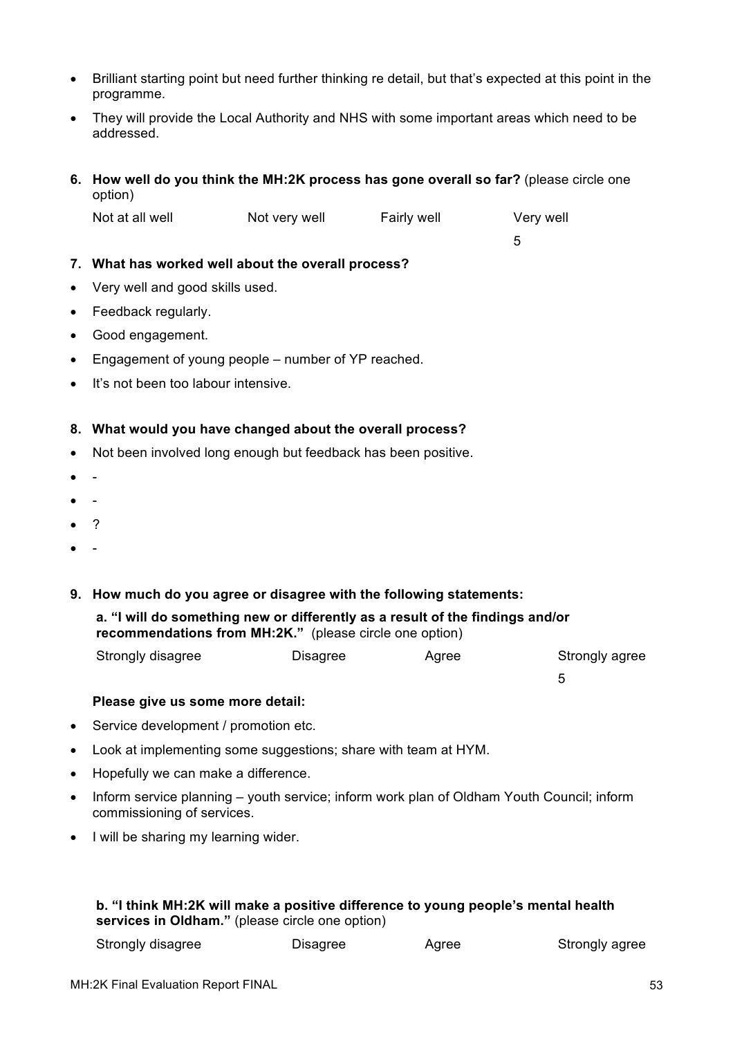- Brilliant starting point but need further thinking re detail, but that's expected at this point in the programme.
- They will provide the Local Authority and NHS with some important areas which need to be addressed.
- **6. How well do you think the MH:2K process has gone overall so far?** (please circle one option)

| Not at all well | Not very well | Fairly well | Very well |
|-----------------|---------------|-------------|-----------|
|                 |               |             |           |

#### **7. What has worked well about the overall process?**

- Very well and good skills used.
- Feedback regularly.
- Good engagement.
- Engagement of young people number of YP reached.
- It's not been too labour intensive.

#### **8. What would you have changed about the overall process?**

- Not been involved long enough but feedback has been positive.
- -
- -
- $\overline{\phantom{a}}$
- -

#### **9. How much do you agree or disagree with the following statements:**

**a. "I will do something new or differently as a result of the findings and/or recommendations from MH:2K."** (please circle one option)

| Strongly disagree | Disagree | Agree | Strongly agree |
|-------------------|----------|-------|----------------|
|-------------------|----------|-------|----------------|

#### **Please give us some more detail:**

- Service development / promotion etc.
- Look at implementing some suggestions; share with team at HYM.
- Hopefully we can make a difference.
- Inform service planning youth service; inform work plan of Oldham Youth Council; inform commissioning of services.
- I will be sharing my learning wider.

#### **b. "I think MH:2K will make a positive difference to young people's mental health services in Oldham."** (please circle one option)

| Strongly disagree<br>Disagree<br>Agree | Strongly agree |
|----------------------------------------|----------------|
|----------------------------------------|----------------|

5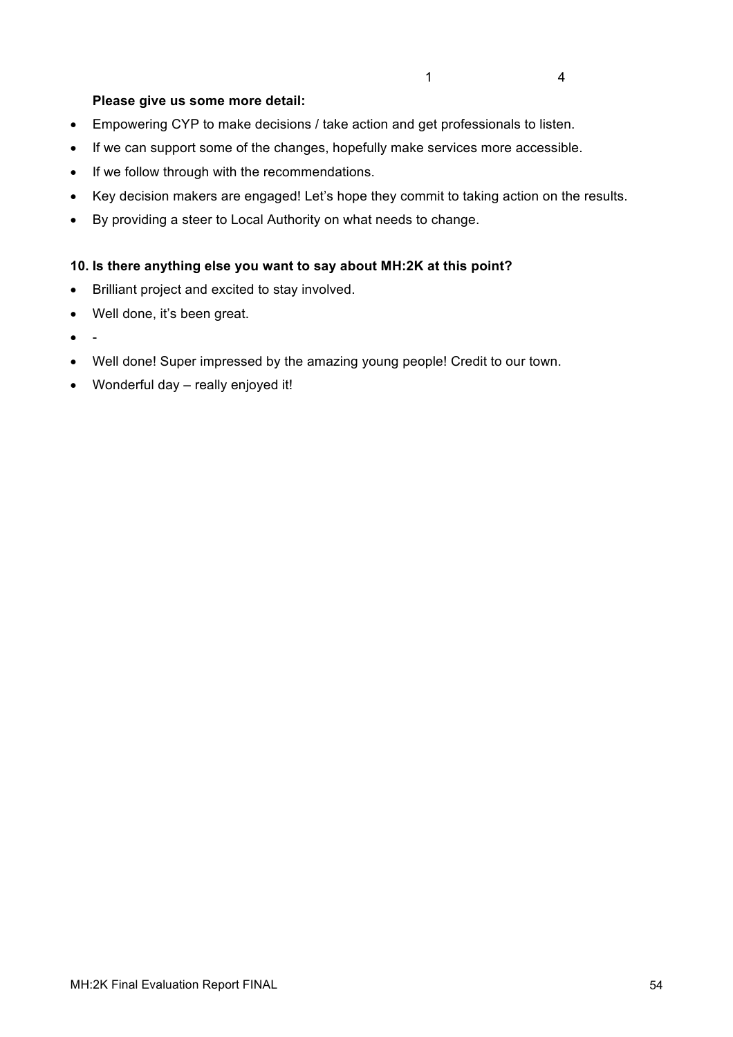### **Please give us some more detail:**

- Empowering CYP to make decisions / take action and get professionals to listen.
- If we can support some of the changes, hopefully make services more accessible.
- If we follow through with the recommendations.
- Key decision makers are engaged! Let's hope they commit to taking action on the results.
- By providing a steer to Local Authority on what needs to change.

#### **10. Is there anything else you want to say about MH:2K at this point?**

- Brilliant project and excited to stay involved.
- Well done, it's been great.
- -
- Well done! Super impressed by the amazing young people! Credit to our town.
- Wonderful day really enjoyed it!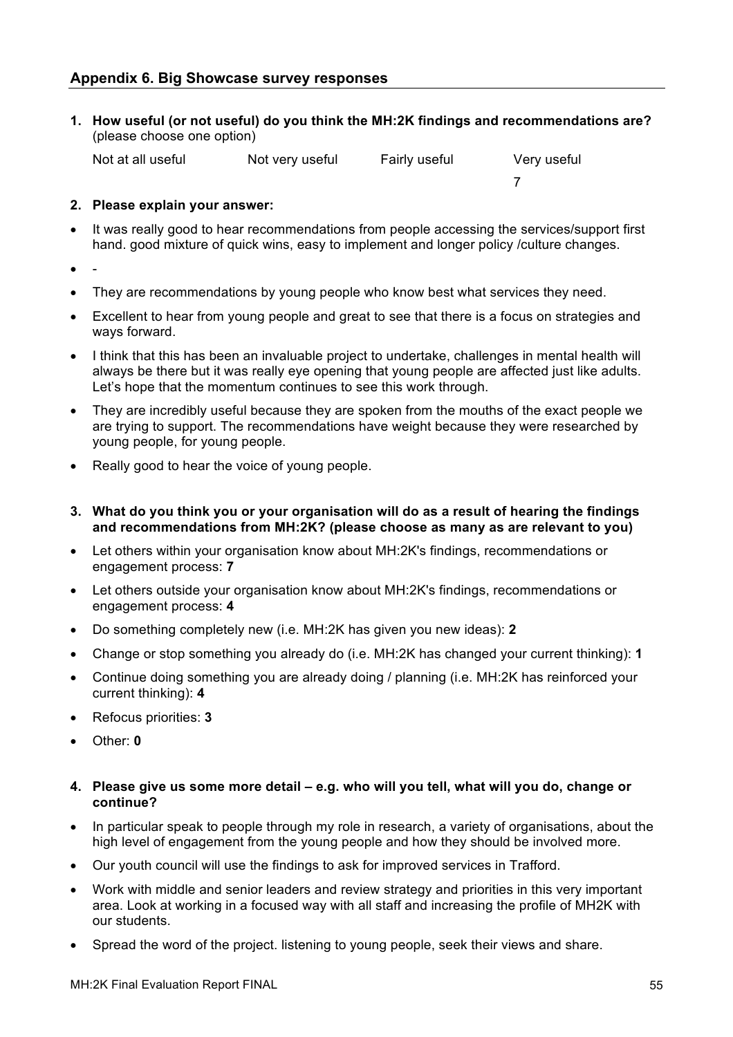**1. How useful (or not useful) do you think the MH:2K findings and recommendations are?**  (please choose one option)

7

| Very useful<br>Not at all useful<br>Fairly useful<br>Not very useful |
|----------------------------------------------------------------------|
|----------------------------------------------------------------------|

#### **2. Please explain your answer:**

- It was really good to hear recommendations from people accessing the services/support first hand. good mixture of quick wins, easy to implement and longer policy /culture changes.
- -
- They are recommendations by young people who know best what services they need.
- Excellent to hear from young people and great to see that there is a focus on strategies and ways forward.
- I think that this has been an invaluable project to undertake, challenges in mental health will always be there but it was really eye opening that young people are affected just like adults. Let's hope that the momentum continues to see this work through.
- They are incredibly useful because they are spoken from the mouths of the exact people we are trying to support. The recommendations have weight because they were researched by young people, for young people.
- Really good to hear the voice of young people.
- **3. What do you think you or your organisation will do as a result of hearing the findings and recommendations from MH:2K? (please choose as many as are relevant to you)**
- Let others within your organisation know about MH:2K's findings, recommendations or engagement process: **7**
- Let others outside your organisation know about MH:2K's findings, recommendations or engagement process: **4**
- Do something completely new (i.e. MH:2K has given you new ideas): **2**
- Change or stop something you already do (i.e. MH:2K has changed your current thinking): **1**
- Continue doing something you are already doing / planning (i.e. MH:2K has reinforced your current thinking): **4**
- Refocus priorities: **3**
- Other: **0**
- **4. Please give us some more detail – e.g. who will you tell, what will you do, change or continue?**
- In particular speak to people through my role in research, a variety of organisations, about the high level of engagement from the young people and how they should be involved more.
- Our youth council will use the findings to ask for improved services in Trafford.
- Work with middle and senior leaders and review strategy and priorities in this very important area. Look at working in a focused way with all staff and increasing the profile of MH2K with our students.
- Spread the word of the project. listening to young people, seek their views and share.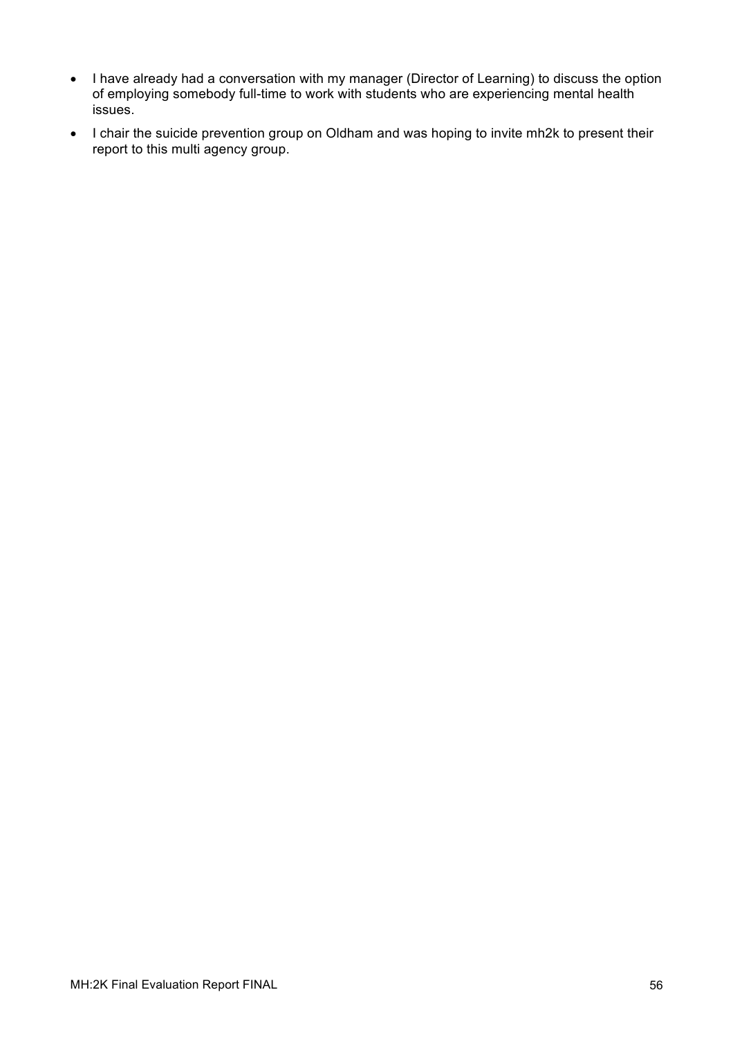- I have already had a conversation with my manager (Director of Learning) to discuss the option of employing somebody full-time to work with students who are experiencing mental health issues.
- I chair the suicide prevention group on Oldham and was hoping to invite mh2k to present their report to this multi agency group.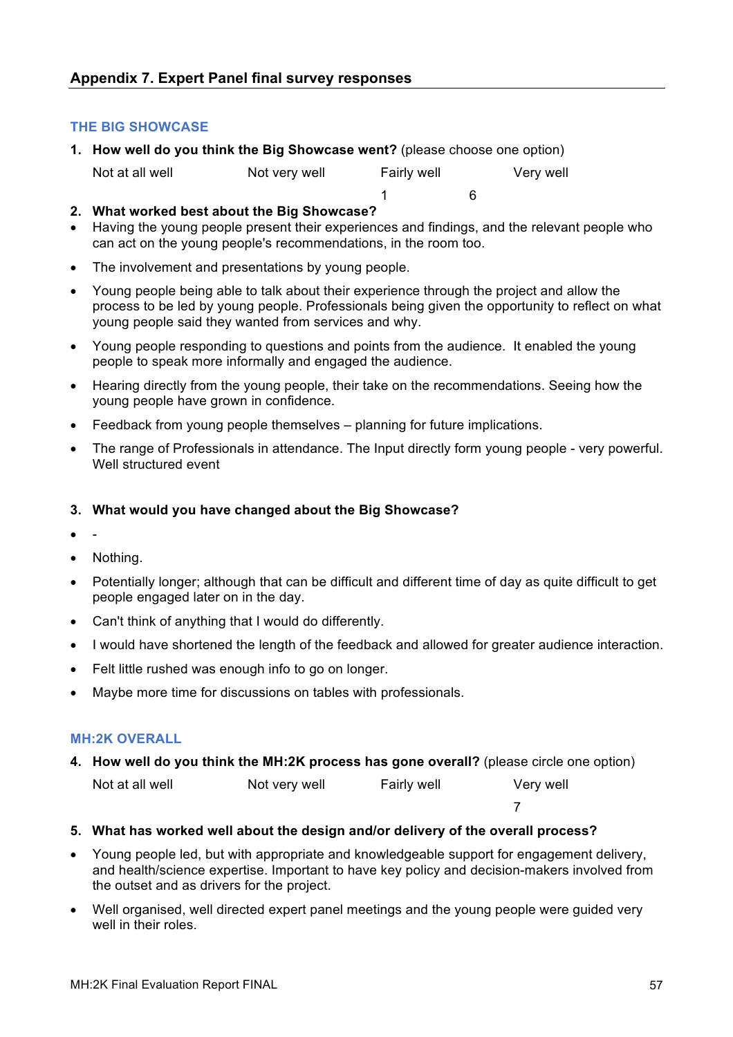#### **THE BIG SHOWCASE**

**1. How well do you think the Big Showcase went?** (please choose one option)

| Not at all well | Not very well | Fairly well | Very well |
|-----------------|---------------|-------------|-----------|
|-----------------|---------------|-------------|-----------|

- **2. What worked best about the Big Showcase?**
- Having the young people present their experiences and findings, and the relevant people who can act on the young people's recommendations, in the room too.

1 6

- The involvement and presentations by young people.
- Young people being able to talk about their experience through the project and allow the process to be led by young people. Professionals being given the opportunity to reflect on what young people said they wanted from services and why.
- Young people responding to questions and points from the audience. It enabled the young people to speak more informally and engaged the audience.
- Hearing directly from the young people, their take on the recommendations. Seeing how the young people have grown in confidence.
- Feedback from young people themselves planning for future implications.
- The range of Professionals in attendance. The Input directly form young people very powerful. Well structured event

#### **3. What would you have changed about the Big Showcase?**

- -
- Nothing.
- Potentially longer; although that can be difficult and different time of day as quite difficult to get people engaged later on in the day.
- Can't think of anything that I would do differently.
- I would have shortened the length of the feedback and allowed for greater audience interaction.
- Felt little rushed was enough info to go on longer.
- Maybe more time for discussions on tables with professionals.

#### **MH:2K OVERALL**

**4. How well do you think the MH:2K process has gone overall?** (please circle one option)

Not at all well **Not very well** Fairly well Very well

- **5. What has worked well about the design and/or delivery of the overall process?**
- Young people led, but with appropriate and knowledgeable support for engagement delivery, and health/science expertise. Important to have key policy and decision-makers involved from the outset and as drivers for the project.

7

• Well organised, well directed expert panel meetings and the young people were guided very well in their roles.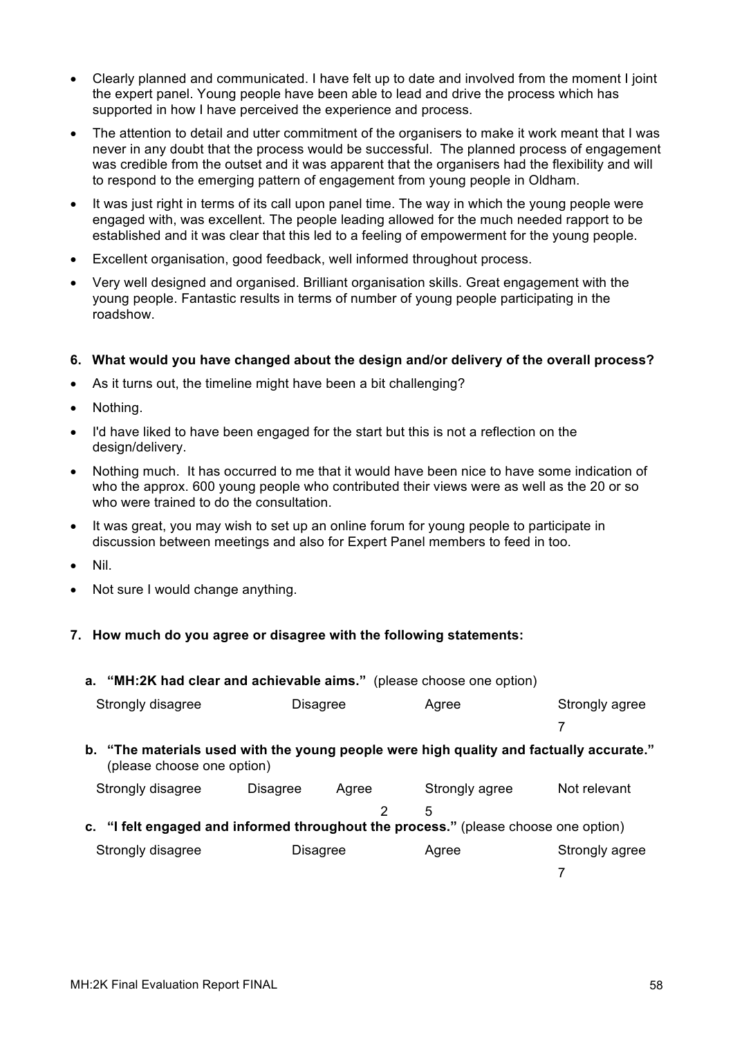- Clearly planned and communicated. I have felt up to date and involved from the moment I joint the expert panel. Young people have been able to lead and drive the process which has supported in how I have perceived the experience and process.
- The attention to detail and utter commitment of the organisers to make it work meant that I was never in any doubt that the process would be successful. The planned process of engagement was credible from the outset and it was apparent that the organisers had the flexibility and will to respond to the emerging pattern of engagement from young people in Oldham.
- It was just right in terms of its call upon panel time. The way in which the young people were engaged with, was excellent. The people leading allowed for the much needed rapport to be established and it was clear that this led to a feeling of empowerment for the young people.
- Excellent organisation, good feedback, well informed throughout process.
- Very well designed and organised. Brilliant organisation skills. Great engagement with the young people. Fantastic results in terms of number of young people participating in the roadshow.

#### **6. What would you have changed about the design and/or delivery of the overall process?**

- As it turns out, the timeline might have been a bit challenging?
- Nothing.
- I'd have liked to have been engaged for the start but this is not a reflection on the design/delivery.
- Nothing much. It has occurred to me that it would have been nice to have some indication of who the approx. 600 young people who contributed their views were as well as the 20 or so who were trained to do the consultation.
- It was great, you may wish to set up an online forum for young people to participate in discussion between meetings and also for Expert Panel members to feed in too.
- Nil.
- Not sure I would change anything.

#### **7. How much do you agree or disagree with the following statements:**

| a. "MH:2K had clear and achievable aims." (please choose one option) |                                                                                                                       |       |                |                |  |
|----------------------------------------------------------------------|-----------------------------------------------------------------------------------------------------------------------|-------|----------------|----------------|--|
| Strongly disagree                                                    | <b>Disagree</b>                                                                                                       |       | Agree          | Strongly agree |  |
|                                                                      |                                                                                                                       |       |                |                |  |
|                                                                      | b. "The materials used with the young people were high quality and factually accurate."<br>(please choose one option) |       |                |                |  |
| Strongly disagree                                                    | <b>Disagree</b>                                                                                                       | Agree | Strongly agree | Not relevant   |  |
|                                                                      |                                                                                                                       | 2     | 5              |                |  |
|                                                                      | c. "I felt engaged and informed throughout the process." (please choose one option)                                   |       |                |                |  |
| Strongly disagree                                                    | <b>Disagree</b>                                                                                                       |       | Agree          | Strongly agree |  |
|                                                                      |                                                                                                                       |       |                |                |  |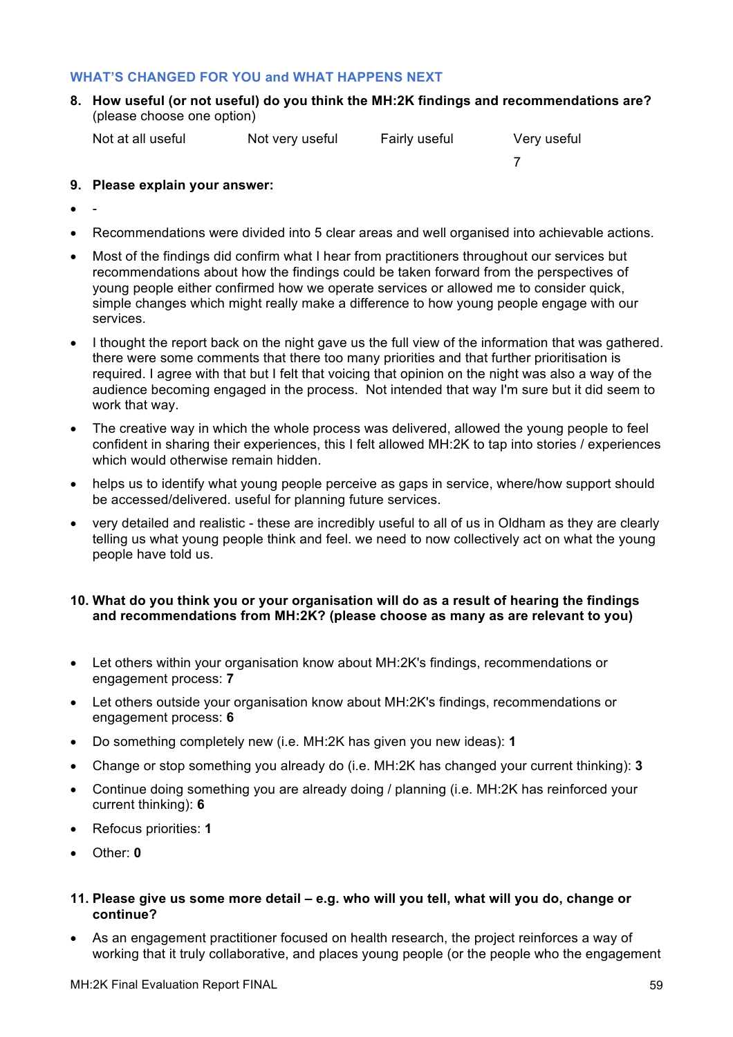#### **WHAT'S CHANGED FOR YOU and WHAT HAPPENS NEXT**

**8. How useful (or not useful) do you think the MH:2K findings and recommendations are?**  (please choose one option)

Not at all useful Not very useful Fairly useful Very useful

7

- **9. Please explain your answer:**
- -
- Recommendations were divided into 5 clear areas and well organised into achievable actions.
- Most of the findings did confirm what I hear from practitioners throughout our services but recommendations about how the findings could be taken forward from the perspectives of young people either confirmed how we operate services or allowed me to consider quick, simple changes which might really make a difference to how young people engage with our services.
- I thought the report back on the night gave us the full view of the information that was gathered. there were some comments that there too many priorities and that further prioritisation is required. I agree with that but I felt that voicing that opinion on the night was also a way of the audience becoming engaged in the process. Not intended that way I'm sure but it did seem to work that way.
- The creative way in which the whole process was delivered, allowed the young people to feel confident in sharing their experiences, this I felt allowed MH:2K to tap into stories / experiences which would otherwise remain hidden.
- helps us to identify what young people perceive as gaps in service, where/how support should be accessed/delivered. useful for planning future services.
- very detailed and realistic these are incredibly useful to all of us in Oldham as they are clearly telling us what young people think and feel. we need to now collectively act on what the young people have told us.

#### **10. What do you think you or your organisation will do as a result of hearing the findings and recommendations from MH:2K? (please choose as many as are relevant to you)**

- Let others within your organisation know about MH:2K's findings, recommendations or engagement process: **7**
- Let others outside your organisation know about MH:2K's findings, recommendations or engagement process: **6**
- Do something completely new (i.e. MH:2K has given you new ideas): **1**
- Change or stop something you already do (i.e. MH:2K has changed your current thinking): **3**
- Continue doing something you are already doing / planning (i.e. MH:2K has reinforced your current thinking): **6**
- Refocus priorities: **1**
- Other: **0**

#### **11. Please give us some more detail – e.g. who will you tell, what will you do, change or continue?**

• As an engagement practitioner focused on health research, the project reinforces a way of working that it truly collaborative, and places young people (or the people who the engagement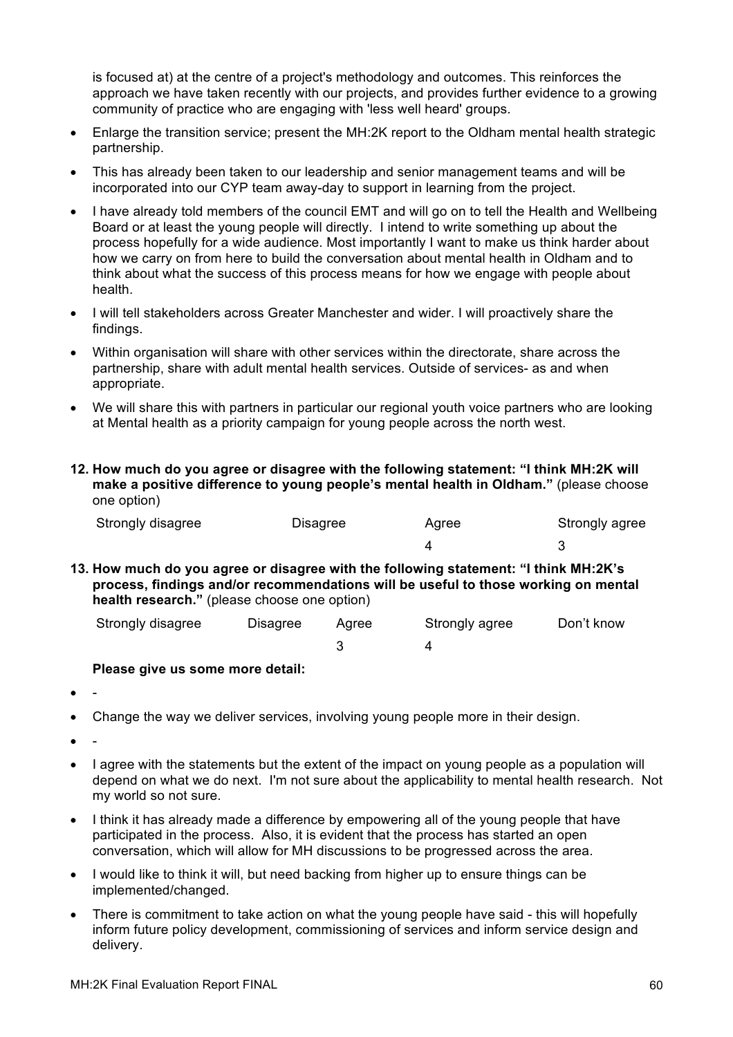is focused at) at the centre of a project's methodology and outcomes. This reinforces the approach we have taken recently with our projects, and provides further evidence to a growing community of practice who are engaging with 'less well heard' groups.

- Enlarge the transition service; present the MH:2K report to the Oldham mental health strategic partnership.
- This has already been taken to our leadership and senior management teams and will be incorporated into our CYP team away-day to support in learning from the project.
- I have already told members of the council EMT and will go on to tell the Health and Wellbeing Board or at least the young people will directly. I intend to write something up about the process hopefully for a wide audience. Most importantly I want to make us think harder about how we carry on from here to build the conversation about mental health in Oldham and to think about what the success of this process means for how we engage with people about health.
- I will tell stakeholders across Greater Manchester and wider. I will proactively share the findings.
- Within organisation will share with other services within the directorate, share across the partnership, share with adult mental health services. Outside of services- as and when appropriate.
- We will share this with partners in particular our regional youth voice partners who are looking at Mental health as a priority campaign for young people across the north west.
- **12. How much do you agree or disagree with the following statement: "I think MH:2K will make a positive difference to young people's mental health in Oldham."** (please choose one option)

| Strongly disagree | Disagree | Agree | Strongly agree |
|-------------------|----------|-------|----------------|
|                   |          |       |                |

**13. How much do you agree or disagree with the following statement: "I think MH:2K's process, findings and/or recommendations will be useful to those working on mental health research."** (please choose one option)

| Strongly disagree | Disagree | Aaree | Strongly agree | Don't know |
|-------------------|----------|-------|----------------|------------|
|                   |          |       |                |            |

#### **Please give us some more detail:**

- -
- Change the way we deliver services, involving young people more in their design.
- -
- I agree with the statements but the extent of the impact on young people as a population will depend on what we do next. I'm not sure about the applicability to mental health research. Not my world so not sure.
- I think it has already made a difference by empowering all of the young people that have participated in the process. Also, it is evident that the process has started an open conversation, which will allow for MH discussions to be progressed across the area.
- I would like to think it will, but need backing from higher up to ensure things can be implemented/changed.
- There is commitment to take action on what the young people have said this will hopefully inform future policy development, commissioning of services and inform service design and delivery.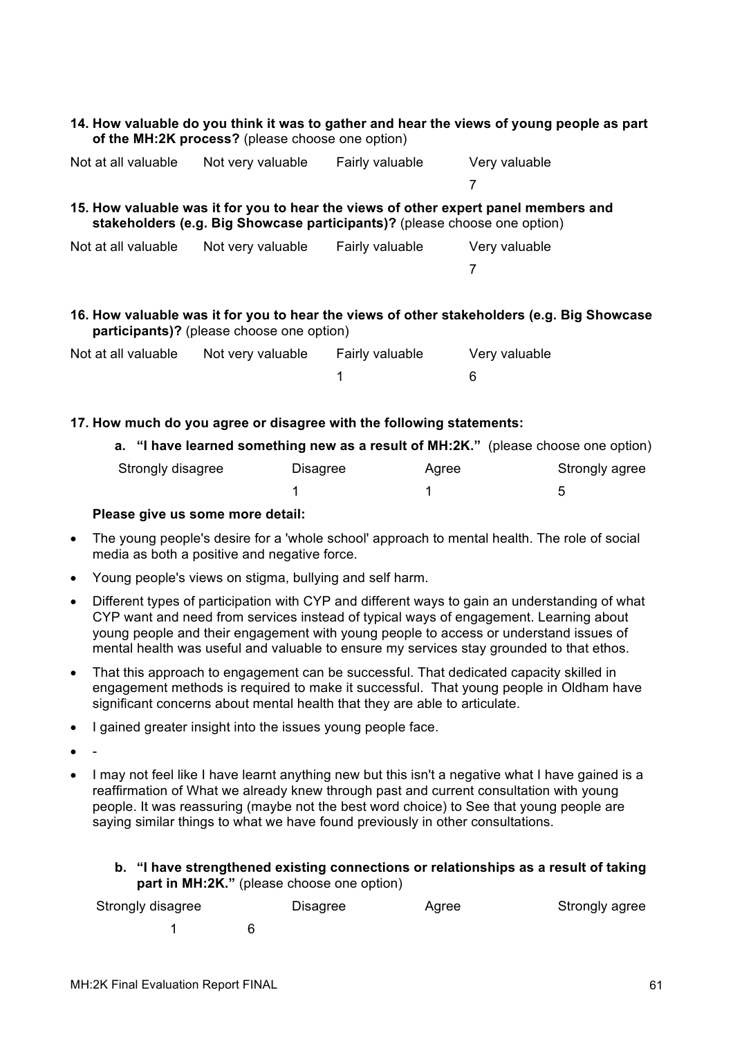#### **14. How valuable do you think it was to gather and hear the views of young people as part of the MH:2K process?** (please choose one option)

| Not at all valuable | Not very valuable                                                         | Fairly valuable | Very valuable                                                                              |
|---------------------|---------------------------------------------------------------------------|-----------------|--------------------------------------------------------------------------------------------|
|                     |                                                                           |                 |                                                                                            |
|                     | stakeholders (e.g. Big Showcase participants)? (please choose one option) |                 | 15. How valuable was it for you to hear the views of other expert panel members and        |
| Not at all valuable | Not very valuable                                                         | Fairly valuable | Very valuable                                                                              |
|                     |                                                                           |                 |                                                                                            |
|                     | participants)? (please choose one option)                                 |                 | 16. How valuable was it for you to hear the views of other stakeholders (e.g. Big Showcase |

| Not at all valuable | Not very valuable | Fairly valuable | Very valuable |
|---------------------|-------------------|-----------------|---------------|
|                     |                   |                 |               |

#### **17. How much do you agree or disagree with the following statements:**

| a. "I have learned something new as a result of MH:2K." (please choose one option) |          |       |                |
|------------------------------------------------------------------------------------|----------|-------|----------------|
| Strongly disagree                                                                  | Disagree | Aaree | Strongly agree |
|                                                                                    |          |       | .h             |

#### **Please give us some more detail:**

- The young people's desire for a 'whole school' approach to mental health. The role of social media as both a positive and negative force.
- Young people's views on stigma, bullying and self harm.
- Different types of participation with CYP and different ways to gain an understanding of what CYP want and need from services instead of typical ways of engagement. Learning about young people and their engagement with young people to access or understand issues of mental health was useful and valuable to ensure my services stay grounded to that ethos.
- That this approach to engagement can be successful. That dedicated capacity skilled in engagement methods is required to make it successful. That young people in Oldham have significant concerns about mental health that they are able to articulate.
- I gained greater insight into the issues young people face.
- -
- I may not feel like I have learnt anything new but this isn't a negative what I have gained is a reaffirmation of What we already knew through past and current consultation with young people. It was reassuring (maybe not the best word choice) to See that young people are saying similar things to what we have found previously in other consultations.

#### **b. "I have strengthened existing connections or relationships as a result of taking part in MH:2K."** (please choose one option)

| Strongly disagree | Disagree | Agree | Strongly agree |
|-------------------|----------|-------|----------------|
|                   |          |       |                |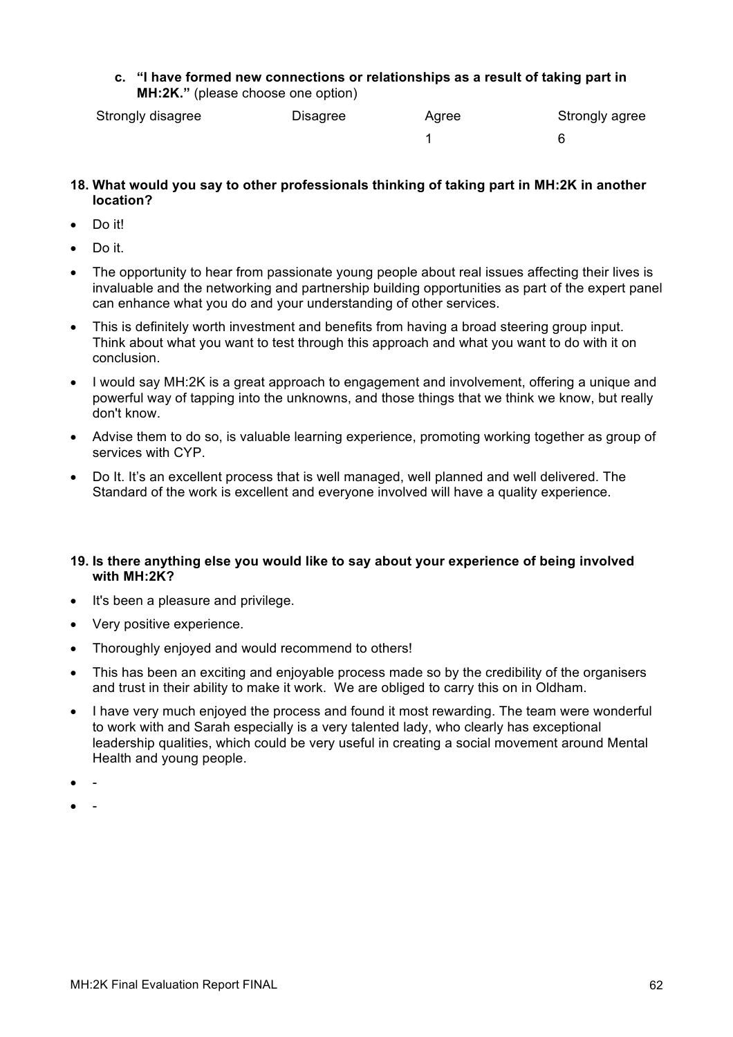**c. "I have formed new connections or relationships as a result of taking part in MH:2K."** (please choose one option)

| Strongly disagree | Disagree | Agree | Strongly agree |
|-------------------|----------|-------|----------------|
|                   |          |       |                |

- **18. What would you say to other professionals thinking of taking part in MH:2K in another location?**
- Do it!
- Do it.
- The opportunity to hear from passionate young people about real issues affecting their lives is invaluable and the networking and partnership building opportunities as part of the expert panel can enhance what you do and your understanding of other services.
- This is definitely worth investment and benefits from having a broad steering group input. Think about what you want to test through this approach and what you want to do with it on conclusion.
- I would say MH:2K is a great approach to engagement and involvement, offering a unique and powerful way of tapping into the unknowns, and those things that we think we know, but really don't know.
- Advise them to do so, is valuable learning experience, promoting working together as group of services with CYP.
- Do It. It's an excellent process that is well managed, well planned and well delivered. The Standard of the work is excellent and everyone involved will have a quality experience.

#### **19. Is there anything else you would like to say about your experience of being involved with MH:2K?**

- It's been a pleasure and privilege.
- Very positive experience.
- Thoroughly enjoyed and would recommend to others!
- This has been an exciting and enjoyable process made so by the credibility of the organisers and trust in their ability to make it work. We are obliged to carry this on in Oldham.
- I have very much enjoyed the process and found it most rewarding. The team were wonderful to work with and Sarah especially is a very talented lady, who clearly has exceptional leadership qualities, which could be very useful in creating a social movement around Mental Health and young people.
- -
- -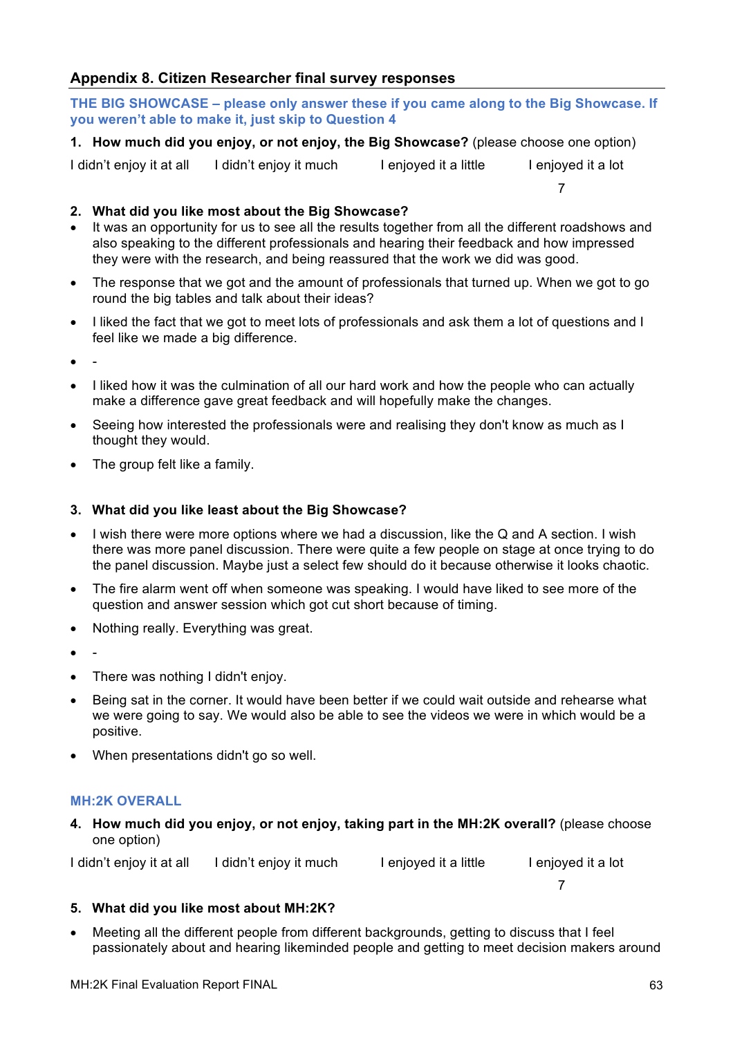## **Appendix 8. Citizen Researcher final survey responses**

**THE BIG SHOWCASE – please only answer these if you came along to the Big Showcase. If you weren't able to make it, just skip to Question 4**

**1. How much did you enjoy, or not enjoy, the Big Showcase?** (please choose one option)

I didn't enjoy it at all I didn't enjoy it much I enjoyed it a little I enjoyed it a lot

**2. What did you like most about the Big Showcase?** 

- It was an opportunity for us to see all the results together from all the different roadshows and also speaking to the different professionals and hearing their feedback and how impressed they were with the research, and being reassured that the work we did was good.
- The response that we got and the amount of professionals that turned up. When we got to go round the big tables and talk about their ideas?
- I liked the fact that we got to meet lots of professionals and ask them a lot of questions and I feel like we made a big difference.
- -
- I liked how it was the culmination of all our hard work and how the people who can actually make a difference gave great feedback and will hopefully make the changes.
- Seeing how interested the professionals were and realising they don't know as much as I thought they would.
- The group felt like a family.

#### **3. What did you like least about the Big Showcase?**

- I wish there were more options where we had a discussion, like the Q and A section. I wish there was more panel discussion. There were quite a few people on stage at once trying to do the panel discussion. Maybe just a select few should do it because otherwise it looks chaotic.
- The fire alarm went off when someone was speaking. I would have liked to see more of the question and answer session which got cut short because of timing.
- Nothing really. Everything was great.
- -
- There was nothing I didn't enjoy.
- Being sat in the corner. It would have been better if we could wait outside and rehearse what we were going to say. We would also be able to see the videos we were in which would be a positive.
- When presentations didn't go so well.

#### **MH:2K OVERALL**

**4. How much did you enjoy, or not enjoy, taking part in the MH:2K overall?** (please choose one option)

I didn't enjoy it at all I didn't enjoy it much I enjoyed it a little I enjoyed it a lot

7

## **5. What did you like most about MH:2K?**

• Meeting all the different people from different backgrounds, getting to discuss that I feel passionately about and hearing likeminded people and getting to meet decision makers around

7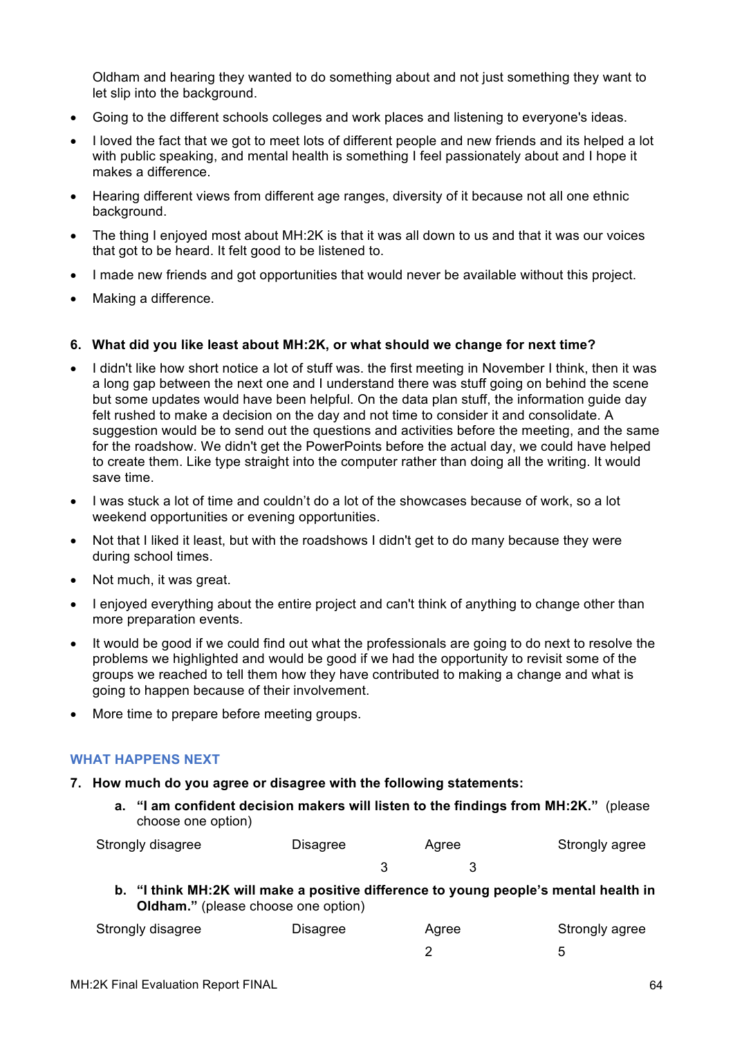Oldham and hearing they wanted to do something about and not just something they want to let slip into the background.

- Going to the different schools colleges and work places and listening to everyone's ideas.
- I loved the fact that we got to meet lots of different people and new friends and its helped a lot with public speaking, and mental health is something I feel passionately about and I hope it makes a difference.
- Hearing different views from different age ranges, diversity of it because not all one ethnic background.
- The thing I enjoyed most about MH:2K is that it was all down to us and that it was our voices that got to be heard. It felt good to be listened to.
- I made new friends and got opportunities that would never be available without this project.
- Making a difference.

#### **6. What did you like least about MH:2K, or what should we change for next time?**

- I didn't like how short notice a lot of stuff was. the first meeting in November I think, then it was a long gap between the next one and I understand there was stuff going on behind the scene but some updates would have been helpful. On the data plan stuff, the information guide day felt rushed to make a decision on the day and not time to consider it and consolidate. A suggestion would be to send out the questions and activities before the meeting, and the same for the roadshow. We didn't get the PowerPoints before the actual day, we could have helped to create them. Like type straight into the computer rather than doing all the writing. It would save time.
- I was stuck a lot of time and couldn't do a lot of the showcases because of work, so a lot weekend opportunities or evening opportunities.
- Not that I liked it least, but with the roadshows I didn't get to do many because they were during school times.
- Not much, it was great.
- I enjoyed everything about the entire project and can't think of anything to change other than more preparation events.
- It would be good if we could find out what the professionals are going to do next to resolve the problems we highlighted and would be good if we had the opportunity to revisit some of the groups we reached to tell them how they have contributed to making a change and what is going to happen because of their involvement.
- More time to prepare before meeting groups.

#### **WHAT HAPPENS NEXT**

- **7. How much do you agree or disagree with the following statements:**
	- **a. "I am confident decision makers will listen to the findings from MH:2K."** (please choose one option)

| Strongly disagree | Disagree | Agree |  | Strongly agree |
|-------------------|----------|-------|--|----------------|
|                   |          |       |  |                |

**b. "I think MH:2K will make a positive difference to young people's mental health in Oldham."** (please choose one option)

| Strongly disagree | Disagree | Agree | Strongly agree |  |
|-------------------|----------|-------|----------------|--|
|                   |          |       |                |  |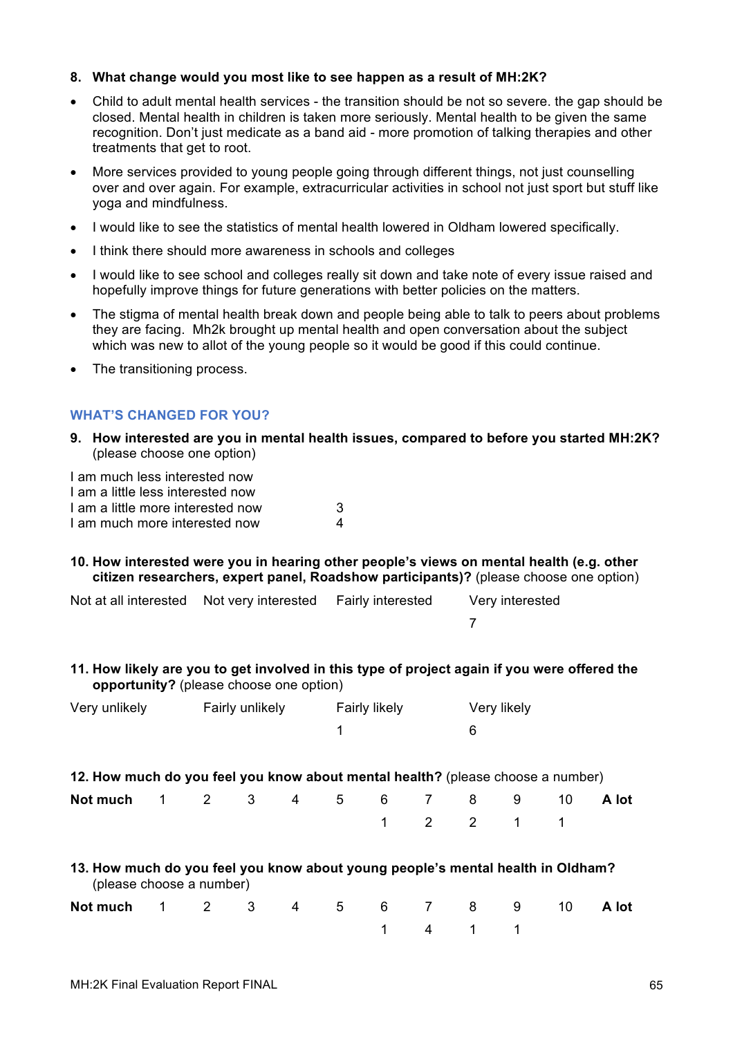#### **8. What change would you most like to see happen as a result of MH:2K?**

- Child to adult mental health services the transition should be not so severe. the gap should be closed. Mental health in children is taken more seriously. Mental health to be given the same recognition. Don't just medicate as a band aid - more promotion of talking therapies and other treatments that get to root.
- More services provided to young people going through different things, not just counselling over and over again. For example, extracurricular activities in school not just sport but stuff like yoga and mindfulness.
- I would like to see the statistics of mental health lowered in Oldham lowered specifically.
- I think there should more awareness in schools and colleges
- I would like to see school and colleges really sit down and take note of every issue raised and hopefully improve things for future generations with better policies on the matters.
- The stigma of mental health break down and people being able to talk to peers about problems they are facing. Mh2k brought up mental health and open conversation about the subject which was new to allot of the young people so it would be good if this could continue.
- The transitioning process.

#### **WHAT'S CHANGED FOR YOU?**

**9. How interested are you in mental health issues, compared to before you started MH:2K?**  (please choose one option)

I am much less interested now I am a little less interested now I am a little more interested now 3 I am much more interested now 4

#### **10. How interested were you in hearing other people's views on mental health (e.g. other citizen researchers, expert panel, Roadshow participants)?** (please choose one option)

| Not at all interested Not very interested Fairly interested |  | Very interested |
|-------------------------------------------------------------|--|-----------------|
|                                                             |  |                 |

#### **11. How likely are you to get involved in this type of project again if you were offered the opportunity?** (please choose one option)

| Very unlikely | Fairly unlikely | <b>Fairly likely</b> | Very likely |  |
|---------------|-----------------|----------------------|-------------|--|
|               |                 |                      |             |  |

| 12. How much do you feel you know about mental health? (please choose a number) |  |
|---------------------------------------------------------------------------------|--|
|                                                                                 |  |

| Not much 1 2 3 4 5 6 7 8 9 10 A lot |  |  |  |           |  |  |
|-------------------------------------|--|--|--|-----------|--|--|
|                                     |  |  |  | 1 2 2 1 1 |  |  |

## **13. How much do you feel you know about young people's mental health in Oldham?**  (please choose a number)

| Not much 1 2 3 4 5 6 7 8 9 10 A lot |  |  |  |         |  |  |
|-------------------------------------|--|--|--|---------|--|--|
|                                     |  |  |  | 1 4 1 1 |  |  |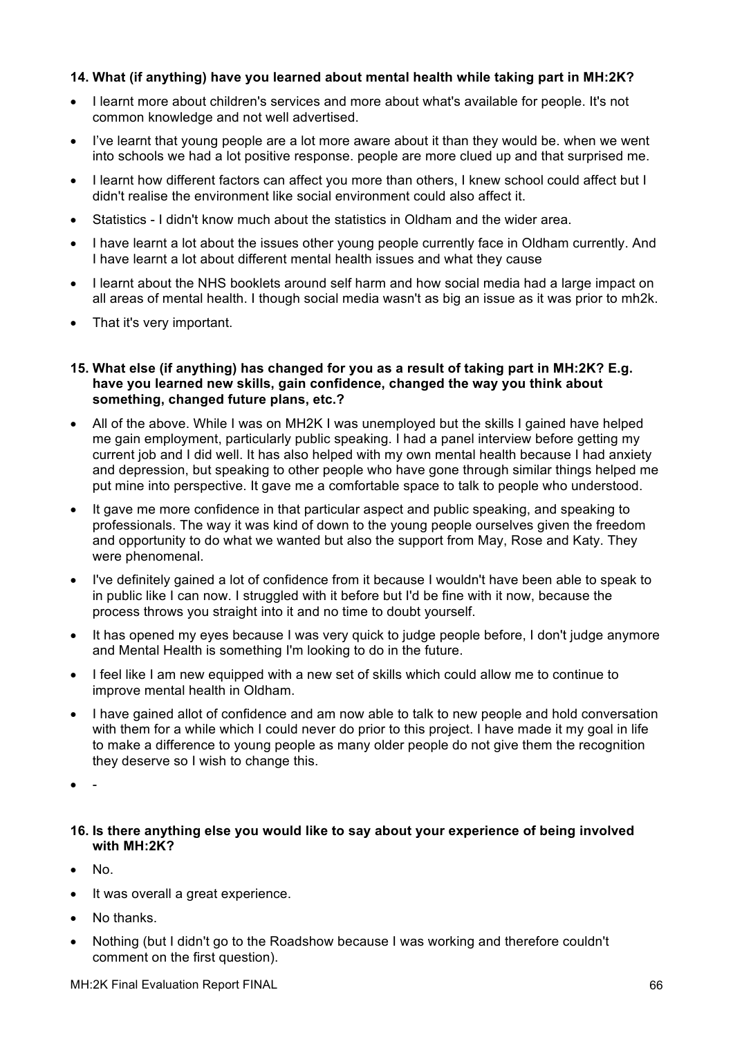#### **14. What (if anything) have you learned about mental health while taking part in MH:2K?**

- I learnt more about children's services and more about what's available for people. It's not common knowledge and not well advertised.
- I've learnt that young people are a lot more aware about it than they would be. when we went into schools we had a lot positive response. people are more clued up and that surprised me.
- I learnt how different factors can affect you more than others, I knew school could affect but I didn't realise the environment like social environment could also affect it.
- Statistics I didn't know much about the statistics in Oldham and the wider area.
- I have learnt a lot about the issues other young people currently face in Oldham currently. And I have learnt a lot about different mental health issues and what they cause
- I learnt about the NHS booklets around self harm and how social media had a large impact on all areas of mental health. I though social media wasn't as big an issue as it was prior to mh2k.
- That it's very important.
- **15. What else (if anything) has changed for you as a result of taking part in MH:2K? E.g. have you learned new skills, gain confidence, changed the way you think about something, changed future plans, etc.?**
- All of the above. While I was on MH2K I was unemployed but the skills I gained have helped me gain employment, particularly public speaking. I had a panel interview before getting my current job and I did well. It has also helped with my own mental health because I had anxiety and depression, but speaking to other people who have gone through similar things helped me put mine into perspective. It gave me a comfortable space to talk to people who understood.
- It gave me more confidence in that particular aspect and public speaking, and speaking to professionals. The way it was kind of down to the young people ourselves given the freedom and opportunity to do what we wanted but also the support from May, Rose and Katy. They were phenomenal.
- I've definitely gained a lot of confidence from it because I wouldn't have been able to speak to in public like I can now. I struggled with it before but I'd be fine with it now, because the process throws you straight into it and no time to doubt yourself.
- It has opened my eyes because I was very quick to judge people before, I don't judge anymore and Mental Health is something I'm looking to do in the future.
- I feel like I am new equipped with a new set of skills which could allow me to continue to improve mental health in Oldham.
- I have gained allot of confidence and am now able to talk to new people and hold conversation with them for a while which I could never do prior to this project. I have made it my goal in life to make a difference to young people as many older people do not give them the recognition they deserve so I wish to change this.
- -

#### **16. Is there anything else you would like to say about your experience of being involved with MH:2K?**

- No.
- It was overall a great experience.
- No thanks.
- Nothing (but I didn't go to the Roadshow because I was working and therefore couldn't comment on the first question).